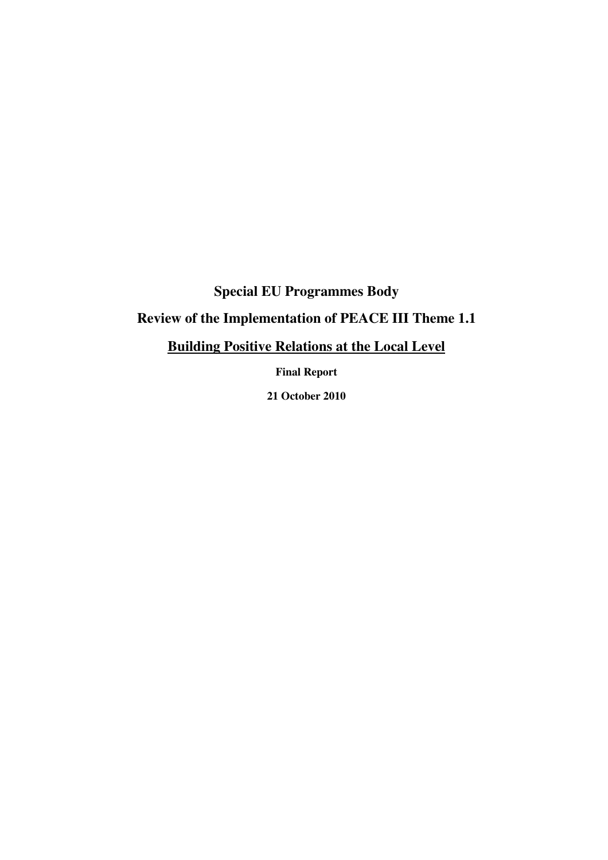# **Special EU Programmes Body**

# **Review of the Implementation of PEACE III Theme 1.1**

# **Building Positive Relations at the Local Level**

**Final Report** 

**21 October 2010**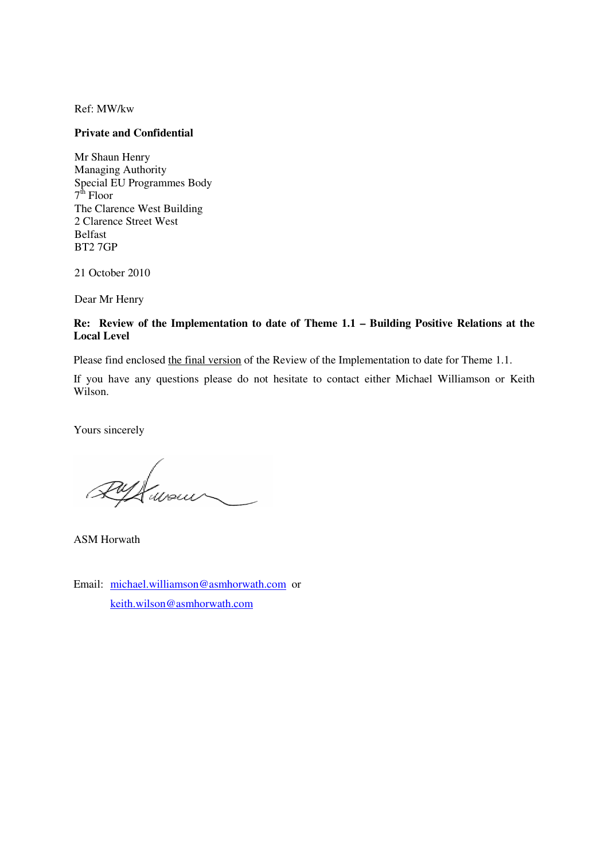Ref: MW/kw

#### **Private and Confidential**

Mr Shaun Henry Managing Authority Special EU Programmes Body 7<sup>th</sup> Floor The Clarence West Building 2 Clarence Street West Belfast BT2 7GP

21 October 2010

Dear Mr Henry

#### **Re: Review of the Implementation to date of Theme 1.1 – Building Positive Relations at the Local Level**

Please find enclosed the final version of the Review of the Implementation to date for Theme 1.1.

If you have any questions please do not hesitate to contact either Michael Williamson or Keith Wilson.

Yours sincerely

Awour

ASM Horwath

Email: michael.williamson@asmhorwath.com or keith.wilson@asmhorwath.com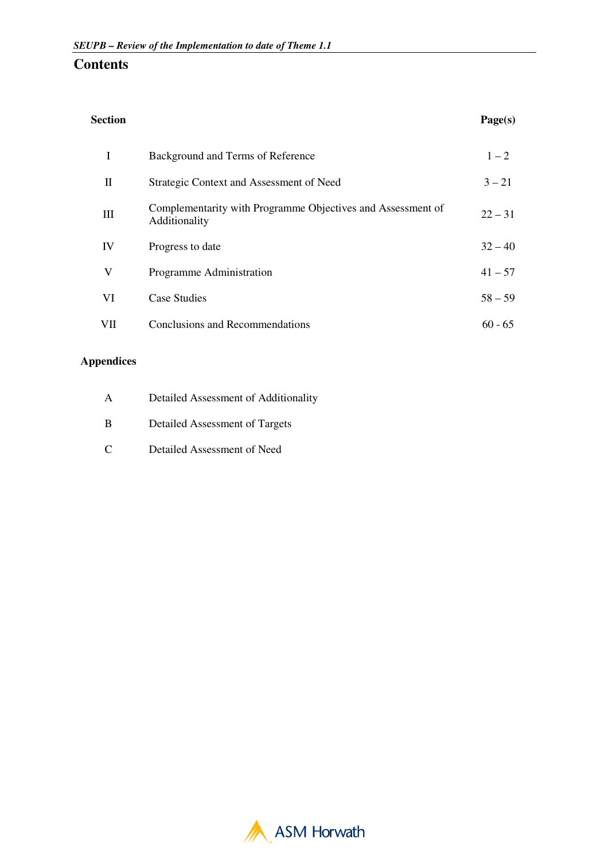# **Contents**

|              | Background and Terms of Reference                                            | $1 - 2$   |
|--------------|------------------------------------------------------------------------------|-----------|
| $\mathbf{I}$ | Strategic Context and Assessment of Need                                     | $3 - 21$  |
| Ш            | Complementarity with Programme Objectives and Assessment of<br>Additionality | $22 - 31$ |
| IV           | Progress to date                                                             | $32 - 40$ |
| V            | Programme Administration                                                     | $41 - 57$ |
| VI           | Case Studies                                                                 | $58 - 59$ |
| VII          | Conclusions and Recommendations                                              | $60 - 65$ |

## **Appendices**

| $\mathbf{A}$ | Detailed Assessment of Additionality |
|--------------|--------------------------------------|
| - B          | Detailed Assessment of Targets       |
| $\Gamma$     | Detailed Assessment of Need          |

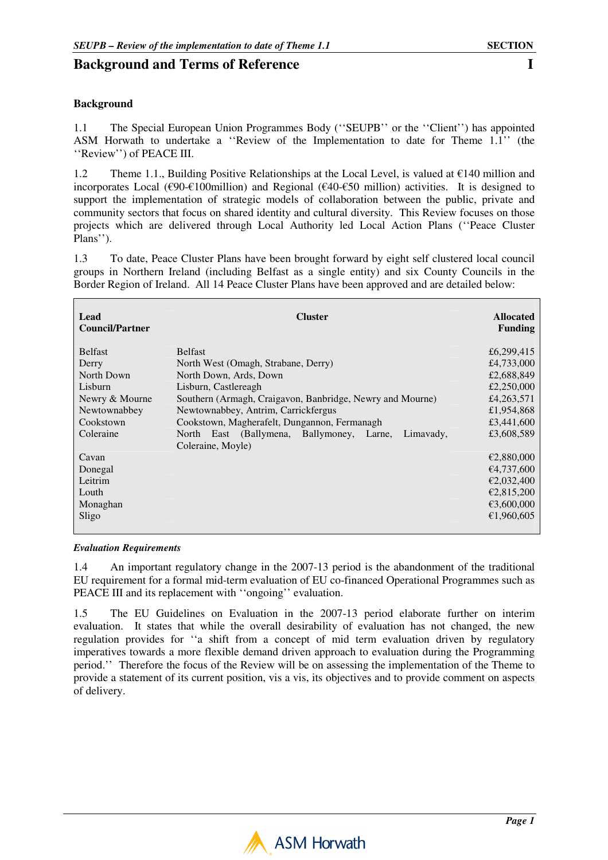# **Background and Terms of Reference I I**

### **Background**

1.1 The Special European Union Programmes Body (''SEUPB'' or the ''Client'') has appointed ASM Horwath to undertake a ''Review of the Implementation to date for Theme 1.1'' (the ''Review'') of PEACE III.

1.2 Theme 1.1., Building Positive Relationships at the Local Level, is valued at  $\epsilon$ 140 million and incorporates Local ( $\epsilon$ 90- $\epsilon$ 100million) and Regional ( $\epsilon$ 40- $\epsilon$ 50 million) activities. It is designed to support the implementation of strategic models of collaboration between the public, private and community sectors that focus on shared identity and cultural diversity. This Review focuses on those projects which are delivered through Local Authority led Local Action Plans (''Peace Cluster Plans'').

1.3 To date, Peace Cluster Plans have been brought forward by eight self clustered local council groups in Northern Ireland (including Belfast as a single entity) and six County Councils in the Border Region of Ireland. All 14 Peace Cluster Plans have been approved and are detailed below:

| Lead<br><b>Council/Partner</b> | <b>Cluster</b>                                                           | <b>Allocated</b><br><b>Funding</b> |
|--------------------------------|--------------------------------------------------------------------------|------------------------------------|
| <b>Belfast</b>                 | <b>Belfast</b>                                                           | £6,299,415                         |
| Derry                          | North West (Omagh, Strabane, Derry)                                      | £4,733,000                         |
| North Down                     | North Down, Ards, Down                                                   | £2,688,849                         |
| Lisburn                        | Lisburn, Castlereagh                                                     | £2,250,000                         |
| Newry & Mourne                 | Southern (Armagh, Craigavon, Banbridge, Newry and Mourne)                | £4,263,571                         |
| Newtownabbey                   | Newtownabbey, Antrim, Carrickfergus                                      | £1,954,868                         |
| Cookstown                      | Cookstown, Magherafelt, Dungannon, Fermanagh                             | £3,441,600                         |
| Coleraine                      | North East (Ballymena, Ballymoney, Larne, Limavady,<br>Coleraine, Moyle) | £3,608,589                         |
| Cavan                          |                                                                          | €2,880,000                         |
| Donegal                        |                                                                          | €4,737,600                         |
| Leitrim                        |                                                                          | €2,032,400                         |
| Louth                          |                                                                          | €2,815,200                         |
| Monaghan                       |                                                                          | €3,600,000                         |
| Sligo                          |                                                                          | €1,960,605                         |

#### *Evaluation Requirements*

1.4 An important regulatory change in the 2007-13 period is the abandonment of the traditional EU requirement for a formal mid-term evaluation of EU co-financed Operational Programmes such as PEACE III and its replacement with ''ongoing'' evaluation.

1.5 The EU Guidelines on Evaluation in the 2007-13 period elaborate further on interim evaluation. It states that while the overall desirability of evaluation has not changed, the new regulation provides for ''a shift from a concept of mid term evaluation driven by regulatory imperatives towards a more flexible demand driven approach to evaluation during the Programming period.'' Therefore the focus of the Review will be on assessing the implementation of the Theme to provide a statement of its current position, vis a vis, its objectives and to provide comment on aspects of delivery.

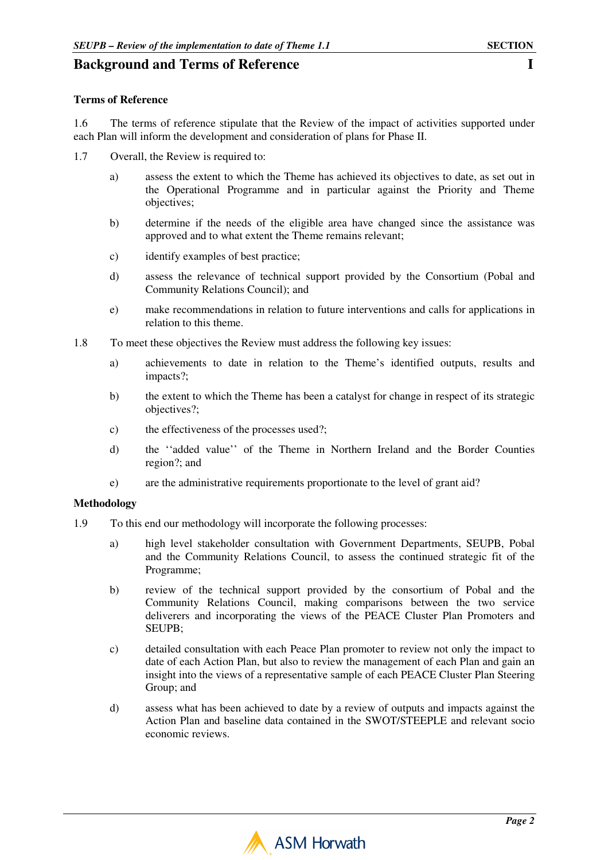## **Background and Terms of Reference I I**

### **Terms of Reference**

1.6 The terms of reference stipulate that the Review of the impact of activities supported under each Plan will inform the development and consideration of plans for Phase II.

- 1.7 Overall, the Review is required to:
	- a) assess the extent to which the Theme has achieved its objectives to date, as set out in the Operational Programme and in particular against the Priority and Theme objectives;
	- b) determine if the needs of the eligible area have changed since the assistance was approved and to what extent the Theme remains relevant;
	- c) identify examples of best practice;
	- d) assess the relevance of technical support provided by the Consortium (Pobal and Community Relations Council); and
	- e) make recommendations in relation to future interventions and calls for applications in relation to this theme.
- 1.8 To meet these objectives the Review must address the following key issues:
	- a) achievements to date in relation to the Theme's identified outputs, results and impacts?;
	- b) the extent to which the Theme has been a catalyst for change in respect of its strategic objectives?;
	- c) the effectiveness of the processes used?;
	- d) the ''added value'' of the Theme in Northern Ireland and the Border Counties region?; and
	- e) are the administrative requirements proportionate to the level of grant aid?

### **Methodology**

- 1.9 To this end our methodology will incorporate the following processes:
	- a) high level stakeholder consultation with Government Departments, SEUPB, Pobal and the Community Relations Council, to assess the continued strategic fit of the Programme;
	- b) review of the technical support provided by the consortium of Pobal and the Community Relations Council, making comparisons between the two service deliverers and incorporating the views of the PEACE Cluster Plan Promoters and SEUPB;
	- c) detailed consultation with each Peace Plan promoter to review not only the impact to date of each Action Plan, but also to review the management of each Plan and gain an insight into the views of a representative sample of each PEACE Cluster Plan Steering Group; and
	- d) assess what has been achieved to date by a review of outputs and impacts against the Action Plan and baseline data contained in the SWOT/STEEPLE and relevant socio economic reviews.

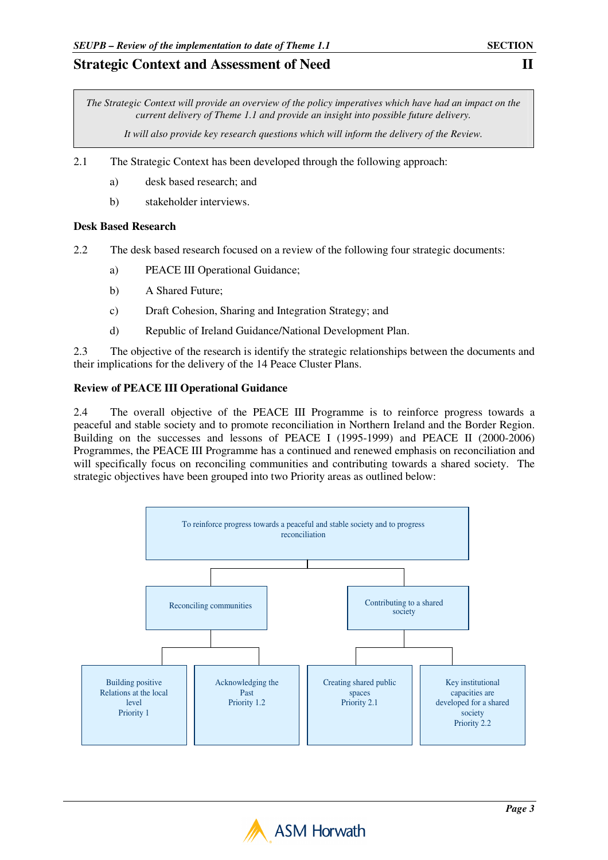*The Strategic Context will provide an overview of the policy imperatives which have had an impact on the current delivery of Theme 1.1 and provide an insight into possible future delivery.* 

*It will also provide key research questions which will inform the delivery of the Review.* 

- 2.1 The Strategic Context has been developed through the following approach:
	- a) desk based research; and
	- b) stakeholder interviews.

### **Desk Based Research**

- 2.2 The desk based research focused on a review of the following four strategic documents:
	- a) PEACE III Operational Guidance;
	- b) A Shared Future;
	- c) Draft Cohesion, Sharing and Integration Strategy; and
	- d) Republic of Ireland Guidance/National Development Plan.

2.3 The objective of the research is identify the strategic relationships between the documents and their implications for the delivery of the 14 Peace Cluster Plans.

### **Review of PEACE III Operational Guidance**

2.4 The overall objective of the PEACE III Programme is to reinforce progress towards a peaceful and stable society and to promote reconciliation in Northern Ireland and the Border Region. Building on the successes and lessons of PEACE I (1995-1999) and PEACE II (2000-2006) Programmes, the PEACE III Programme has a continued and renewed emphasis on reconciliation and will specifically focus on reconciling communities and contributing towards a shared society. The strategic objectives have been grouped into two Priority areas as outlined below:



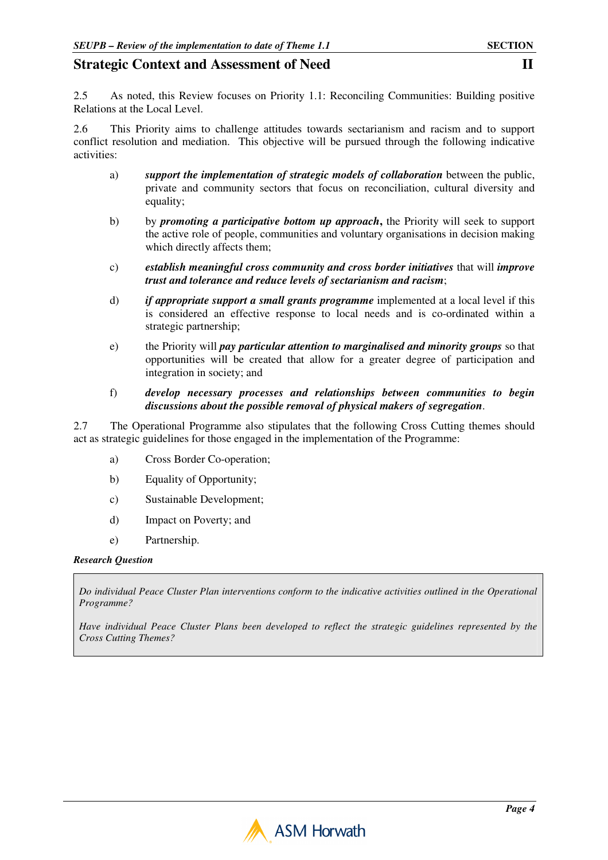2.5 As noted, this Review focuses on Priority 1.1: Reconciling Communities: Building positive Relations at the Local Level.

2.6 This Priority aims to challenge attitudes towards sectarianism and racism and to support conflict resolution and mediation. This objective will be pursued through the following indicative activities:

- a) *support the implementation of strategic models of collaboration* between the public, private and community sectors that focus on reconciliation, cultural diversity and equality;
- b) by *promoting a participative bottom up approach***,** the Priority will seek to support the active role of people, communities and voluntary organisations in decision making which directly affects them:
- c) *establish meaningful cross community and cross border initiatives* that will *improve trust and tolerance and reduce levels of sectarianism and racism*;
- d) *if appropriate support a small grants programme* implemented at a local level if this is considered an effective response to local needs and is co-ordinated within a strategic partnership;
- e) the Priority will *pay particular attention to marginalised and minority groups* so that opportunities will be created that allow for a greater degree of participation and integration in society; and

#### f) *develop necessary processes and relationships between communities to begin discussions about the possible removal of physical makers of segregation*.

2.7 The Operational Programme also stipulates that the following Cross Cutting themes should act as strategic guidelines for those engaged in the implementation of the Programme:

- a) Cross Border Co-operation;
- b) Equality of Opportunity;
- c) Sustainable Development;
- d) Impact on Poverty; and
- e) Partnership.

#### *Research Question*

*Do individual Peace Cluster Plan interventions conform to the indicative activities outlined in the Operational Programme?* 

*Have individual Peace Cluster Plans been developed to reflect the strategic guidelines represented by the Cross Cutting Themes?* 

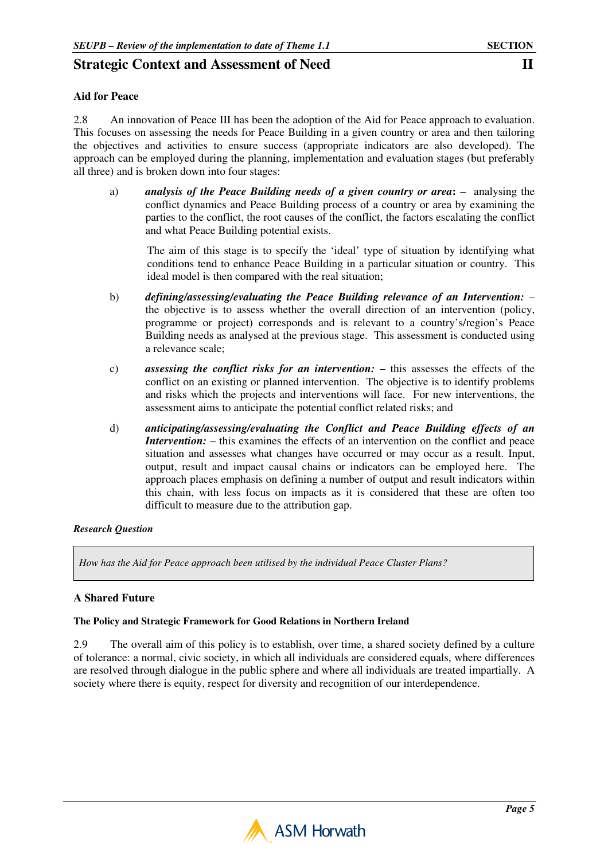### **Aid for Peace**

2.8 An innovation of Peace III has been the adoption of the Aid for Peace approach to evaluation. This focuses on assessing the needs for Peace Building in a given country or area and then tailoring the objectives and activities to ensure success (appropriate indicators are also developed). The approach can be employed during the planning, implementation and evaluation stages (but preferably all three) and is broken down into four stages:

a) *analysis of the Peace Building needs of a given country or area***:** – analysing the conflict dynamics and Peace Building process of a country or area by examining the parties to the conflict, the root causes of the conflict, the factors escalating the conflict and what Peace Building potential exists.

The aim of this stage is to specify the 'ideal' type of situation by identifying what conditions tend to enhance Peace Building in a particular situation or country. This ideal model is then compared with the real situation;

- b) *defining/assessing/evaluating the Peace Building relevance of an Intervention:* the objective is to assess whether the overall direction of an intervention (policy, programme or project) corresponds and is relevant to a country's/region's Peace Building needs as analysed at the previous stage. This assessment is conducted using a relevance scale;
- c) *assessing the conflict risks for an intervention:* this assesses the effects of the conflict on an existing or planned intervention. The objective is to identify problems and risks which the projects and interventions will face. For new interventions, the assessment aims to anticipate the potential conflict related risks; and
- d) *anticipating/assessing/evaluating the Conflict and Peace Building effects of an Intervention:* – this examines the effects of an intervention on the conflict and peace situation and assesses what changes have occurred or may occur as a result. Input, output, result and impact causal chains or indicators can be employed here. The approach places emphasis on defining a number of output and result indicators within this chain, with less focus on impacts as it is considered that these are often too difficult to measure due to the attribution gap.

### *Research Question*

*How has the Aid for Peace approach been utilised by the individual Peace Cluster Plans?* 

### **A Shared Future**

### **The Policy and Strategic Framework for Good Relations in Northern Ireland**

2.9 The overall aim of this policy is to establish, over time, a shared society defined by a culture of tolerance: a normal, civic society, in which all individuals are considered equals, where differences are resolved through dialogue in the public sphere and where all individuals are treated impartially. A society where there is equity, respect for diversity and recognition of our interdependence.

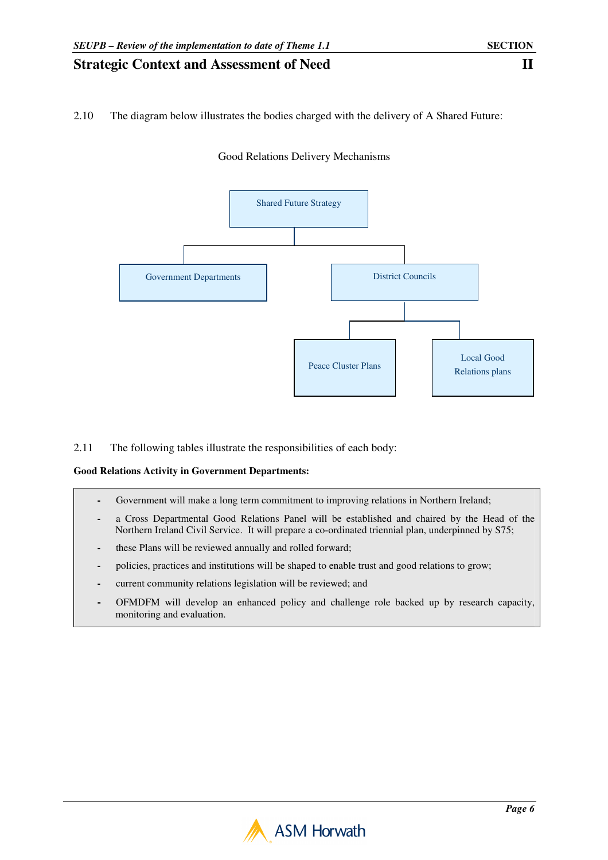### 2.10 The diagram below illustrates the bodies charged with the delivery of A Shared Future:



Good Relations Delivery Mechanisms

### 2.11 The following tables illustrate the responsibilities of each body:

#### **Good Relations Activity in Government Departments:**

- **-** Government will make a long term commitment to improving relations in Northern Ireland;
- **-** a Cross Departmental Good Relations Panel will be established and chaired by the Head of the Northern Ireland Civil Service. It will prepare a co-ordinated triennial plan, underpinned by S75;
- **-** these Plans will be reviewed annually and rolled forward;
- **-** policies, practices and institutions will be shaped to enable trust and good relations to grow;
- **-** current community relations legislation will be reviewed; and
- **-** OFMDFM will develop an enhanced policy and challenge role backed up by research capacity, monitoring and evaluation.

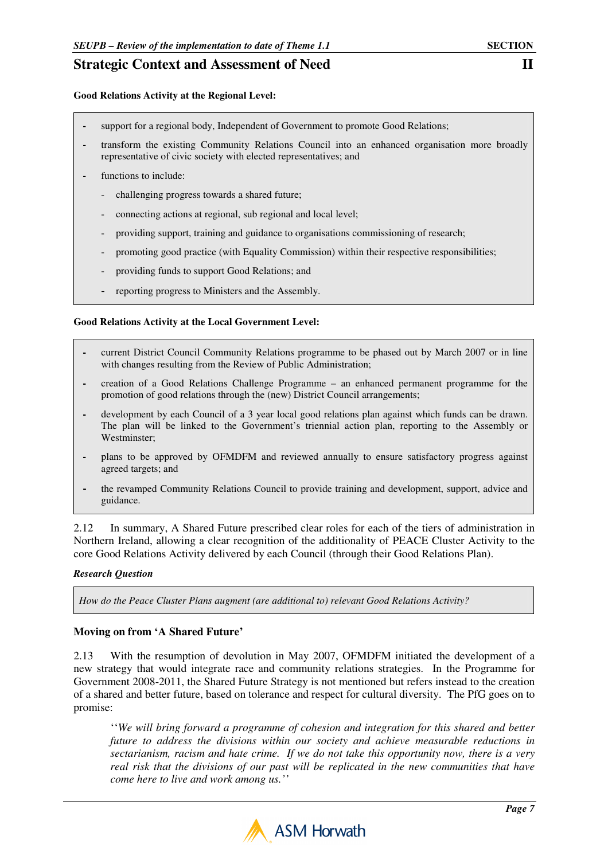#### **Good Relations Activity at the Regional Level:**

- **-** support for a regional body, Independent of Government to promote Good Relations;
- **-** transform the existing Community Relations Council into an enhanced organisation more broadly representative of civic society with elected representatives; and
- functions to include:
	- challenging progress towards a shared future;
	- connecting actions at regional, sub regional and local level;
	- providing support, training and guidance to organisations commissioning of research;
	- promoting good practice (with Equality Commission) within their respective responsibilities;
	- providing funds to support Good Relations; and
	- reporting progress to Ministers and the Assembly.

#### **Good Relations Activity at the Local Government Level:**

- current District Council Community Relations programme to be phased out by March 2007 or in line with changes resulting from the Review of Public Administration;
- **-** creation of a Good Relations Challenge Programme an enhanced permanent programme for the promotion of good relations through the (new) District Council arrangements;
- **-** development by each Council of a 3 year local good relations plan against which funds can be drawn. The plan will be linked to the Government's triennial action plan, reporting to the Assembly or Westminster;
- **-** plans to be approved by OFMDFM and reviewed annually to ensure satisfactory progress against agreed targets; and
- **-** the revamped Community Relations Council to provide training and development, support, advice and guidance.

2.12 In summary, A Shared Future prescribed clear roles for each of the tiers of administration in Northern Ireland, allowing a clear recognition of the additionality of PEACE Cluster Activity to the core Good Relations Activity delivered by each Council (through their Good Relations Plan).

#### *Research Question*

*How do the Peace Cluster Plans augment (are additional to) relevant Good Relations Activity?* 

#### **Moving on from 'A Shared Future'**

2.13 With the resumption of devolution in May 2007, OFMDFM initiated the development of a new strategy that would integrate race and community relations strategies. In the Programme for Government 2008-2011, the Shared Future Strategy is not mentioned but refers instead to the creation of a shared and better future, based on tolerance and respect for cultural diversity. The PfG goes on to promise:

''*We will bring forward a programme of cohesion and integration for this shared and better future to address the divisions within our society and achieve measurable reductions in sectarianism, racism and hate crime. If we do not take this opportunity now, there is a very real risk that the divisions of our past will be replicated in the new communities that have come here to live and work among us.''*

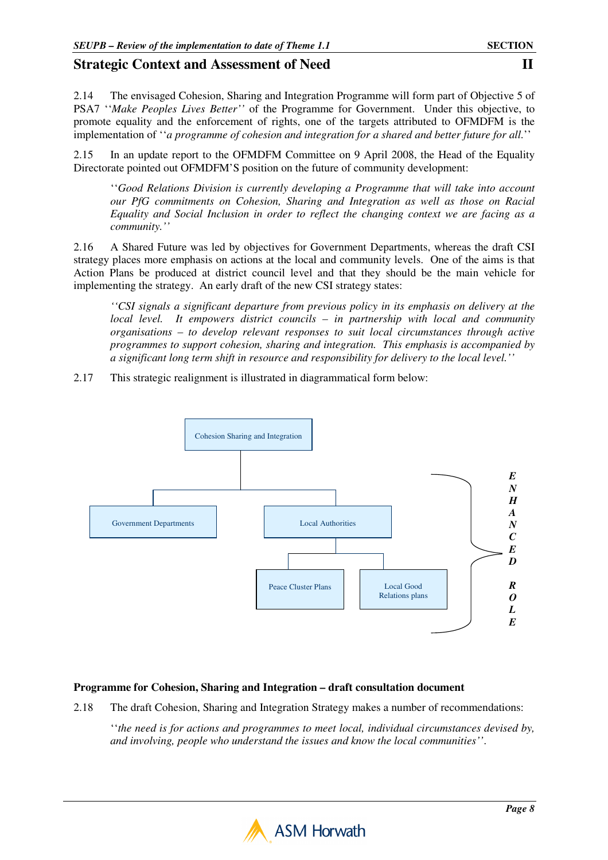2.14 The envisaged Cohesion, Sharing and Integration Programme will form part of Objective 5 of PSA7 ''*Make Peoples Lives Better''* of the Programme for Government. Under this objective, to promote equality and the enforcement of rights, one of the targets attributed to OFMDFM is the implementation of ''*a programme of cohesion and integration for a shared and better future for all.*''

2.15 In an update report to the OFMDFM Committee on 9 April 2008, the Head of the Equality Directorate pointed out OFMDFM'S position on the future of community development:

''*Good Relations Division is currently developing a Programme that will take into account our PfG commitments on Cohesion, Sharing and Integration as well as those on Racial Equality and Social Inclusion in order to reflect the changing context we are facing as a community.''*

2.16 A Shared Future was led by objectives for Government Departments, whereas the draft CSI strategy places more emphasis on actions at the local and community levels. One of the aims is that Action Plans be produced at district council level and that they should be the main vehicle for implementing the strategy. An early draft of the new CSI strategy states:

*''CSI signals a significant departure from previous policy in its emphasis on delivery at the local level. It empowers district councils – in partnership with local and community organisations – to develop relevant responses to suit local circumstances through active programmes to support cohesion, sharing and integration. This emphasis is accompanied by a significant long term shift in resource and responsibility for delivery to the local level.''* 

2.17 This strategic realignment is illustrated in diagrammatical form below:



### **Programme for Cohesion, Sharing and Integration – draft consultation document**

2.18 The draft Cohesion, Sharing and Integration Strategy makes a number of recommendations:

''*the need is for actions and programmes to meet local, individual circumstances devised by, and involving, people who understand the issues and know the local communities''*.

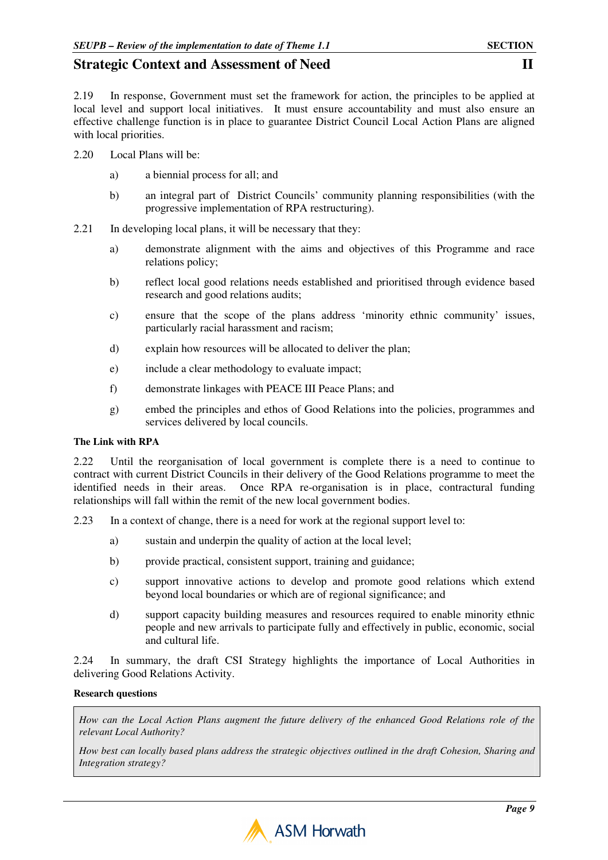2.19 In response, Government must set the framework for action, the principles to be applied at local level and support local initiatives. It must ensure accountability and must also ensure an effective challenge function is in place to guarantee District Council Local Action Plans are aligned with local priorities.

- 2.20 Local Plans will be:
	- a) a biennial process for all; and
	- b) an integral part of District Councils' community planning responsibilities (with the progressive implementation of RPA restructuring).
- 2.21 In developing local plans, it will be necessary that they:
	- a) demonstrate alignment with the aims and objectives of this Programme and race relations policy;
	- b) reflect local good relations needs established and prioritised through evidence based research and good relations audits;
	- c) ensure that the scope of the plans address 'minority ethnic community' issues, particularly racial harassment and racism;
	- d) explain how resources will be allocated to deliver the plan;
	- e) include a clear methodology to evaluate impact;
	- f) demonstrate linkages with PEACE III Peace Plans; and
	- g) embed the principles and ethos of Good Relations into the policies, programmes and services delivered by local councils.

#### **The Link with RPA**

2.22 Until the reorganisation of local government is complete there is a need to continue to contract with current District Councils in their delivery of the Good Relations programme to meet the identified needs in their areas. Once RPA re-organisation is in place, contractural funding relationships will fall within the remit of the new local government bodies.

- 2.23 In a context of change, there is a need for work at the regional support level to:
	- a) sustain and underpin the quality of action at the local level;
	- b) provide practical, consistent support, training and guidance;
	- c) support innovative actions to develop and promote good relations which extend beyond local boundaries or which are of regional significance; and
	- d) support capacity building measures and resources required to enable minority ethnic people and new arrivals to participate fully and effectively in public, economic, social and cultural life.

2.24 In summary, the draft CSI Strategy highlights the importance of Local Authorities in delivering Good Relations Activity.

#### **Research questions**

*How can the Local Action Plans augment the future delivery of the enhanced Good Relations role of the relevant Local Authority?* 

*How best can locally based plans address the strategic objectives outlined in the draft Cohesion, Sharing and Integration strategy?* 

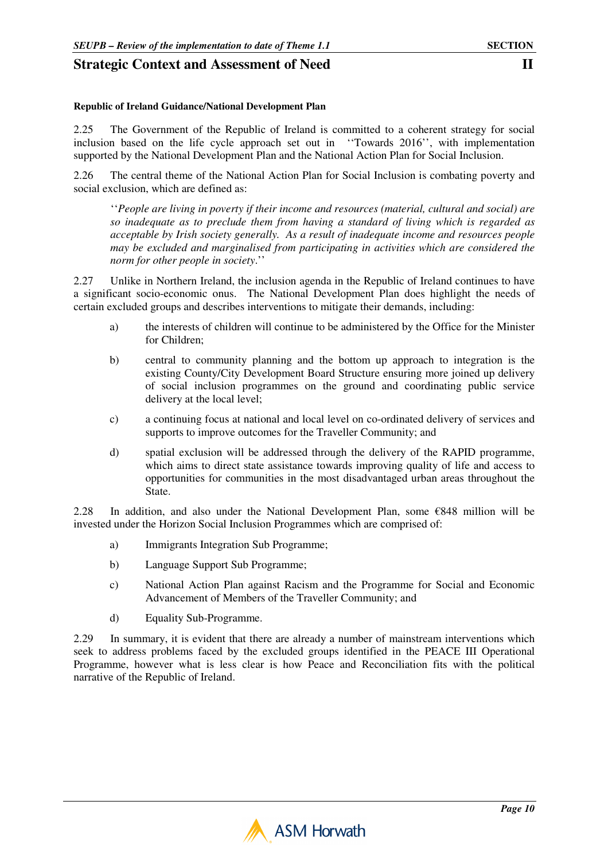#### **Republic of Ireland Guidance/National Development Plan**

2.25 The Government of the Republic of Ireland is committed to a coherent strategy for social inclusion based on the life cycle approach set out in ''Towards 2016'', with implementation supported by the National Development Plan and the National Action Plan for Social Inclusion.

2.26 The central theme of the National Action Plan for Social Inclusion is combating poverty and social exclusion, which are defined as:

''*People are living in poverty if their income and resources (material, cultural and social) are so inadequate as to preclude them from having a standard of living which is regarded as acceptable by Irish society generally. As a result of inadequate income and resources people may be excluded and marginalised from participating in activities which are considered the norm for other people in society*.''

2.27 Unlike in Northern Ireland, the inclusion agenda in the Republic of Ireland continues to have a significant socio-economic onus. The National Development Plan does highlight the needs of certain excluded groups and describes interventions to mitigate their demands, including:

- a) the interests of children will continue to be administered by the Office for the Minister for Children;
- b) central to community planning and the bottom up approach to integration is the existing County/City Development Board Structure ensuring more joined up delivery of social inclusion programmes on the ground and coordinating public service delivery at the local level;
- c) a continuing focus at national and local level on co-ordinated delivery of services and supports to improve outcomes for the Traveller Community; and
- d) spatial exclusion will be addressed through the delivery of the RAPID programme, which aims to direct state assistance towards improving quality of life and access to opportunities for communities in the most disadvantaged urban areas throughout the State.

2.28 In addition, and also under the National Development Plan, some  $€848$  million will be invested under the Horizon Social Inclusion Programmes which are comprised of:

- a) Immigrants Integration Sub Programme;
- b) Language Support Sub Programme;
- c) National Action Plan against Racism and the Programme for Social and Economic Advancement of Members of the Traveller Community; and
- d) Equality Sub-Programme.

2.29 In summary, it is evident that there are already a number of mainstream interventions which seek to address problems faced by the excluded groups identified in the PEACE III Operational Programme, however what is less clear is how Peace and Reconciliation fits with the political narrative of the Republic of Ireland.

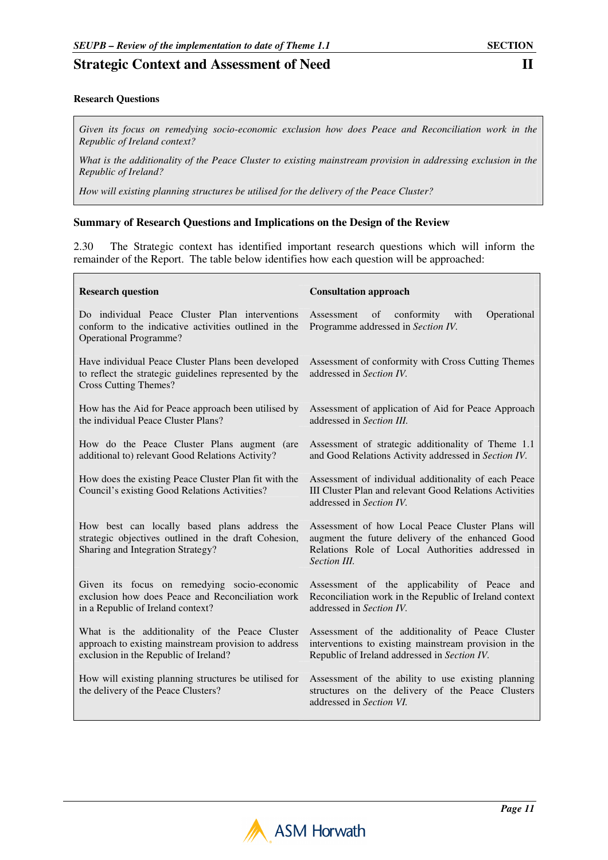#### **Research Questions**

*Given its focus on remedying socio-economic exclusion how does Peace and Reconciliation work in the Republic of Ireland context?* 

*What is the additionality of the Peace Cluster to existing mainstream provision in addressing exclusion in the Republic of Ireland?* 

*How will existing planning structures be utilised for the delivery of the Peace Cluster?* 

#### **Summary of Research Questions and Implications on the Design of the Review**

2.30 The Strategic context has identified important research questions which will inform the remainder of the Report. The table below identifies how each question will be approached:

| <b>Research question</b>                                                                                                                        | <b>Consultation approach</b>                                                                                                                                             |  |  |
|-------------------------------------------------------------------------------------------------------------------------------------------------|--------------------------------------------------------------------------------------------------------------------------------------------------------------------------|--|--|
| Do individual Peace Cluster Plan interventions<br>conform to the indicative activities outlined in the<br><b>Operational Programme?</b>         | $\sigma$<br>conformity<br>with<br>Operational<br>Assessment<br>Programme addressed in Section IV.                                                                        |  |  |
| Have individual Peace Cluster Plans been developed<br>to reflect the strategic guidelines represented by the<br><b>Cross Cutting Themes?</b>    | Assessment of conformity with Cross Cutting Themes<br>addressed in Section IV.                                                                                           |  |  |
| How has the Aid for Peace approach been utilised by<br>the individual Peace Cluster Plans?                                                      | Assessment of application of Aid for Peace Approach<br>addressed in Section III.                                                                                         |  |  |
| How do the Peace Cluster Plans augment (are<br>additional to) relevant Good Relations Activity?                                                 | Assessment of strategic additionality of Theme 1.1<br>and Good Relations Activity addressed in Section IV.                                                               |  |  |
| How does the existing Peace Cluster Plan fit with the<br>Council's existing Good Relations Activities?                                          | Assessment of individual additionality of each Peace<br><b>III Cluster Plan and relevant Good Relations Activities</b><br>addressed in Section IV.                       |  |  |
| How best can locally based plans address the<br>strategic objectives outlined in the draft Cohesion,<br>Sharing and Integration Strategy?       | Assessment of how Local Peace Cluster Plans will<br>augment the future delivery of the enhanced Good<br>Relations Role of Local Authorities addressed in<br>Section III. |  |  |
| Given its focus on remedying socio-economic<br>exclusion how does Peace and Reconciliation work<br>in a Republic of Ireland context?            | Assessment of the applicability of Peace and<br>Reconciliation work in the Republic of Ireland context<br>addressed in Section IV.                                       |  |  |
| What is the additionality of the Peace Cluster<br>approach to existing mainstream provision to address<br>exclusion in the Republic of Ireland? | Assessment of the additionality of Peace Cluster<br>interventions to existing mainstream provision in the<br>Republic of Ireland addressed in Section IV.                |  |  |
| How will existing planning structures be utilised for<br>the delivery of the Peace Clusters?                                                    | Assessment of the ability to use existing planning<br>structures on the delivery of the Peace Clusters<br>addressed in Section VI.                                       |  |  |

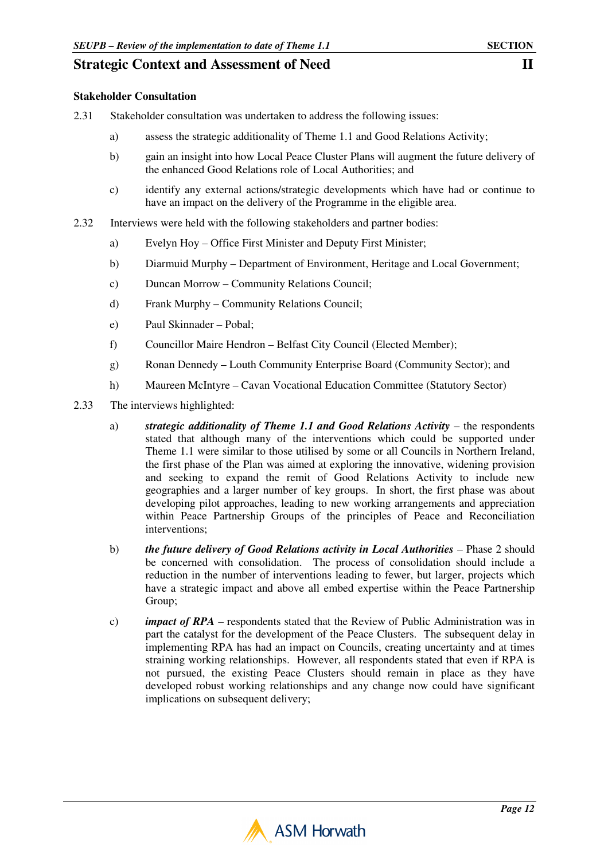### **Stakeholder Consultation**

- 2.31 Stakeholder consultation was undertaken to address the following issues:
	- a) assess the strategic additionality of Theme 1.1 and Good Relations Activity;
	- b) gain an insight into how Local Peace Cluster Plans will augment the future delivery of the enhanced Good Relations role of Local Authorities; and
	- c) identify any external actions/strategic developments which have had or continue to have an impact on the delivery of the Programme in the eligible area.
- 2.32 Interviews were held with the following stakeholders and partner bodies:
	- a) Evelyn Hoy Office First Minister and Deputy First Minister;
	- b) Diarmuid Murphy Department of Environment, Heritage and Local Government;
	- c) Duncan Morrow Community Relations Council;
	- d) Frank Murphy Community Relations Council;
	- e) Paul Skinnader Pobal;
	- f) Councillor Maire Hendron Belfast City Council (Elected Member);
	- g) Ronan Dennedy Louth Community Enterprise Board (Community Sector); and
	- h) Maureen McIntyre Cavan Vocational Education Committee (Statutory Sector)
- 2.33 The interviews highlighted:
	- a) *strategic additionality of Theme 1.1 and Good Relations Activity* the respondents stated that although many of the interventions which could be supported under Theme 1.1 were similar to those utilised by some or all Councils in Northern Ireland, the first phase of the Plan was aimed at exploring the innovative, widening provision and seeking to expand the remit of Good Relations Activity to include new geographies and a larger number of key groups. In short, the first phase was about developing pilot approaches, leading to new working arrangements and appreciation within Peace Partnership Groups of the principles of Peace and Reconciliation interventions;
	- b) *the future delivery of Good Relations activity in Local Authorities* Phase 2 should be concerned with consolidation. The process of consolidation should include a reduction in the number of interventions leading to fewer, but larger, projects which have a strategic impact and above all embed expertise within the Peace Partnership Group;
	- c) *impact of RPA*  respondents stated that the Review of Public Administration was in part the catalyst for the development of the Peace Clusters. The subsequent delay in implementing RPA has had an impact on Councils, creating uncertainty and at times straining working relationships. However, all respondents stated that even if RPA is not pursued, the existing Peace Clusters should remain in place as they have developed robust working relationships and any change now could have significant implications on subsequent delivery;

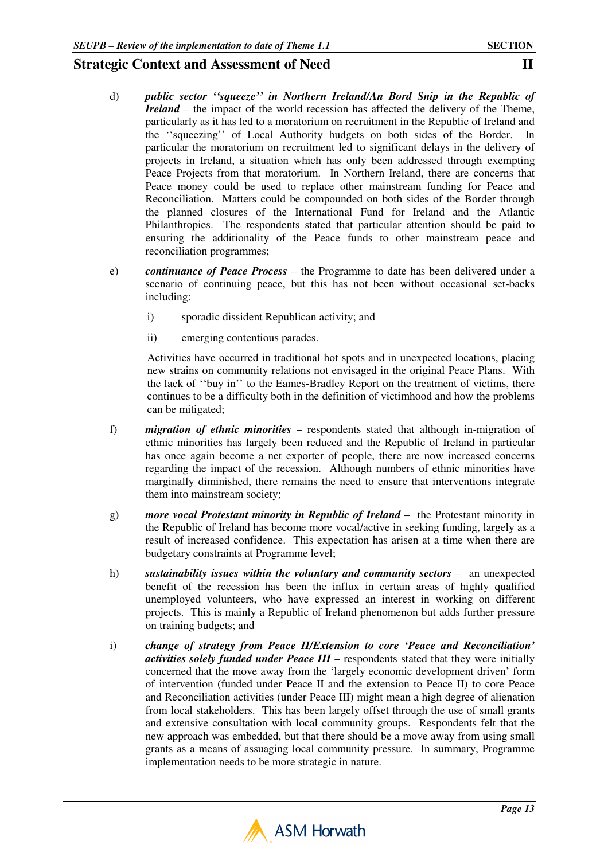- d) *public sector ''squeeze'' in Northern Ireland/An Bord Snip in the Republic of Ireland* – the impact of the world recession has affected the delivery of the Theme, particularly as it has led to a moratorium on recruitment in the Republic of Ireland and the ''squeezing'' of Local Authority budgets on both sides of the Border. In particular the moratorium on recruitment led to significant delays in the delivery of projects in Ireland, a situation which has only been addressed through exempting Peace Projects from that moratorium. In Northern Ireland, there are concerns that Peace money could be used to replace other mainstream funding for Peace and Reconciliation. Matters could be compounded on both sides of the Border through the planned closures of the International Fund for Ireland and the Atlantic Philanthropies. The respondents stated that particular attention should be paid to ensuring the additionality of the Peace funds to other mainstream peace and reconciliation programmes;
- e) *continuance of Peace Process* the Programme to date has been delivered under a scenario of continuing peace, but this has not been without occasional set-backs including:
	- i) sporadic dissident Republican activity; and
	- ii) emerging contentious parades.

Activities have occurred in traditional hot spots and in unexpected locations, placing new strains on community relations not envisaged in the original Peace Plans. With the lack of ''buy in'' to the Eames-Bradley Report on the treatment of victims, there continues to be a difficulty both in the definition of victimhood and how the problems can be mitigated;

- f) *migration of ethnic minorities* respondents stated that although in-migration of ethnic minorities has largely been reduced and the Republic of Ireland in particular has once again become a net exporter of people, there are now increased concerns regarding the impact of the recession. Although numbers of ethnic minorities have marginally diminished, there remains the need to ensure that interventions integrate them into mainstream society;
- g) *more vocal Protestant minority in Republic of Ireland* the Protestant minority in the Republic of Ireland has become more vocal/active in seeking funding, largely as a result of increased confidence. This expectation has arisen at a time when there are budgetary constraints at Programme level;
- h) *sustainability issues within the voluntary and community sectors –* **an unexpected** benefit of the recession has been the influx in certain areas of highly qualified unemployed volunteers, who have expressed an interest in working on different projects. This is mainly a Republic of Ireland phenomenon but adds further pressure on training budgets; and
- i) *change of strategy from Peace II/Extension to core 'Peace and Reconciliation' activities solely funded under Peace III* – respondents stated that they were initially concerned that the move away from the 'largely economic development driven' form of intervention (funded under Peace II and the extension to Peace II) to core Peace and Reconciliation activities (under Peace III) might mean a high degree of alienation from local stakeholders. This has been largely offset through the use of small grants and extensive consultation with local community groups. Respondents felt that the new approach was embedded, but that there should be a move away from using small grants as a means of assuaging local community pressure. In summary, Programme implementation needs to be more strategic in nature.

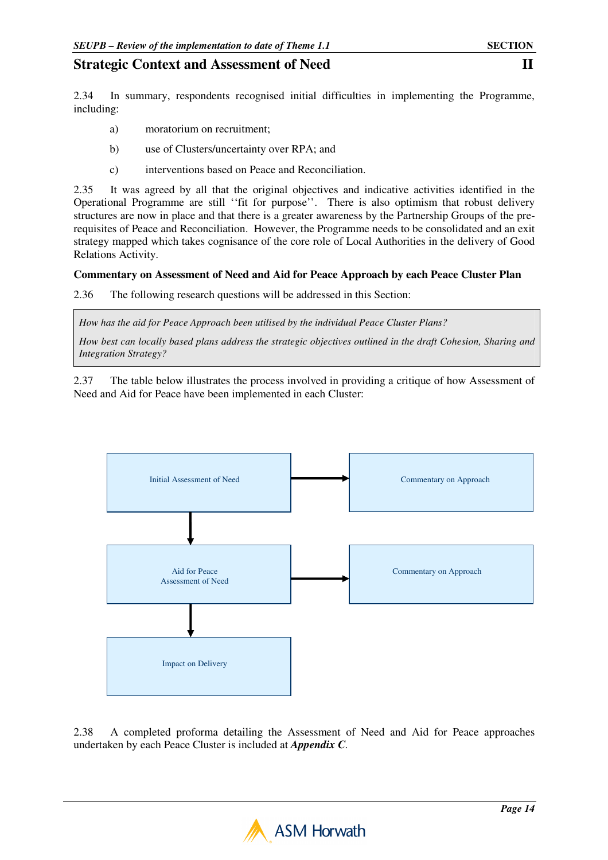2.34 In summary, respondents recognised initial difficulties in implementing the Programme, including:

- a) moratorium on recruitment;
- b) use of Clusters/uncertainty over RPA; and
- c) interventions based on Peace and Reconciliation.

2.35 It was agreed by all that the original objectives and indicative activities identified in the Operational Programme are still ''fit for purpose''. There is also optimism that robust delivery structures are now in place and that there is a greater awareness by the Partnership Groups of the prerequisites of Peace and Reconciliation. However, the Programme needs to be consolidated and an exit strategy mapped which takes cognisance of the core role of Local Authorities in the delivery of Good Relations Activity.

### **Commentary on Assessment of Need and Aid for Peace Approach by each Peace Cluster Plan**

2.36 The following research questions will be addressed in this Section:

*How has the aid for Peace Approach been utilised by the individual Peace Cluster Plans?* 

*How best can locally based plans address the strategic objectives outlined in the draft Cohesion, Sharing and Integration Strategy?*

2.37 The table below illustrates the process involved in providing a critique of how Assessment of Need and Aid for Peace have been implemented in each Cluster:



2.38 A completed proforma detailing the Assessment of Need and Aid for Peace approaches undertaken by each Peace Cluster is included at *Appendix C.* 

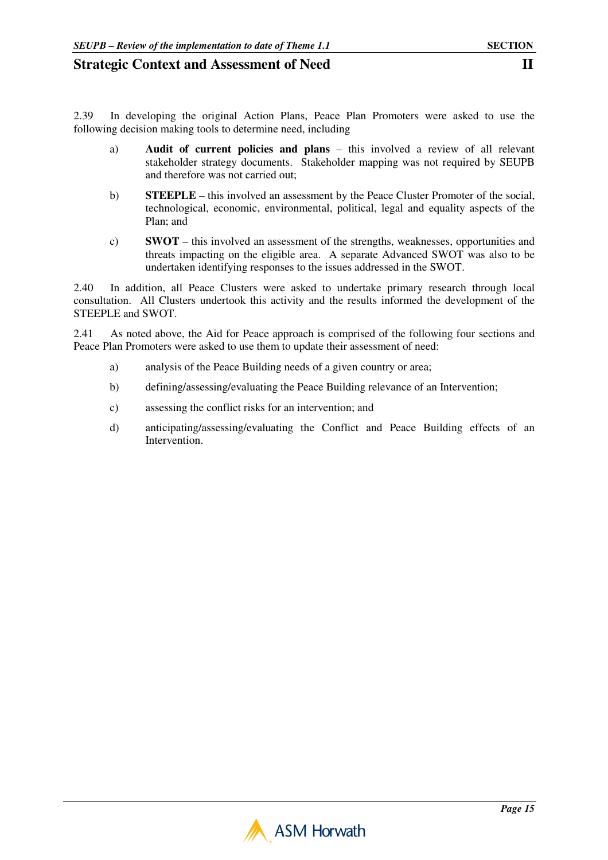2.39 In developing the original Action Plans, Peace Plan Promoters were asked to use the following decision making tools to determine need, including

- a) **Audit of current policies and plans** this involved a review of all relevant stakeholder strategy documents. Stakeholder mapping was not required by SEUPB and therefore was not carried out;
- b) **STEEPLE** this involved an assessment by the Peace Cluster Promoter of the social, technological, economic, environmental, political, legal and equality aspects of the Plan; and
- c) **SWOT** this involved an assessment of the strengths, weaknesses, opportunities and threats impacting on the eligible area. A separate Advanced SWOT was also to be undertaken identifying responses to the issues addressed in the SWOT.

2.40 In addition, all Peace Clusters were asked to undertake primary research through local consultation. All Clusters undertook this activity and the results informed the development of the STEEPLE and SWOT.

2.41 As noted above, the Aid for Peace approach is comprised of the following four sections and Peace Plan Promoters were asked to use them to update their assessment of need:

- a) analysis of the Peace Building needs of a given country or area;
- b) defining/assessing/evaluating the Peace Building relevance of an Intervention;
- c) assessing the conflict risks for an intervention; and
- d) anticipating/assessing/evaluating the Conflict and Peace Building effects of an Intervention.

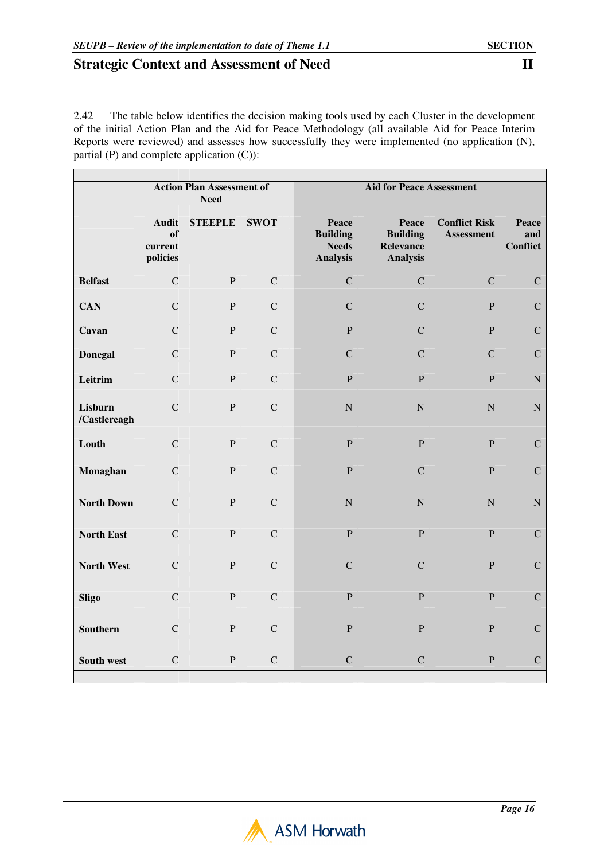2.42 The table below identifies the decision making tools used by each Cluster in the development of the initial Action Plan and the Aid for Peace Methodology (all available Aid for Peace Interim Reports were reviewed) and assesses how successfully they were implemented (no application (N), partial (P) and complete application (C)):

|                         | <b>Action Plan Assessment of</b><br><b>Need</b> |                |              | <b>Aid for Peace Assessment</b>                             |                                                                 |                                           |                                 |
|-------------------------|-------------------------------------------------|----------------|--------------|-------------------------------------------------------------|-----------------------------------------------------------------|-------------------------------------------|---------------------------------|
|                         | <b>Audit</b><br>of<br>current<br>policies       | <b>STEEPLE</b> | <b>SWOT</b>  | Peace<br><b>Building</b><br><b>Needs</b><br><b>Analysis</b> | Peace<br><b>Building</b><br><b>Relevance</b><br><b>Analysis</b> | <b>Conflict Risk</b><br><b>Assessment</b> | <b>Peace</b><br>and<br>Conflict |
| <b>Belfast</b>          | $\mathbf C$                                     | ${\bf P}$      | $\mathsf{C}$ | $\mathbf C$                                                 | $\mathbf C$                                                     | $\mathbf C$                               | $\mathbf C$                     |
| <b>CAN</b>              | $\mathbf C$                                     | ${\bf P}$      | $\mathsf{C}$ | $\mathbf C$                                                 | $\mathbf C$                                                     | $\mathbf{P}$                              | ${\bf C}$                       |
| Cavan                   | $\mathcal{C}$                                   | $\mathbf{P}$   | $\mathbf C$  | $\mathbf{P}$                                                | $\mathbf C$                                                     | $\mathbf{P}$                              | ${\bf C}$                       |
| <b>Donegal</b>          | $\mathbf C$                                     | $\mathbf{P}$   | $\mathbf C$  | $\mathbf C$                                                 | $\mathbf C$                                                     | $\mathbf C$                               | $\mathbf C$                     |
| Leitrim                 | $\mathbf C$                                     | $\mathbf P$    | $\mathbf C$  | $\mathbf{P}$                                                | $\mathbf{P}$                                                    | $\overline{P}$                            | ${\bf N}$                       |
| Lisburn<br>/Castlereagh | $\mathbf C$                                     | ${\bf P}$      | $\mathbf C$  | ${\bf N}$                                                   | ${\bf N}$                                                       | ${\bf N}$                                 | ${\bf N}$                       |
| Louth                   | $\mathbf C$                                     | $\, {\bf P}$   | $\mathsf{C}$ | $\mathbf{P}$                                                | ${\bf P}$                                                       | $\overline{P}$                            | $\mathbf C$                     |
| Monaghan                | $\mathbf C$                                     | ${\bf P}$      | $\mathbf C$  | ${\bf P}$                                                   | $\mathbf C$                                                     | $\, {\bf P}$                              | ${\bf C}$                       |
| <b>North Down</b>       | $\mathsf{C}$                                    | $\overline{P}$ | $\mathbf C$  | $\mathbf N$                                                 | ${\bf N}$                                                       | ${\bf N}$                                 | ${\bf N}$                       |
| <b>North East</b>       | $\mathbf C$                                     | $\mathbf{P}$   | $\mathsf{C}$ | $\mathbf{P}$                                                | ${\bf P}$                                                       | $\mathbf{P}$                              | ${\bf C}$                       |
| <b>North West</b>       | $\mathbf C$                                     | ${\bf P}$      | $\mathsf{C}$ | $\mathbf C$                                                 | $\mathbf C$                                                     | $\, {\bf P}$                              | $\mathbf C$                     |
| <b>Sligo</b>            | $\mathsf{C}$                                    | $\overline{P}$ | $\mathbf C$  | $\mathbf{P}$                                                | $\overline{P}$                                                  | $\mathbf{P}$                              | $\mathbf C$                     |
| <b>Southern</b>         | $\mathbf C$                                     | ${\bf P}$      | $\mathsf{C}$ | $\mathbf{P}$                                                | ${\bf P}$                                                       | $\, {\bf P}$                              | ${\bf C}$                       |
| South west              | $\mathbf C$                                     | ${\bf P}$      | $\mathbf C$  | $\mathbf C$                                                 | $\mathbf C$                                                     | P                                         | $\mathbf C$                     |

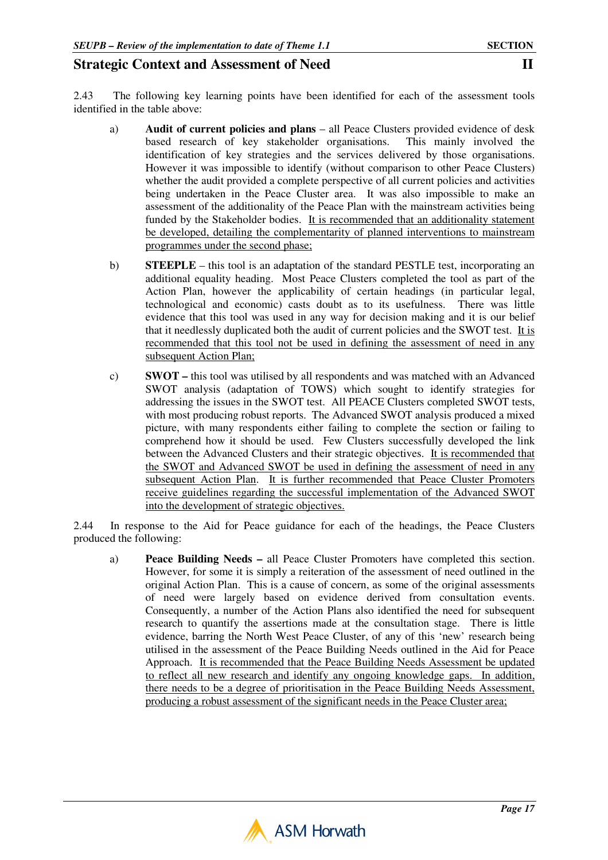2.43 The following key learning points have been identified for each of the assessment tools identified in the table above:

- a) **Audit of current policies and plans** all Peace Clusters provided evidence of desk based research of key stakeholder organisations. This mainly involved the identification of key strategies and the services delivered by those organisations. However it was impossible to identify (without comparison to other Peace Clusters) whether the audit provided a complete perspective of all current policies and activities being undertaken in the Peace Cluster area. It was also impossible to make an assessment of the additionality of the Peace Plan with the mainstream activities being funded by the Stakeholder bodies. It is recommended that an additionality statement be developed, detailing the complementarity of planned interventions to mainstream programmes under the second phase;
- b) **STEEPLE** this tool is an adaptation of the standard PESTLE test, incorporating an additional equality heading. Most Peace Clusters completed the tool as part of the Action Plan, however the applicability of certain headings (in particular legal, technological and economic) casts doubt as to its usefulness. There was little evidence that this tool was used in any way for decision making and it is our belief that it needlessly duplicated both the audit of current policies and the SWOT test. It is recommended that this tool not be used in defining the assessment of need in any subsequent Action Plan;
- c) **SWOT** this tool was utilised by all respondents and was matched with an Advanced SWOT analysis (adaptation of TOWS) which sought to identify strategies for addressing the issues in the SWOT test.All PEACE Clusters completed SWOT tests, with most producing robust reports. The Advanced SWOT analysis produced a mixed picture, with many respondents either failing to complete the section or failing to comprehend how it should be used. Few Clusters successfully developed the link between the Advanced Clusters and their strategic objectives. It is recommended that the SWOT and Advanced SWOT be used in defining the assessment of need in any subsequent Action Plan. It is further recommended that Peace Cluster Promoters receive guidelines regarding the successful implementation of the Advanced SWOT into the development of strategic objectives.

2.44 In response to the Aid for Peace guidance for each of the headings, the Peace Clusters produced the following:

a) **Peace Building Needs –** all Peace Cluster Promoters have completed this section. However, for some it is simply a reiteration of the assessment of need outlined in the original Action Plan. This is a cause of concern, as some of the original assessments of need were largely based on evidence derived from consultation events. Consequently, a number of the Action Plans also identified the need for subsequent research to quantify the assertions made at the consultation stage. There is little evidence, barring the North West Peace Cluster, of any of this 'new' research being utilised in the assessment of the Peace Building Needs outlined in the Aid for Peace Approach. It is recommended that the Peace Building Needs Assessment be updated to reflect all new research and identify any ongoing knowledge gaps. In addition, there needs to be a degree of prioritisation in the Peace Building Needs Assessment, producing a robust assessment of the significant needs in the Peace Cluster area;

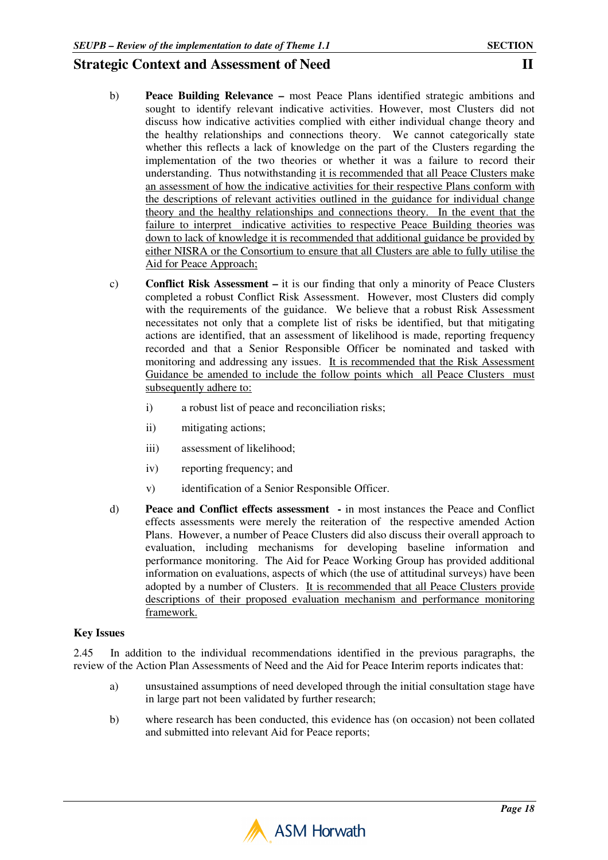- b) **Peace Building Relevance** most Peace Plans identified strategic ambitions and sought to identify relevant indicative activities. However, most Clusters did not discuss how indicative activities complied with either individual change theory and the healthy relationships and connections theory. We cannot categorically state whether this reflects a lack of knowledge on the part of the Clusters regarding the implementation of the two theories or whether it was a failure to record their understanding. Thus notwithstanding it is recommended that all Peace Clusters make an assessment of how the indicative activities for their respective Plans conform with the descriptions of relevant activities outlined in the guidance for individual change theory and the healthy relationships and connections theory. In the event that the failure to interpret indicative activities to respective Peace Building theories was down to lack of knowledge it is recommended that additional guidance be provided by either NISRA or the Consortium to ensure that all Clusters are able to fully utilise the Aid for Peace Approach;
- c) **Conflict Risk Assessment** it is our finding that only a minority of Peace Clusters completed a robust Conflict Risk Assessment. However, most Clusters did comply with the requirements of the guidance. We believe that a robust Risk Assessment necessitates not only that a complete list of risks be identified, but that mitigating actions are identified, that an assessment of likelihood is made, reporting frequency recorded and that a Senior Responsible Officer be nominated and tasked with monitoring and addressing any issues. It is recommended that the Risk Assessment Guidance be amended to include the follow points which all Peace Clusters must subsequently adhere to:
	- i) a robust list of peace and reconciliation risks;
	- ii) mitigating actions;
	- iii) assessment of likelihood;
	- iv) reporting frequency; and
	- v) identification of a Senior Responsible Officer.
- d) **Peace and Conflict effects assessment** in most instances the Peace and Conflict effects assessments were merely the reiteration of the respective amended Action Plans. However, a number of Peace Clusters did also discuss their overall approach to evaluation, including mechanisms for developing baseline information and performance monitoring. The Aid for Peace Working Group has provided additional information on evaluations, aspects of which (the use of attitudinal surveys) have been adopted by a number of Clusters. It is recommended that all Peace Clusters provide descriptions of their proposed evaluation mechanism and performance monitoring framework.

### **Key Issues**

2.45 In addition to the individual recommendations identified in the previous paragraphs, the review of the Action Plan Assessments of Need and the Aid for Peace Interim reports indicates that:

- a) unsustained assumptions of need developed through the initial consultation stage have in large part not been validated by further research;
- b) where research has been conducted, this evidence has (on occasion) not been collated and submitted into relevant Aid for Peace reports;

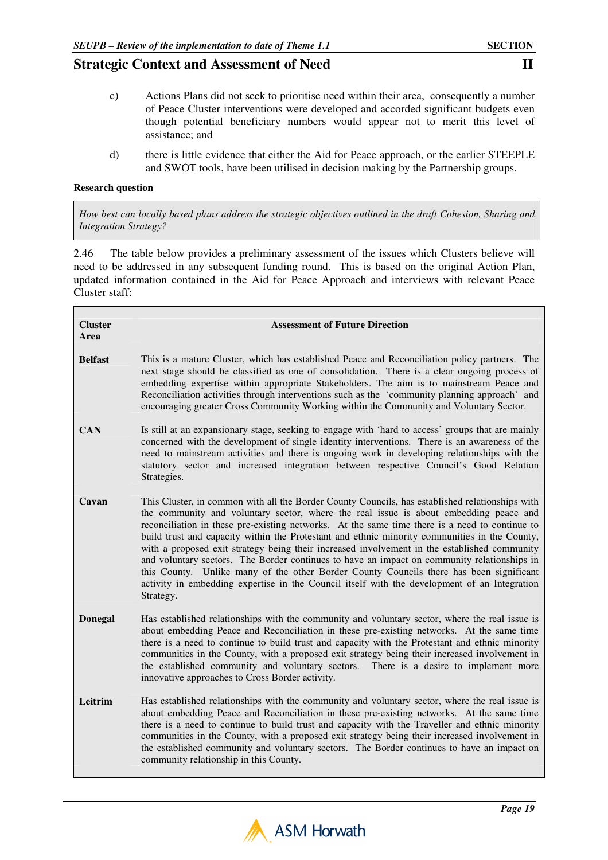- c) Actions Plans did not seek to prioritise need within their area, consequently a number of Peace Cluster interventions were developed and accorded significant budgets even though potential beneficiary numbers would appear not to merit this level of assistance; and
- d) there is little evidence that either the Aid for Peace approach, or the earlier STEEPLE and SWOT tools, have been utilised in decision making by the Partnership groups.

#### **Research question**

 $\blacksquare$ 

*How best can locally based plans address the strategic objectives outlined in the draft Cohesion, Sharing and Integration Strategy?* 

2.46 The table below provides a preliminary assessment of the issues which Clusters believe will need to be addressed in any subsequent funding round. This is based on the original Action Plan, updated information contained in the Aid for Peace Approach and interviews with relevant Peace Cluster staff:

| <b>Cluster</b><br>Area | <b>Assessment of Future Direction</b>                                                                                                                                                                                                                                                                                                                                                                                                                                                                                                                                                                                                                                                                                                                                                              |
|------------------------|----------------------------------------------------------------------------------------------------------------------------------------------------------------------------------------------------------------------------------------------------------------------------------------------------------------------------------------------------------------------------------------------------------------------------------------------------------------------------------------------------------------------------------------------------------------------------------------------------------------------------------------------------------------------------------------------------------------------------------------------------------------------------------------------------|
| <b>Belfast</b>         | This is a mature Cluster, which has established Peace and Reconciliation policy partners. The<br>next stage should be classified as one of consolidation. There is a clear ongoing process of<br>embedding expertise within appropriate Stakeholders. The aim is to mainstream Peace and<br>Reconciliation activities through interventions such as the 'community planning approach' and<br>encouraging greater Cross Community Working within the Community and Voluntary Sector.                                                                                                                                                                                                                                                                                                                |
| <b>CAN</b>             | Is still at an expansionary stage, seeking to engage with 'hard to access' groups that are mainly<br>concerned with the development of single identity interventions. There is an awareness of the<br>need to mainstream activities and there is ongoing work in developing relationships with the<br>statutory sector and increased integration between respective Council's Good Relation<br>Strategies.                                                                                                                                                                                                                                                                                                                                                                                         |
| Cavan                  | This Cluster, in common with all the Border County Councils, has established relationships with<br>the community and voluntary sector, where the real issue is about embedding peace and<br>reconciliation in these pre-existing networks. At the same time there is a need to continue to<br>build trust and capacity within the Protestant and ethnic minority communities in the County,<br>with a proposed exit strategy being their increased involvement in the established community<br>and voluntary sectors. The Border continues to have an impact on community relationships in<br>this County. Unlike many of the other Border County Councils there has been significant<br>activity in embedding expertise in the Council itself with the development of an Integration<br>Strategy. |
| <b>Donegal</b>         | Has established relationships with the community and voluntary sector, where the real issue is<br>about embedding Peace and Reconciliation in these pre-existing networks. At the same time<br>there is a need to continue to build trust and capacity with the Protestant and ethnic minority<br>communities in the County, with a proposed exit strategy being their increased involvement in<br>the established community and voluntary sectors. There is a desire to implement more<br>innovative approaches to Cross Border activity.                                                                                                                                                                                                                                                         |
| Leitrim                | Has established relationships with the community and voluntary sector, where the real issue is<br>about embedding Peace and Reconciliation in these pre-existing networks. At the same time<br>there is a need to continue to build trust and capacity with the Traveller and ethnic minority<br>communities in the County, with a proposed exit strategy being their increased involvement in<br>the established community and voluntary sectors. The Border continues to have an impact on<br>community relationship in this County.                                                                                                                                                                                                                                                             |

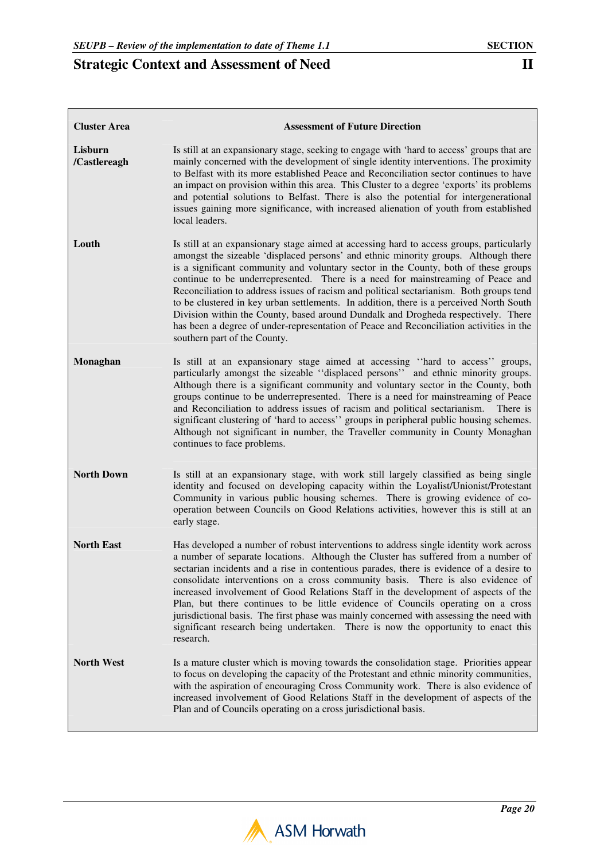$\mathbf{r}$ 

| <b>Cluster Area</b>     | <b>Assessment of Future Direction</b>                                                                                                                                                                                                                                                                                                                                                                                                                                                                                                                                                                                                                                                                                                                           |
|-------------------------|-----------------------------------------------------------------------------------------------------------------------------------------------------------------------------------------------------------------------------------------------------------------------------------------------------------------------------------------------------------------------------------------------------------------------------------------------------------------------------------------------------------------------------------------------------------------------------------------------------------------------------------------------------------------------------------------------------------------------------------------------------------------|
| Lisburn<br>/Castlereagh | Is still at an expansionary stage, seeking to engage with 'hard to access' groups that are<br>mainly concerned with the development of single identity interventions. The proximity<br>to Belfast with its more established Peace and Reconciliation sector continues to have<br>an impact on provision within this area. This Cluster to a degree 'exports' its problems<br>and potential solutions to Belfast. There is also the potential for intergenerational<br>issues gaining more significance, with increased alienation of youth from established<br>local leaders.                                                                                                                                                                                   |
| Louth                   | Is still at an expansionary stage aimed at accessing hard to access groups, particularly<br>amongst the sizeable 'displaced persons' and ethnic minority groups. Although there<br>is a significant community and voluntary sector in the County, both of these groups<br>continue to be underrepresented. There is a need for mainstreaming of Peace and<br>Reconciliation to address issues of racism and political sectarianism. Both groups tend<br>to be clustered in key urban settlements. In addition, there is a perceived North South<br>Division within the County, based around Dundalk and Drogheda respectively. There<br>has been a degree of under-representation of Peace and Reconciliation activities in the<br>southern part of the County. |
| Monaghan                | Is still at an expansionary stage aimed at accessing "hard to access" groups,<br>particularly amongst the sizeable "displaced persons" and ethnic minority groups.<br>Although there is a significant community and voluntary sector in the County, both<br>groups continue to be underrepresented. There is a need for mainstreaming of Peace<br>and Reconciliation to address issues of racism and political sectarianism.<br>There is<br>significant clustering of 'hard to access'' groups in peripheral public housing schemes.<br>Although not significant in number, the Traveller community in County Monaghan<br>continues to face problems.                                                                                                           |
| <b>North Down</b>       | Is still at an expansionary stage, with work still largely classified as being single<br>identity and focused on developing capacity within the Loyalist/Unionist/Protestant<br>Community in various public housing schemes. There is growing evidence of co-<br>operation between Councils on Good Relations activities, however this is still at an<br>early stage.                                                                                                                                                                                                                                                                                                                                                                                           |
| <b>North East</b>       | Has developed a number of robust interventions to address single identity work across<br>a number of separate locations. Although the Cluster has suffered from a number of<br>sectarian incidents and a rise in contentious parades, there is evidence of a desire to<br>consolidate interventions on a cross community basis. There is also evidence of<br>increased involvement of Good Relations Staff in the development of aspects of the<br>Plan, but there continues to be little evidence of Councils operating on a cross<br>jurisdictional basis. The first phase was mainly concerned with assessing the need with<br>significant research being undertaken. There is now the opportunity to enact this<br>research.                                |
| <b>North West</b>       | Is a mature cluster which is moving towards the consolidation stage. Priorities appear<br>to focus on developing the capacity of the Protestant and ethnic minority communities,<br>with the aspiration of encouraging Cross Community work. There is also evidence of<br>increased involvement of Good Relations Staff in the development of aspects of the<br>Plan and of Councils operating on a cross jurisdictional basis.                                                                                                                                                                                                                                                                                                                                 |

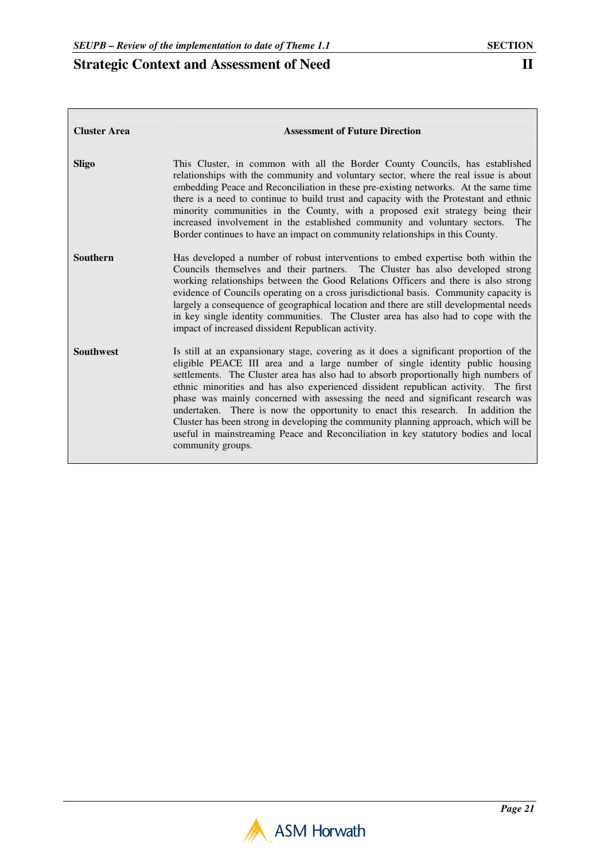| <b>Cluster Area</b> | <b>Assessment of Future Direction</b>                                                                                                                                                                                                                                                                                                                                                                                                                                                                                                                                                                                                                                                                                          |
|---------------------|--------------------------------------------------------------------------------------------------------------------------------------------------------------------------------------------------------------------------------------------------------------------------------------------------------------------------------------------------------------------------------------------------------------------------------------------------------------------------------------------------------------------------------------------------------------------------------------------------------------------------------------------------------------------------------------------------------------------------------|
| Sligo               | This Cluster, in common with all the Border County Councils, has established<br>relationships with the community and voluntary sector, where the real issue is about<br>embedding Peace and Reconciliation in these pre-existing networks. At the same time<br>there is a need to continue to build trust and capacity with the Protestant and ethnic<br>minority communities in the County, with a proposed exit strategy being their<br>increased involvement in the established community and voluntary sectors.<br>The<br>Border continues to have an impact on community relationships in this County.                                                                                                                    |
| <b>Southern</b>     | Has developed a number of robust interventions to embed expertise both within the<br>Councils themselves and their partners. The Cluster has also developed strong<br>working relationships between the Good Relations Officers and there is also strong<br>evidence of Councils operating on a cross jurisdictional basis. Community capacity is<br>largely a consequence of geographical location and there are still developmental needs<br>in key single identity communities. The Cluster area has also had to cope with the<br>impact of increased dissident Republican activity.                                                                                                                                        |
| <b>Southwest</b>    | Is still at an expansionary stage, covering as it does a significant proportion of the<br>eligible PEACE III area and a large number of single identity public housing<br>settlements. The Cluster area has also had to absorb proportionally high numbers of<br>ethnic minorities and has also experienced dissident republican activity. The first<br>phase was mainly concerned with assessing the need and significant research was<br>undertaken. There is now the opportunity to enact this research. In addition the<br>Cluster has been strong in developing the community planning approach, which will be<br>useful in mainstreaming Peace and Reconciliation in key statutory bodies and local<br>community groups. |

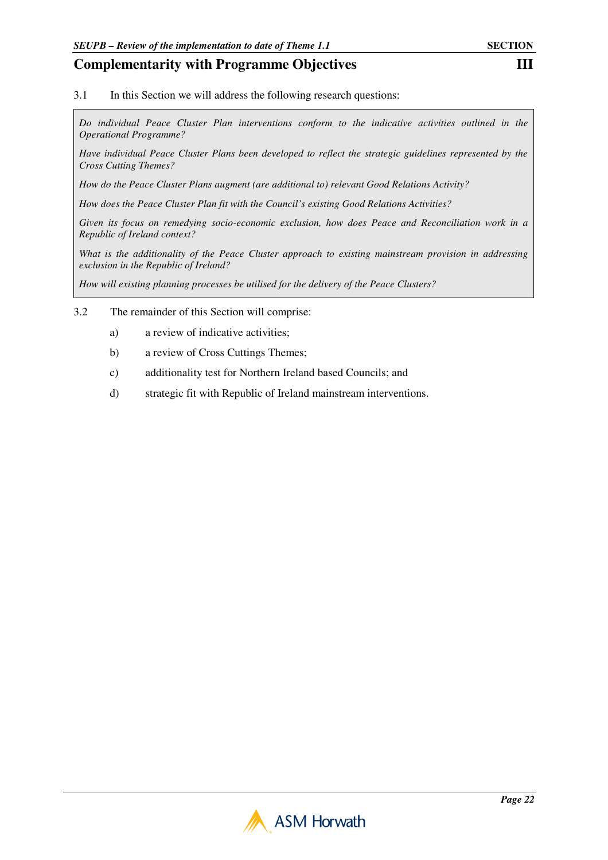3.1 In this Section we will address the following research questions:

*Do individual Peace Cluster Plan interventions conform to the indicative activities outlined in the Operational Programme?* 

*Have individual Peace Cluster Plans been developed to reflect the strategic guidelines represented by the Cross Cutting Themes?* 

*How do the Peace Cluster Plans augment (are additional to) relevant Good Relations Activity?* 

*How does the Peace Cluster Plan fit with the Council's existing Good Relations Activities?* 

*Given its focus on remedying socio-economic exclusion, how does Peace and Reconciliation work in a Republic of Ireland context?* 

*What is the additionality of the Peace Cluster approach to existing mainstream provision in addressing exclusion in the Republic of Ireland?* 

*How will existing planning processes be utilised for the delivery of the Peace Clusters?*

- 3.2 The remainder of this Section will comprise:
	- a) a review of indicative activities;
	- b) a review of Cross Cuttings Themes;
	- c) additionality test for Northern Ireland based Councils; and
	- d) strategic fit with Republic of Ireland mainstream interventions.

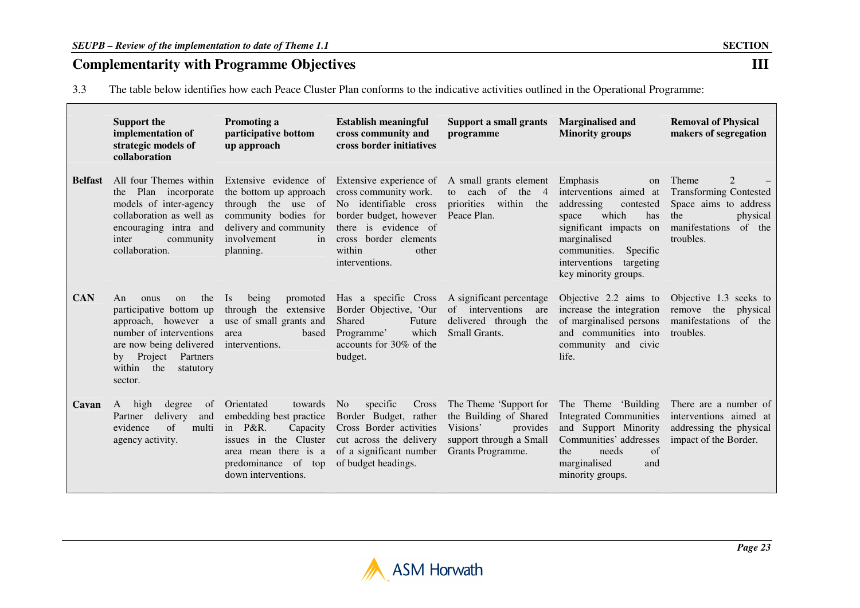3.3The table below identifies how each Peace Cluster Plan conforms to the indicative activities outlined in the Operational Programme:

|                | <b>Support the</b><br>implementation of<br>strategic models of<br>collaboration                                                                                                                 | Promoting a<br>participative bottom<br>up approach                                                                                                                                | <b>Establish meaningful</b><br>cross community and<br>cross border initiatives                                                                                       | <b>Support a small grants</b><br>programme                                                                               | <b>Marginalised and</b><br><b>Minority groups</b>                                                                                                                                                                                   | <b>Removal of Physical</b><br>makers of segregation                                                                                           |
|----------------|-------------------------------------------------------------------------------------------------------------------------------------------------------------------------------------------------|-----------------------------------------------------------------------------------------------------------------------------------------------------------------------------------|----------------------------------------------------------------------------------------------------------------------------------------------------------------------|--------------------------------------------------------------------------------------------------------------------------|-------------------------------------------------------------------------------------------------------------------------------------------------------------------------------------------------------------------------------------|-----------------------------------------------------------------------------------------------------------------------------------------------|
| <b>Belfast</b> | All four Themes within<br>the Plan incorporate<br>models of inter-agency<br>collaboration as well as<br>encouraging intra and<br>inter<br>community<br>collaboration.                           | Extensive evidence of Extensive experience of<br>the bottom up approach<br>through the use of<br>community bodies for<br>delivery and community<br>involvement<br>in<br>planning. | cross community work.<br>No identifiable cross<br>border budget, however<br>there is evidence of<br>cross border elements<br>within<br>other<br>interventions.       | A small grants element<br>of the<br>to each<br>$\overline{4}$<br>priorities<br>within<br>the<br>Peace Plan.              | Emphasis<br><sub>on</sub><br>interventions aimed at<br>addressing<br>contested<br>which<br>has<br>space<br>significant impacts on<br>marginalised<br>communities.<br>Specific<br>interventions<br>targeting<br>key minority groups. | Theme<br>$\overline{2}$<br><b>Transforming Contested</b><br>Space aims to address<br>the<br>physical<br>manifestations<br>of the<br>troubles. |
| <b>CAN</b>     | the<br>An<br>onus<br>on<br>participative bottom up<br>approach, however a<br>number of interventions<br>are now being delivered<br>by Project Partners<br>within<br>the<br>statutory<br>sector. | being<br><b>Is</b><br>through the extensive<br>use of small grants and<br>based<br>area<br>interventions.                                                                         | promoted Has a specific Cross A significant percentage<br>Border Objective, 'Our<br>Shared<br>Future<br>which<br>Programme'<br>accounts for 30% of the<br>budget.    | of interventions<br>are<br>delivered through<br>the<br>Small Grants.                                                     | Objective 2.2 aims to<br>increase the integration<br>of marginalised persons<br>and communities into<br>community and civic<br>life.                                                                                                | Objective 1.3 seeks to<br>remove the<br>physical<br>manifestations<br>of the<br>troubles.                                                     |
| Cavan          | A<br>high<br>degree<br>of<br>delivery<br>and<br>Partner<br>evidence<br>of<br>multi<br>agency activity.                                                                                          | Orientated<br>towards<br>embedding best practice<br>in $P\&R$ .<br>Capacity<br>the Cluster<br>issues in<br>area mean there is a<br>predominance of top<br>down interventions.     | specific<br>Cross<br>N <sub>o</sub><br>Border Budget, rather<br>Cross Border activities<br>cut across the delivery<br>of a significant number<br>of budget headings. | The Theme 'Support for<br>the Building of Shared<br>Visions'<br>provides<br>support through a Small<br>Grants Programme. | The Theme 'Building<br><b>Integrated Communities</b><br>and Support Minority<br>Communities' addresses<br>needs<br>the<br>of<br>marginalised<br>and<br>minority groups.                                                             | There are a number of<br>interventions aimed at<br>addressing the physical<br>impact of the Border.                                           |



 $III$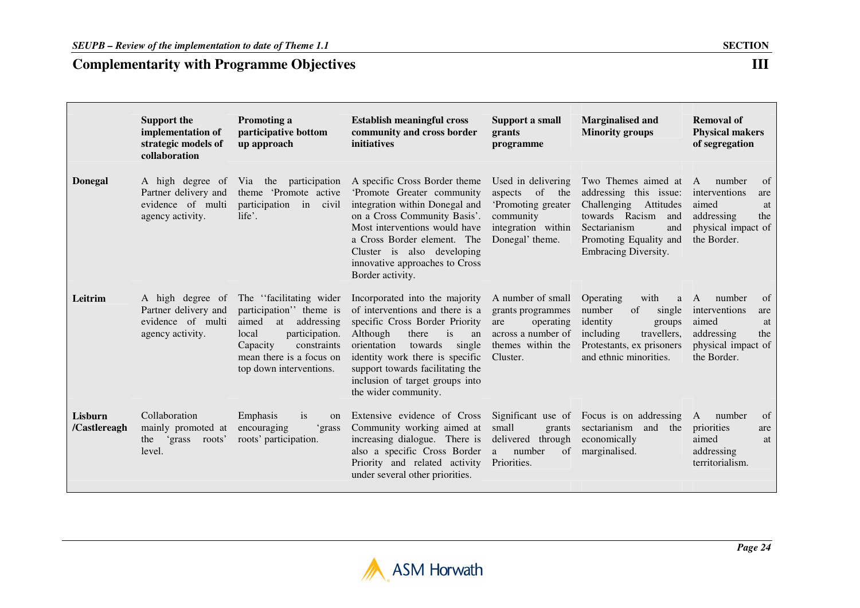|                         | <b>Support the</b><br>implementation of<br>strategic models of<br>collaboration   | <b>Promoting a</b><br>participative bottom<br>up approach                                                                                                                                     | <b>Establish meaningful cross</b><br>community and cross border<br>initiatives                                                                                                                                                                                                                             | Support a small<br>grants<br>programme                                                                                 | <b>Marginalised and</b><br><b>Minority groups</b>                                                                                                                           | <b>Removal of</b><br><b>Physical makers</b><br>of segregation                                                      |
|-------------------------|-----------------------------------------------------------------------------------|-----------------------------------------------------------------------------------------------------------------------------------------------------------------------------------------------|------------------------------------------------------------------------------------------------------------------------------------------------------------------------------------------------------------------------------------------------------------------------------------------------------------|------------------------------------------------------------------------------------------------------------------------|-----------------------------------------------------------------------------------------------------------------------------------------------------------------------------|--------------------------------------------------------------------------------------------------------------------|
| <b>Donegal</b>          | A high degree of<br>Partner delivery and<br>evidence of multi<br>agency activity. | participation<br>Via the<br>theme 'Promote active<br>participation<br>in<br>civil<br>life'.                                                                                                   | A specific Cross Border theme<br>'Promote Greater community<br>integration within Donegal and<br>on a Cross Community Basis'.<br>Most interventions would have<br>a Cross Border element. The<br>Cluster is also developing<br>innovative approaches to Cross<br>Border activity.                          | Used in delivering<br>aspects<br>of<br>the<br>'Promoting greater<br>community<br>integration within<br>Donegal' theme. | Two Themes aimed at<br>addressing this issue:<br>Challenging<br>Attitudes<br>towards Racism<br>and<br>Sectarianism<br>and<br>Promoting Equality and<br>Embracing Diversity. | of<br>number<br>A<br>interventions<br>are<br>aimed<br>at<br>addressing<br>the<br>physical impact of<br>the Border. |
| Leitrim                 | A high degree of<br>Partner delivery and<br>evidence of multi<br>agency activity. | The "facilitating wider"<br>participation" theme is<br>addressing<br>aimed<br>at<br>participation.<br>local<br>constraints<br>Capacity<br>mean there is a focus on<br>top down interventions. | Incorporated into the majority<br>of interventions and there is a<br>specific Cross Border Priority<br>Although<br>there<br>is<br>an<br>single<br>orientation<br>towards<br>identity work there is specific<br>support towards facilitating the<br>inclusion of target groups into<br>the wider community. | A number of small<br>grants programmes<br>operating<br>are<br>across a number of<br>themes within the<br>Cluster.      | Operating<br>with<br>a<br>number<br>of<br>single<br>identity<br>groups<br>including<br>travellers,<br>Protestants, ex prisoners<br>and ethnic minorities.                   | of<br>number<br>A<br>interventions<br>are<br>aimed<br>at<br>addressing<br>the<br>physical impact of<br>the Border. |
| Lisburn<br>/Castlereagh | Collaboration<br>mainly promoted at<br>grass<br>roots'<br>the<br>level.           | Emphasis<br>is<br>on<br>encouraging<br>'grass<br>roots' participation.                                                                                                                        | Extensive evidence of Cross<br>Community working aimed at<br>increasing dialogue. There is<br>also a specific Cross Border<br>Priority and related activity<br>under several other priorities.                                                                                                             | Significant use of<br>small<br>grants<br>delivered through<br>number<br>of<br>a<br>Priorities.                         | Focus is on addressing<br>sectarianism<br>and<br>the<br>economically<br>marginalised.                                                                                       | of<br>A<br>number<br>priorities<br>are<br>aimed<br>at<br>addressing<br>territorialism.                             |

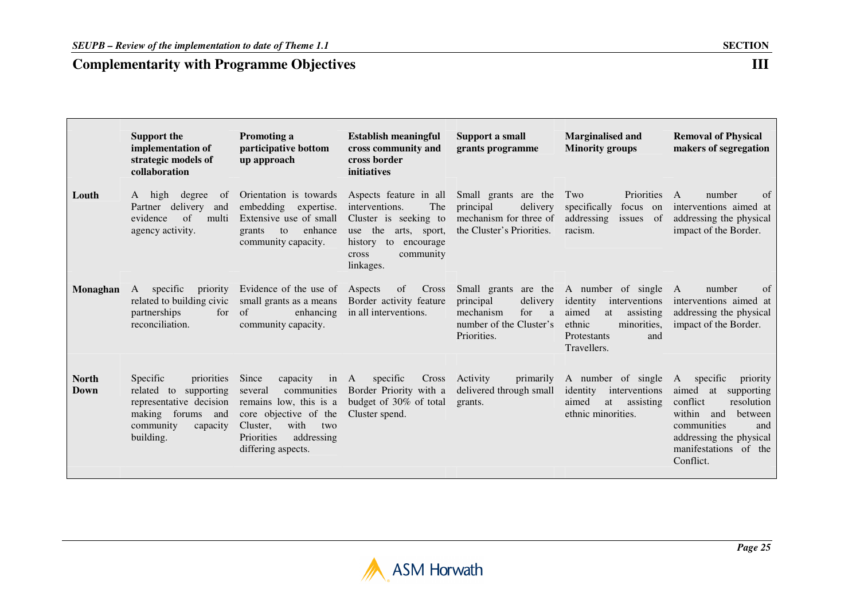**Support the implementation of strategic models of collaboration** 

**Louth** A high degree of

agency activity.

 Partner delivery and evidence of multi

# **Complementarity with Programme Objectives**

| <b>Promoting a</b><br>participative bottom<br>up approach                                           | Establish meaningful<br>cross community and<br>cross border<br>initiatives                                                                                                               | Support a small<br>grants programme                                                                      | <b>Marginalised and</b><br><b>Minority groups</b>                               | <b>Removal of Physical</b><br>makers of segregation                                                        |  |
|-----------------------------------------------------------------------------------------------------|------------------------------------------------------------------------------------------------------------------------------------------------------------------------------------------|----------------------------------------------------------------------------------------------------------|---------------------------------------------------------------------------------|------------------------------------------------------------------------------------------------------------|--|
| Orientation is towards<br>embedding<br>expertise.<br>enhance<br>grants<br>to<br>community capacity. | Aspects feature in all<br>interventions.<br>The<br>Extensive use of small Cluster is seeking to<br>use the arts, sport,<br>history<br>to<br>encourage<br>community<br>cross<br>linkages. | Small grants are the Two<br>delivery<br>principal<br>mechanism for three of<br>the Cluster's Priorities. | Priorities<br>specifically<br>focus on<br>addressing<br>issues<br>of<br>racism. | of<br>number<br>$\mathsf{A}$<br>interventions aimed at<br>addressing the physical<br>impact of the Border. |  |

|                      |                                                                                                                                                 |                                                                                                                                                                                         | linkages.                                                                                                       |                                                                                          |                                                                                                                                                                         |                                                                                                                                                                                                  |
|----------------------|-------------------------------------------------------------------------------------------------------------------------------------------------|-----------------------------------------------------------------------------------------------------------------------------------------------------------------------------------------|-----------------------------------------------------------------------------------------------------------------|------------------------------------------------------------------------------------------|-------------------------------------------------------------------------------------------------------------------------------------------------------------------------|--------------------------------------------------------------------------------------------------------------------------------------------------------------------------------------------------|
| Monaghan             | specific<br>priority<br>A<br>related to building civic<br>partnerships<br>for<br>reconciliation.                                                | Evidence of the use of Aspects of Cross<br>small grants as a means Border activity feature<br>of<br>community capacity.                                                                 | enhancing in all interventions.                                                                                 | principal<br>delivery<br>mechanism<br>for<br>a<br>number of the Cluster's<br>Priorities. | Small grants are the A number of single A<br>identity<br>interventions<br>assisting<br>aimed<br>at<br>ethnic<br>minorities,<br><b>Protestants</b><br>and<br>Travellers. | <sub>of</sub><br>number<br>interventions aimed at<br>addressing the physical<br>impact of the Border.                                                                                            |
| <b>North</b><br>Down | <i>Specific</i><br>priorities<br>related to<br>supporting<br>representative decision<br>making forums and<br>community<br>capacity<br>building. | Since<br>capacity in A<br>communities<br>several<br>remains low, this is a<br>core objective of the<br>with<br>Cluster,<br>two<br><b>Priorities</b><br>addressing<br>differing aspects. | specific<br>Cross<br>Border Priority with a delivered through small<br>budget of 30% of total<br>Cluster spend. | Activity<br>primarily<br>grants.                                                         | A number of single<br>identity<br>interventions<br>aimed<br>at assisting<br>ethnic minorities.                                                                          | A<br>specific<br>priority<br>aimed at<br>supporting<br>resolution<br>conflict<br>within<br>between<br>and<br>communities<br>and<br>addressing the physical<br>manifestations of the<br>Conflict. |

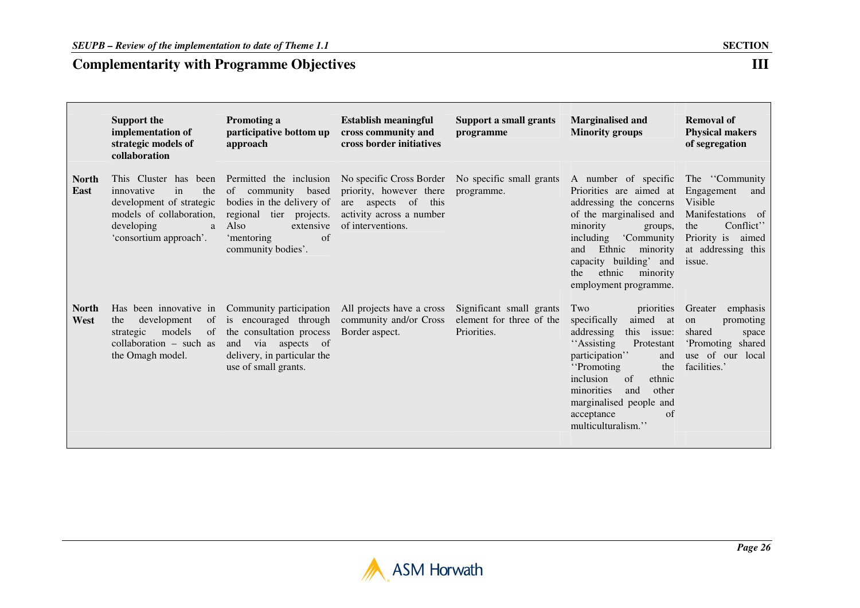|                      | <b>Support the</b><br>implementation of<br>strategic models of<br>collaboration                                                                       | Promoting a<br>participative bottom up<br>approach                                                                                                                      | <b>Establish meaningful</b><br>cross community and<br>cross border initiatives                                                                       | <b>Support a small grants</b><br>programme                          | <b>Marginalised and</b><br><b>Minority groups</b>                                                                                                                                                                                                                                        | <b>Removal of</b><br><b>Physical makers</b><br>of segregation                                                                                    |
|----------------------|-------------------------------------------------------------------------------------------------------------------------------------------------------|-------------------------------------------------------------------------------------------------------------------------------------------------------------------------|------------------------------------------------------------------------------------------------------------------------------------------------------|---------------------------------------------------------------------|------------------------------------------------------------------------------------------------------------------------------------------------------------------------------------------------------------------------------------------------------------------------------------------|--------------------------------------------------------------------------------------------------------------------------------------------------|
| <b>North</b><br>East | This Cluster has been<br>in<br>innovative<br>the<br>development of strategic<br>models of collaboration,<br>developing<br>a<br>'consortium approach'. | Permitted the inclusion<br>of community<br>based<br>bodies in the delivery of<br>regional tier projects.<br>Also<br>extensive<br>of<br>'mentoring<br>community bodies'. | No specific Cross Border No specific small grants<br>priority, however there<br>are aspects of this<br>activity across a number<br>of interventions. | programme.                                                          | A number of specific<br>Priorities are aimed at<br>addressing the concerns<br>of the marginalised and<br>minority<br>groups,<br>including<br>'Community<br>Ethnic<br>minority<br>and<br>capacity building' and<br>ethnic<br>minority<br>the<br>employment programme.                     | The "Community"<br>Engagement<br>and<br>Visible<br>Manifestations of<br>Conflict'<br>the<br>Priority is<br>aimed<br>at addressing this<br>issue. |
| <b>North</b><br>West | Has been innovative in<br>development<br>of<br>the<br>models<br>of<br>strategic<br>collaboration $-$ such as<br>the Omagh model.                      | Community participation<br>is encouraged through<br>the consultation process<br>via aspects of<br>and<br>delivery, in particular the<br>use of small grants.            | All projects have a cross<br>community and/or Cross<br>Border aspect.                                                                                | Significant small grants<br>element for three of the<br>Priorities. | priorities<br>Two<br>aimed<br>specifically<br>at<br>addressing<br>this issue:<br>"Assisting<br>Protestant<br>participation"<br>and<br>"Promoting"<br>the<br>inclusion<br>of<br>ethnic<br>minorities<br>other<br>and<br>marginalised people and<br>of<br>acceptance<br>multiculturalism." | emphasis<br>Greater<br>promoting<br>on<br>shared<br>space<br>'Promoting shared<br>use of our local<br>facilities.'                               |

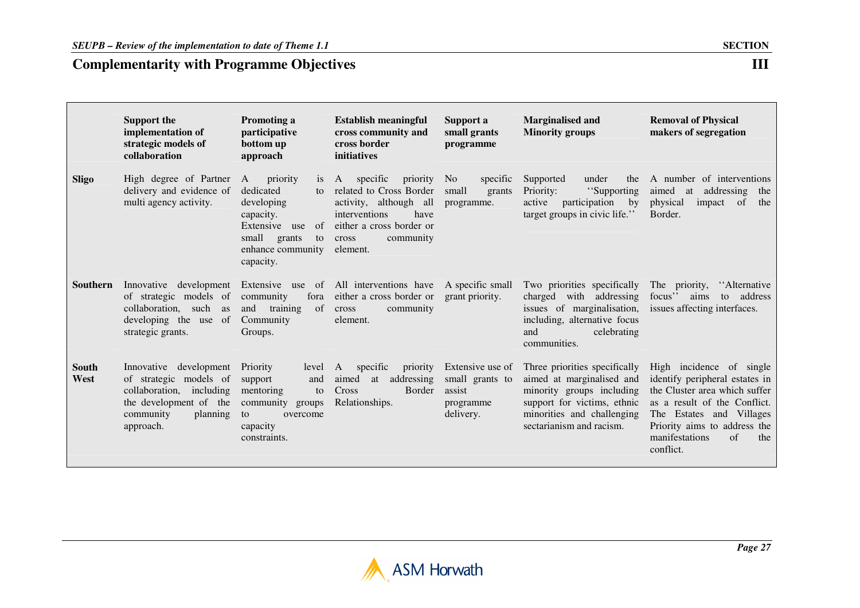|                 | <b>Support the</b><br>implementation of<br>strategic models of<br>collaboration                                                                 | Promoting a<br>participative<br>bottom up<br>approach                                                                                          | <b>Establish meaningful</b><br>cross community and<br>cross border<br><i>initiatives</i>                                                                           | Support a<br>small grants<br>programme                                  | <b>Marginalised and</b><br><b>Minority groups</b>                                                                                                                                | <b>Removal of Physical</b><br>makers of segregation                                                                                                                                                                                 |
|-----------------|-------------------------------------------------------------------------------------------------------------------------------------------------|------------------------------------------------------------------------------------------------------------------------------------------------|--------------------------------------------------------------------------------------------------------------------------------------------------------------------|-------------------------------------------------------------------------|----------------------------------------------------------------------------------------------------------------------------------------------------------------------------------|-------------------------------------------------------------------------------------------------------------------------------------------------------------------------------------------------------------------------------------|
| Sligo           | High degree of Partner A<br>delivery and evidence of<br>multi agency activity.                                                                  | priority<br>1S<br>dedicated<br>to<br>developing<br>capacity.<br>Extensive use<br>of<br>small<br>grants<br>to<br>enhance community<br>capacity. | A specific<br>priority<br>related to Cross Border<br>activity, although all<br>interventions<br>have<br>either a cross border or<br>community<br>cross<br>element. | specific<br>N <sub>o</sub><br>small<br>grants<br>programme.             | Supported<br>under<br>the<br>Priority:<br>"Supporting<br>participation<br>active<br>by<br>target groups in civic life."                                                          | A number of interventions<br>addressing<br>aimed<br>at<br>the<br>physical<br>the<br>impact<br>of<br>Border.                                                                                                                         |
| <b>Southern</b> | Innovative development Extensive use of<br>of strategic models of<br>collaboration, such as<br>of<br>developing the use<br>strategic grants.    | community<br>fora<br>of<br>training<br>and<br>Community<br>Groups.                                                                             | All interventions have<br>either a cross border or<br>community<br>cross<br>element.                                                                               | A specific small<br>grant priority.                                     | Two priorities specifically<br>charged with addressing<br>issues of marginalisation,<br>including, alternative focus<br>celebrating<br>and<br>communities.                       | The priority,<br>"Alternative"<br>focus" aims<br>address<br>to<br>issues affecting interfaces.                                                                                                                                      |
| South<br>West   | Innovative<br>development<br>of strategic models of<br>collaboration, including<br>the development of the<br>community<br>planning<br>approach. | <b>Priority</b><br>level<br>support<br>and<br>mentoring<br>to<br>community groups<br>to<br>overcome<br>capacity<br>constraints.                | specific<br>priority<br>A<br>aimed<br>addressing<br>at<br>Cross<br>Border<br>Relationships.                                                                        | Extensive use of<br>small grants to<br>assist<br>programme<br>delivery. | Three priorities specifically<br>aimed at marginalised and<br>minority groups including<br>support for victims, ethnic<br>minorities and challenging<br>sectarianism and racism. | High incidence of single<br>identify peripheral estates in<br>the Cluster area which suffer<br>as a result of the Conflict.<br>The Estates and Villages<br>Priority aims to address the<br>of<br>manifestations<br>the<br>conflict. |

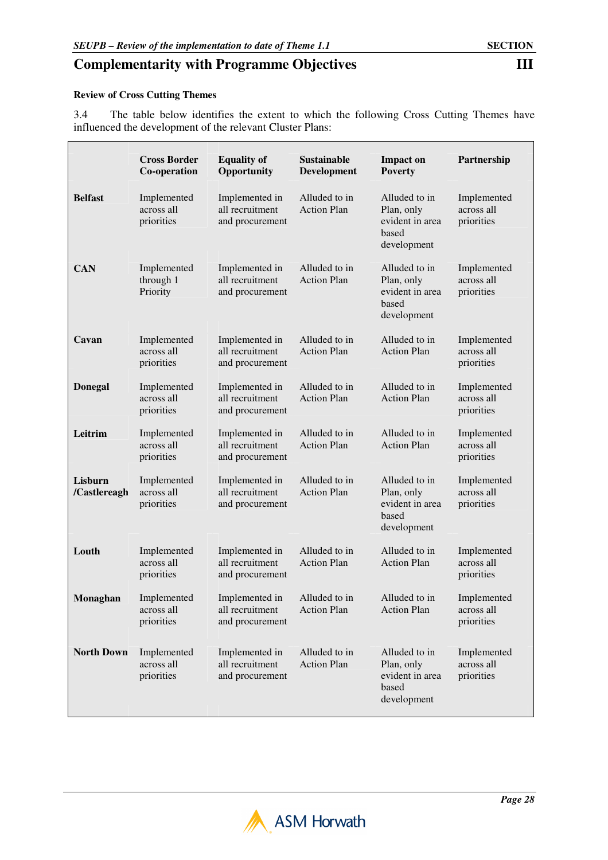#### **Review of Cross Cutting Themes**

3.4 The table below identifies the extent to which the following Cross Cutting Themes have influenced the development of the relevant Cluster Plans:

|                         | <b>Cross Border</b><br>Co-operation     | <b>Equality of</b><br>Opportunity                    | Sustainable<br>Development          | <b>Impact on</b><br><b>Poverty</b>                                     | Partnership                             |
|-------------------------|-----------------------------------------|------------------------------------------------------|-------------------------------------|------------------------------------------------------------------------|-----------------------------------------|
| <b>Belfast</b>          | Implemented<br>across all<br>priorities | Implemented in<br>all recruitment<br>and procurement | Alluded to in<br><b>Action Plan</b> | Alluded to in<br>Plan, only<br>evident in area<br>based<br>development | Implemented<br>across all<br>priorities |
| <b>CAN</b>              | Implemented<br>through 1<br>Priority    | Implemented in<br>all recruitment<br>and procurement | Alluded to in<br><b>Action Plan</b> | Alluded to in<br>Plan, only<br>evident in area<br>based<br>development | Implemented<br>across all<br>priorities |
| Cavan                   | Implemented<br>across all<br>priorities | Implemented in<br>all recruitment<br>and procurement | Alluded to in<br><b>Action Plan</b> | Alluded to in<br><b>Action Plan</b>                                    | Implemented<br>across all<br>priorities |
| <b>Donegal</b>          | Implemented<br>across all<br>priorities | Implemented in<br>all recruitment<br>and procurement | Alluded to in<br><b>Action Plan</b> | Alluded to in<br><b>Action Plan</b>                                    | Implemented<br>across all<br>priorities |
| Leitrim                 | Implemented<br>across all<br>priorities | Implemented in<br>all recruitment<br>and procurement | Alluded to in<br><b>Action Plan</b> | Alluded to in<br><b>Action Plan</b>                                    | Implemented<br>across all<br>priorities |
| Lisburn<br>/Castlereagh | Implemented<br>across all<br>priorities | Implemented in<br>all recruitment<br>and procurement | Alluded to in<br><b>Action Plan</b> | Alluded to in<br>Plan, only<br>evident in area<br>based<br>development | Implemented<br>across all<br>priorities |
| Louth                   | Implemented<br>across all<br>priorities | Implemented in<br>all recruitment<br>and procurement | Alluded to in<br><b>Action Plan</b> | Alluded to in<br><b>Action Plan</b>                                    | Implemented<br>across all<br>priorities |
| Monaghan                | Implemented<br>across all<br>priorities | Implemented in<br>all recruitment<br>and procurement | Alluded to in<br><b>Action Plan</b> | Alluded to in<br><b>Action Plan</b>                                    | Implemented<br>across all<br>priorities |
| <b>North Down</b>       | Implemented<br>across all<br>priorities | Implemented in<br>all recruitment<br>and procurement | Alluded to in<br><b>Action Plan</b> | Alluded to in<br>Plan, only<br>evident in area<br>based<br>development | Implemented<br>across all<br>priorities |

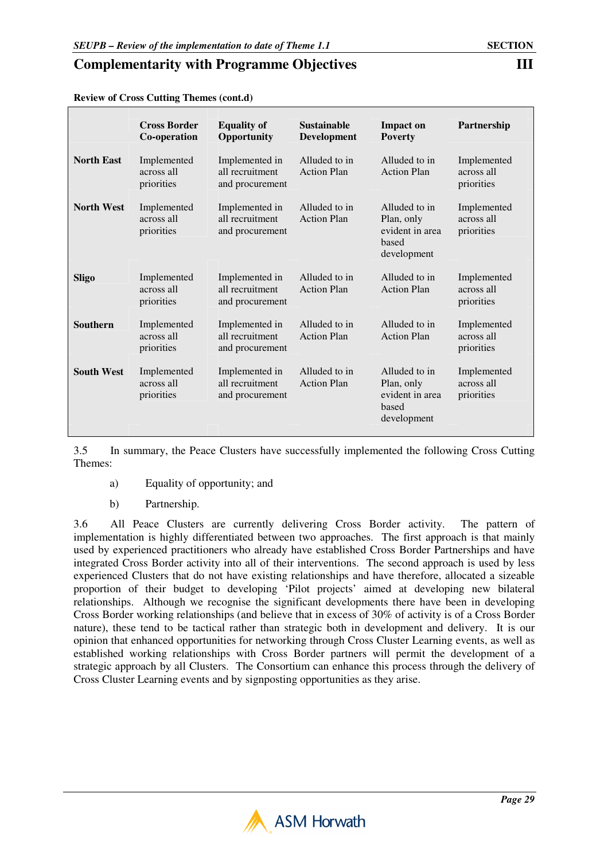|                   | <b>Cross Border</b><br>Co-operation     | <b>Equality of</b><br>Opportunity                    | <b>Sustainable</b><br><b>Development</b> | <b>Impact on</b><br><b>Poverty</b>                                     | Partnership                             |
|-------------------|-----------------------------------------|------------------------------------------------------|------------------------------------------|------------------------------------------------------------------------|-----------------------------------------|
| <b>North East</b> | Implemented<br>across all<br>priorities | Implemented in<br>all recruitment<br>and procurement | Alluded to in<br><b>Action Plan</b>      | Alluded to in<br><b>Action Plan</b>                                    | Implemented<br>across all<br>priorities |
| <b>North West</b> | Implemented<br>across all<br>priorities | Implemented in<br>all recruitment<br>and procurement | Alluded to in<br><b>Action Plan</b>      | Alluded to in<br>Plan, only<br>evident in area<br>based<br>development | Implemented<br>across all<br>priorities |
| Sligo             | Implemented<br>across all<br>priorities | Implemented in<br>all recruitment<br>and procurement | Alluded to in<br><b>Action Plan</b>      | Alluded to in<br><b>Action Plan</b>                                    | Implemented<br>across all<br>priorities |
| <b>Southern</b>   | Implemented<br>across all<br>priorities | Implemented in<br>all recruitment<br>and procurement | Alluded to in<br><b>Action Plan</b>      | Alluded to in<br><b>Action Plan</b>                                    | Implemented<br>across all<br>priorities |
| <b>South West</b> | Implemented<br>across all<br>priorities | Implemented in<br>all recruitment<br>and procurement | Alluded to in<br><b>Action Plan</b>      | Alluded to in<br>Plan, only<br>evident in area<br>based<br>development | Implemented<br>across all<br>priorities |

**Review of Cross Cutting Themes (cont.d)** 

3.5 In summary, the Peace Clusters have successfully implemented the following Cross Cutting Themes:

- a) Equality of opportunity; and
- b) Partnership.

3.6 All Peace Clusters are currently delivering Cross Border activity. The pattern of implementation is highly differentiated between two approaches. The first approach is that mainly used by experienced practitioners who already have established Cross Border Partnerships and have integrated Cross Border activity into all of their interventions. The second approach is used by less experienced Clusters that do not have existing relationships and have therefore, allocated a sizeable proportion of their budget to developing 'Pilot projects' aimed at developing new bilateral relationships. Although we recognise the significant developments there have been in developing Cross Border working relationships (and believe that in excess of 30% of activity is of a Cross Border nature), these tend to be tactical rather than strategic both in development and delivery. It is our opinion that enhanced opportunities for networking through Cross Cluster Learning events, as well as established working relationships with Cross Border partners will permit the development of a strategic approach by all Clusters. The Consortium can enhance this process through the delivery of Cross Cluster Learning events and by signposting opportunities as they arise.

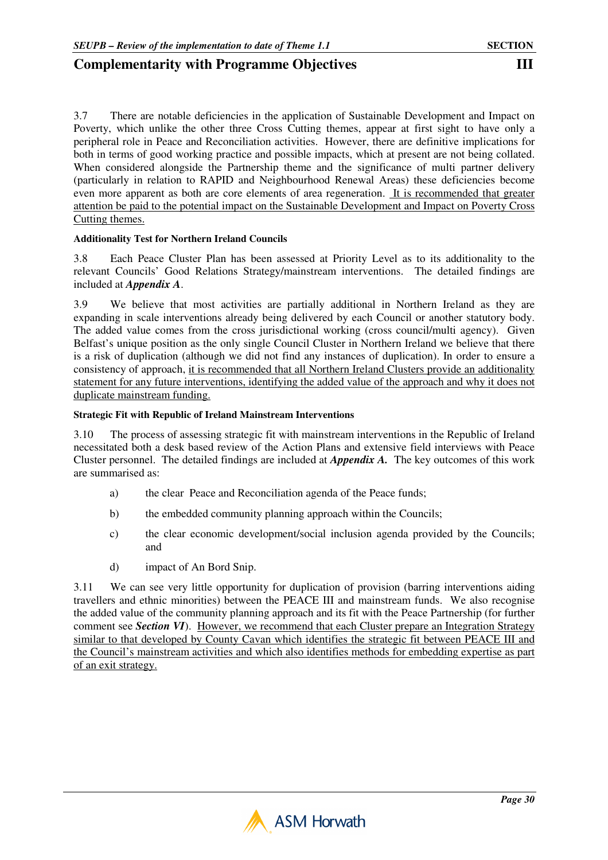3.7 There are notable deficiencies in the application of Sustainable Development and Impact on Poverty, which unlike the other three Cross Cutting themes, appear at first sight to have only a peripheral role in Peace and Reconciliation activities. However, there are definitive implications for both in terms of good working practice and possible impacts, which at present are not being collated. When considered alongside the Partnership theme and the significance of multi partner delivery (particularly in relation to RAPID and Neighbourhood Renewal Areas) these deficiencies become even more apparent as both are core elements of area regeneration. It is recommended that greater attention be paid to the potential impact on the Sustainable Development and Impact on Poverty Cross Cutting themes.

#### **Additionality Test for Northern Ireland Councils**

3.8 Each Peace Cluster Plan has been assessed at Priority Level as to its additionality to the relevant Councils' Good Relations Strategy/mainstream interventions. The detailed findings are included at *Appendix A*.

3.9 We believe that most activities are partially additional in Northern Ireland as they are expanding in scale interventions already being delivered by each Council or another statutory body. The added value comes from the cross jurisdictional working (cross council/multi agency). Given Belfast's unique position as the only single Council Cluster in Northern Ireland we believe that there is a risk of duplication (although we did not find any instances of duplication). In order to ensure a consistency of approach, it is recommended that all Northern Ireland Clusters provide an additionality statement for any future interventions, identifying the added value of the approach and why it does not duplicate mainstream funding.

#### **Strategic Fit with Republic of Ireland Mainstream Interventions**

3.10 The process of assessing strategic fit with mainstream interventions in the Republic of Ireland necessitated both a desk based review of the Action Plans and extensive field interviews with Peace Cluster personnel. The detailed findings are included at *Appendix A.* The key outcomes of this work are summarised as:

- a) the clear Peace and Reconciliation agenda of the Peace funds;
- b) the embedded community planning approach within the Councils;
- c) the clear economic development/social inclusion agenda provided by the Councils; and
- d) impact of An Bord Snip.

3.11 We can see very little opportunity for duplication of provision (barring interventions aiding travellers and ethnic minorities) between the PEACE III and mainstream funds. We also recognise the added value of the community planning approach and its fit with the Peace Partnership (for further comment see *Section VI*). However, we recommend that each Cluster prepare an Integration Strategy similar to that developed by County Cavan which identifies the strategic fit between PEACE III and the Council's mainstream activities and which also identifies methods for embedding expertise as part of an exit strategy.

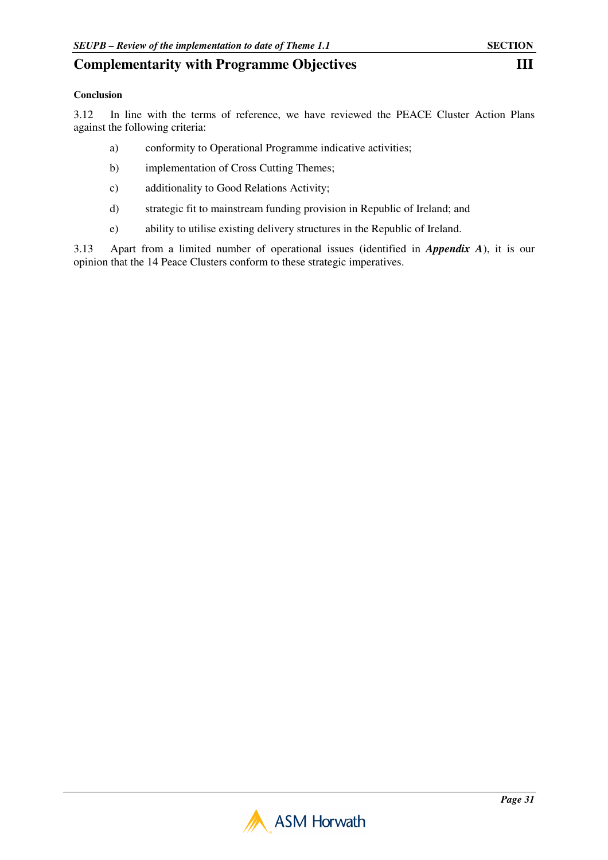#### **Conclusion**

3.12 In line with the terms of reference, we have reviewed the PEACE Cluster Action Plans against the following criteria:

- a) conformity to Operational Programme indicative activities;
- b) implementation of Cross Cutting Themes;
- c) additionality to Good Relations Activity;
- d) strategic fit to mainstream funding provision in Republic of Ireland; and
- e) ability to utilise existing delivery structures in the Republic of Ireland.

3.13 Apart from a limited number of operational issues (identified in *Appendix A*), it is our opinion that the 14 Peace Clusters conform to these strategic imperatives.

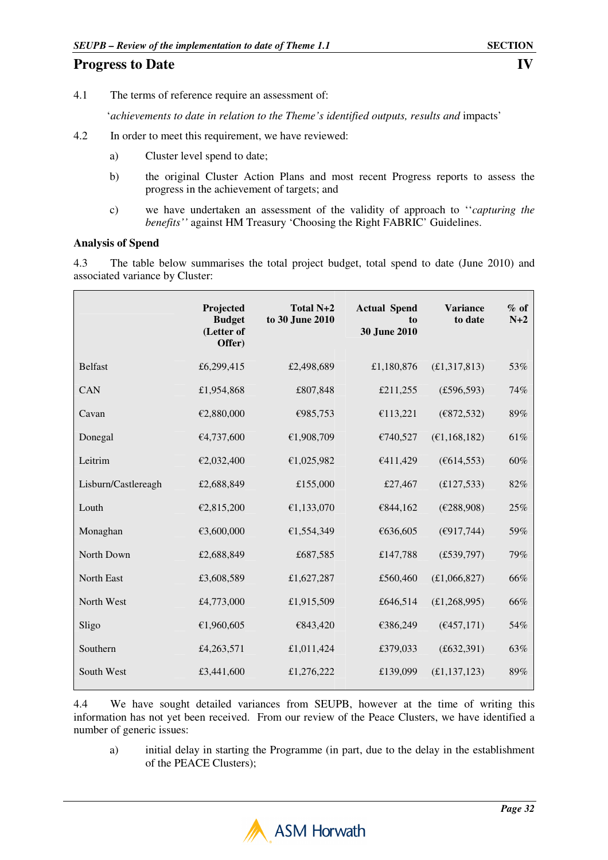## **Progress to Date** IV

4.1 The terms of reference require an assessment of:

'*achievements to date in relation to the Theme's identified outputs, results and* impacts'

- 4.2 In order to meet this requirement, we have reviewed:
	- a) Cluster level spend to date;
	- b) the original Cluster Action Plans and most recent Progress reports to assess the progress in the achievement of targets; and
	- c) we have undertaken an assessment of the validity of approach to ''*capturing the benefits''* against HM Treasury 'Choosing the Right FABRIC' Guidelines.

#### **Analysis of Spend**

4.3 The table below summarises the total project budget, total spend to date (June 2010) and associated variance by Cluster:

|                     | Projected<br><b>Budget</b><br>(Letter of<br>Offer) | Total N+2<br>to 30 June 2010 | <b>Actual Spend</b><br>to<br>30 June 2010 | <b>Variance</b><br>to date | $%$ of<br>$N+2$ |
|---------------------|----------------------------------------------------|------------------------------|-------------------------------------------|----------------------------|-----------------|
| <b>Belfast</b>      | £6,299,415                                         | £2,498,689                   | £1,180,876                                | (E1,317,813)               | 53%             |
| CAN                 | £1,954,868                                         | £807,848                     | £211,255                                  | (E596, 593)                | 74%             |
| Cavan               | €2,880,000                                         | €985,753                     | €113,221                                  | (E872, 532)                | 89%             |
| Donegal             | €4,737,600                                         | €1,908,709                   | €740,527                                  | (E1, 168, 182)             | 61%             |
| Leitrim             | €2,032,400                                         | €1,025,982                   | €411,429                                  | (E614, 553)                | 60%             |
| Lisburn/Castlereagh | £2,688,849                                         | £155,000                     | £27,467                                   | (E127, 533)                | 82%             |
| Louth               | €2,815,200                                         | €1,133,070                   | €844,162                                  | (E288,908)                 | 25%             |
| Monaghan            | €3,600,000                                         | €1,554,349                   | €636,605                                  | (E917,744)                 | 59%             |
| North Down          | £2,688,849                                         | £687,585                     | £147,788                                  | (E539,797)                 | 79%             |
| North East          | £3,608,589                                         | £1,627,287                   | £560,460                                  | (E1,066,827)               | 66%             |
| North West          | £4,773,000                                         | £1,915,509                   | £646,514                                  | (E1, 268, 995)             | 66%             |
| Sligo               | €1,960,605                                         | €843,420                     | €386,249                                  | (6457,171)                 | 54%             |
| Southern            | £4,263,571                                         | £1,011,424                   | £379,033                                  | (f632, 391)                | 63%             |
| South West          | £3,441,600                                         | £1,276,222                   | £139,099                                  | (E1, 137, 123)             | 89%             |

4.4 We have sought detailed variances from SEUPB, however at the time of writing this information has not yet been received. From our review of the Peace Clusters, we have identified a number of generic issues:

a) initial delay in starting the Programme (in part, due to the delay in the establishment of the PEACE Clusters);

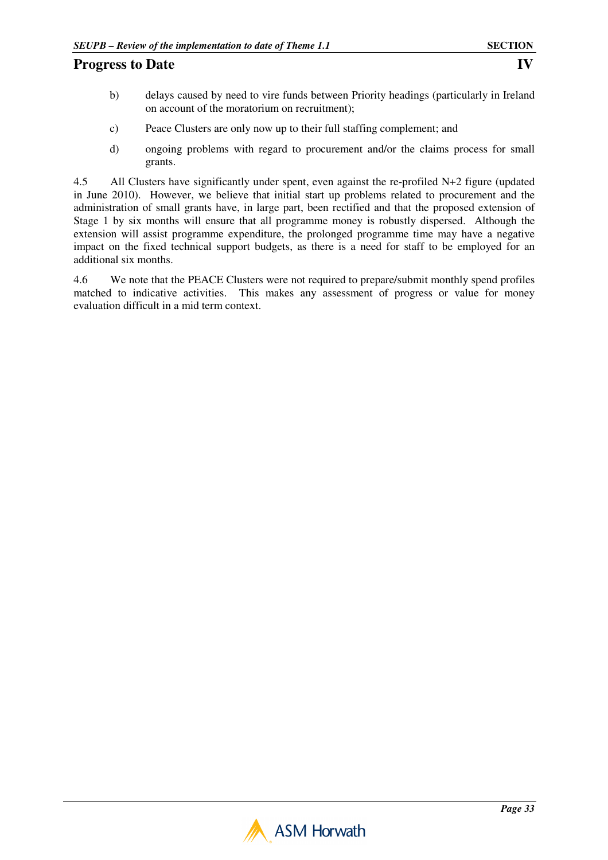## **Progress to Date** IV

- b) delays caused by need to vire funds between Priority headings (particularly in Ireland on account of the moratorium on recruitment);
- c) Peace Clusters are only now up to their full staffing complement; and
- d) ongoing problems with regard to procurement and/or the claims process for small grants.

4.5 All Clusters have significantly under spent, even against the re-profiled N+2 figure (updated in June 2010). However, we believe that initial start up problems related to procurement and the administration of small grants have, in large part, been rectified and that the proposed extension of Stage 1 by six months will ensure that all programme money is robustly dispersed. Although the extension will assist programme expenditure, the prolonged programme time may have a negative impact on the fixed technical support budgets, as there is a need for staff to be employed for an additional six months.

4.6 We note that the PEACE Clusters were not required to prepare/submit monthly spend profiles matched to indicative activities. This makes any assessment of progress or value for money evaluation difficult in a mid term context.

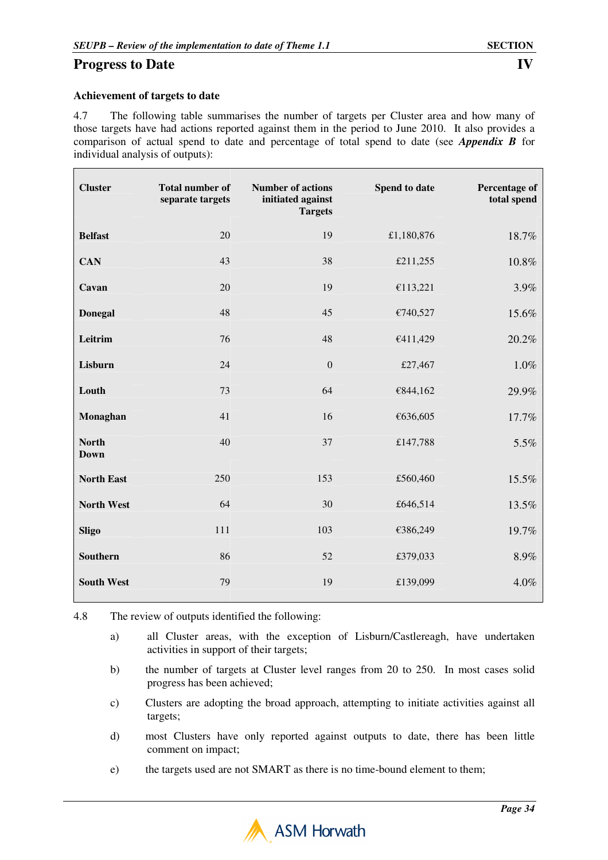#### **Achievement of targets to date**

4.7 The following table summarises the number of targets per Cluster area and how many of those targets have had actions reported against them in the period to June 2010. It also provides a comparison of actual spend to date and percentage of total spend to date (see *Appendix B* for individual analysis of outputs):

| <b>Cluster</b>              | <b>Total number of</b><br>separate targets | <b>Number of actions</b><br>initiated against<br><b>Targets</b> | Spend to date | Percentage of<br>total spend |
|-----------------------------|--------------------------------------------|-----------------------------------------------------------------|---------------|------------------------------|
| <b>Belfast</b>              | 20                                         | 19                                                              | £1,180,876    | 18.7%                        |
| <b>CAN</b>                  | 43                                         | 38                                                              | £211,255      | 10.8%                        |
| Cavan                       | 20                                         | 19                                                              | €113,221      | 3.9%                         |
| <b>Donegal</b>              | 48                                         | 45                                                              | €740,527      | 15.6%                        |
| Leitrim                     | 76                                         | 48                                                              | €411,429      | 20.2%                        |
| Lisburn                     | 24                                         | $\boldsymbol{0}$                                                | £27,467       | 1.0%                         |
| Louth                       | 73                                         | 64                                                              | €844,162      | 29.9%                        |
| Monaghan                    | 41                                         | 16                                                              | €636,605      | 17.7%                        |
| <b>North</b><br><b>Down</b> | 40                                         | 37                                                              | £147,788      | 5.5%                         |
| <b>North East</b>           | 250                                        | 153                                                             | £560,460      | 15.5%                        |
| <b>North West</b>           | 64                                         | 30                                                              | £646,514      | 13.5%                        |
| <b>Sligo</b>                | 111                                        | 103                                                             | €386,249      | 19.7%                        |
| Southern                    | 86                                         | 52                                                              | £379,033      | 8.9%                         |
| <b>South West</b>           | 79                                         | 19                                                              | £139,099      | 4.0%                         |

4.8 The review of outputs identified the following:

- a) all Cluster areas, with the exception of Lisburn/Castlereagh, have undertaken activities in support of their targets;
- b) the number of targets at Cluster level ranges from 20 to 250. In most cases solid progress has been achieved;
- c) Clusters are adopting the broad approach, attempting to initiate activities against all targets;
- d) most Clusters have only reported against outputs to date, there has been little comment on impact;
- e) the targets used are not SMART as there is no time-bound element to them;

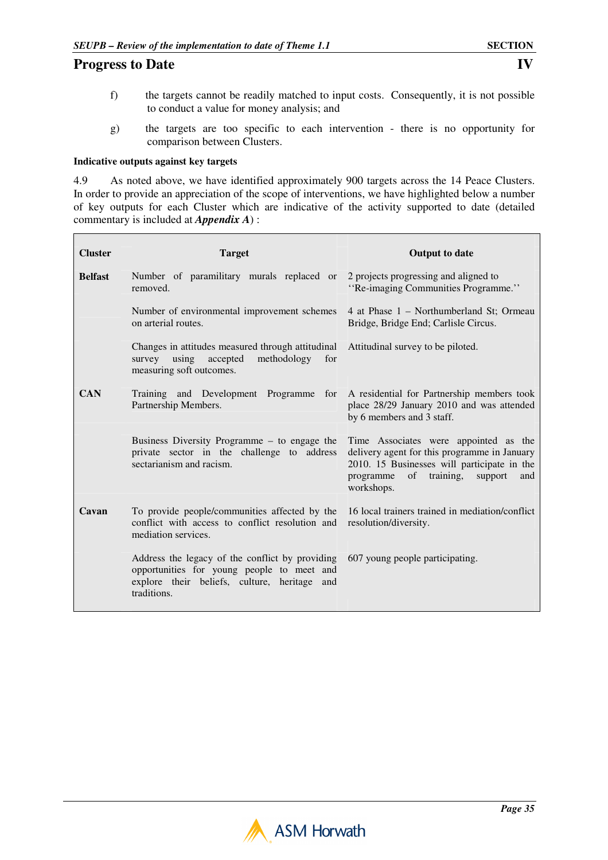$\mathsf{r}$ 

- f) the targets cannot be readily matched to input costs. Consequently, it is not possible to conduct a value for money analysis; and
- g) the targets are too specific to each intervention there is no opportunity for comparison between Clusters.

#### **Indicative outputs against key targets**

4.9 As noted above, we have identified approximately 900 targets across the 14 Peace Clusters. In order to provide an appreciation of the scope of interventions, we have highlighted below a number of key outputs for each Cluster which are indicative of the activity supported to date (detailed commentary is included at *Appendix A*) :

| <b>Cluster</b> | <b>Target</b>                                                                                                                                                                                | <b>Output to date</b>                                                                                                                                                                          |
|----------------|----------------------------------------------------------------------------------------------------------------------------------------------------------------------------------------------|------------------------------------------------------------------------------------------------------------------------------------------------------------------------------------------------|
| <b>Belfast</b> | Number of paramilitary murals replaced or<br>removed.                                                                                                                                        | 2 projects progressing and aligned to<br>"Re-imaging Communities Programme."                                                                                                                   |
|                | Number of environmental improvement schemes<br>on arterial routes.                                                                                                                           | 4 at Phase 1 – Northumberland St; Ormeau<br>Bridge, Bridge End; Carlisle Circus.                                                                                                               |
|                | Changes in attitudes measured through attitudinal<br>using<br>accepted<br>methodology<br>survey<br>for<br>measuring soft outcomes.                                                           | Attitudinal survey to be piloted.                                                                                                                                                              |
| <b>CAN</b>     | Training and Development Programme for<br>Partnership Members.                                                                                                                               | A residential for Partnership members took<br>place 28/29 January 2010 and was attended<br>by 6 members and 3 staff.                                                                           |
|                | Business Diversity Programme - to engage the<br>private sector in the challenge to address<br>sectarianism and racism.                                                                       | Time Associates were appointed as the<br>delivery agent for this programme in January<br>2010. 15 Businesses will participate in the<br>of training, support<br>programme<br>and<br>workshops. |
| Cavan          | To provide people/communities affected by the<br>conflict with access to conflict resolution and<br>mediation services.                                                                      | 16 local trainers trained in mediation/conflict<br>resolution/diversity.                                                                                                                       |
|                | Address the legacy of the conflict by providing 607 young people participating.<br>opportunities for young people to meet and<br>explore their beliefs, culture, heritage and<br>traditions. |                                                                                                                                                                                                |

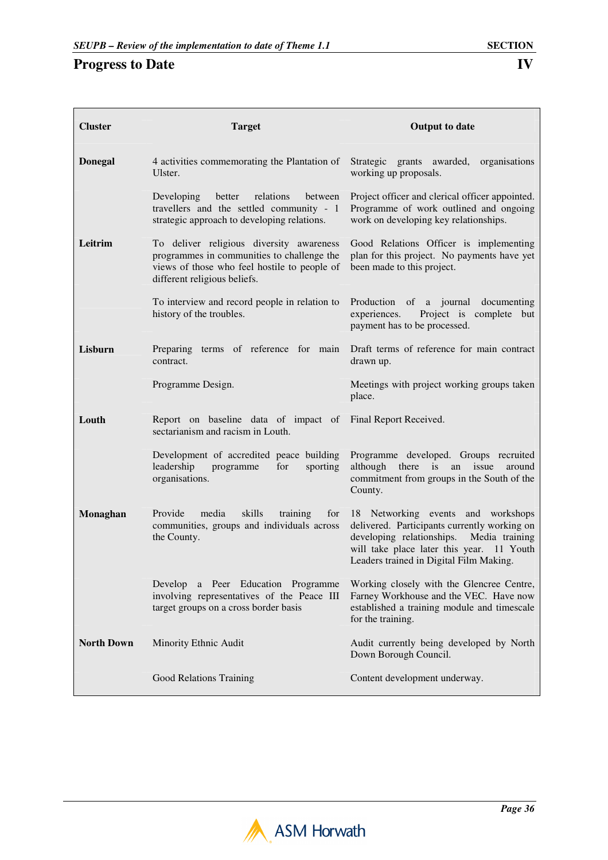$\blacksquare$ 

| <b>Cluster</b>    | <b>Target</b>                                                                                                                                                          | <b>Output to date</b>                                                                                                                                                                                                     |
|-------------------|------------------------------------------------------------------------------------------------------------------------------------------------------------------------|---------------------------------------------------------------------------------------------------------------------------------------------------------------------------------------------------------------------------|
| <b>Donegal</b>    | 4 activities commemorating the Plantation of<br>Ulster.                                                                                                                | Strategic grants awarded,<br>organisations<br>working up proposals.                                                                                                                                                       |
|                   | relations<br>Developing<br>better<br>between<br>travellers and the settled community - 1<br>strategic approach to developing relations.                                | Project officer and clerical officer appointed.<br>Programme of work outlined and ongoing<br>work on developing key relationships.                                                                                        |
| Leitrim           | To deliver religious diversity awareness<br>programmes in communities to challenge the<br>views of those who feel hostile to people of<br>different religious beliefs. | Good Relations Officer is implementing<br>plan for this project. No payments have yet<br>been made to this project.                                                                                                       |
|                   | To interview and record people in relation to<br>history of the troubles.                                                                                              | Production<br>of a journal documenting<br>Project is complete but<br>experiences.<br>payment has to be processed.                                                                                                         |
| Lisburn           | Preparing terms of reference for main<br>contract.                                                                                                                     | Draft terms of reference for main contract<br>drawn up.                                                                                                                                                                   |
|                   | Programme Design.                                                                                                                                                      | Meetings with project working groups taken<br>place.                                                                                                                                                                      |
| Louth             | Report on baseline data of impact of<br>sectarianism and racism in Louth.                                                                                              | Final Report Received.                                                                                                                                                                                                    |
|                   | Development of accredited peace building<br>leadership<br>programme<br>for<br>sporting<br>organisations.                                                               | Programme developed. Groups recruited<br>although there is<br>issue<br>an<br>around<br>commitment from groups in the South of the<br>County.                                                                              |
| <b>Monaghan</b>   | Provide<br>media<br>skills<br>training<br>for<br>communities, groups and individuals across<br>the County.                                                             | 18 Networking events and workshops<br>delivered. Participants currently working on<br>developing relationships.<br>Media training<br>will take place later this year. 11 Youth<br>Leaders trained in Digital Film Making. |
|                   | Develop a Peer Education Programme<br>involving representatives of the Peace III<br>target groups on a cross border basis                                              | Working closely with the Glencree Centre,<br>Farney Workhouse and the VEC. Have now<br>established a training module and timescale<br>for the training.                                                                   |
| <b>North Down</b> | Minority Ethnic Audit                                                                                                                                                  | Audit currently being developed by North<br>Down Borough Council.                                                                                                                                                         |
|                   | Good Relations Training                                                                                                                                                | Content development underway.                                                                                                                                                                                             |

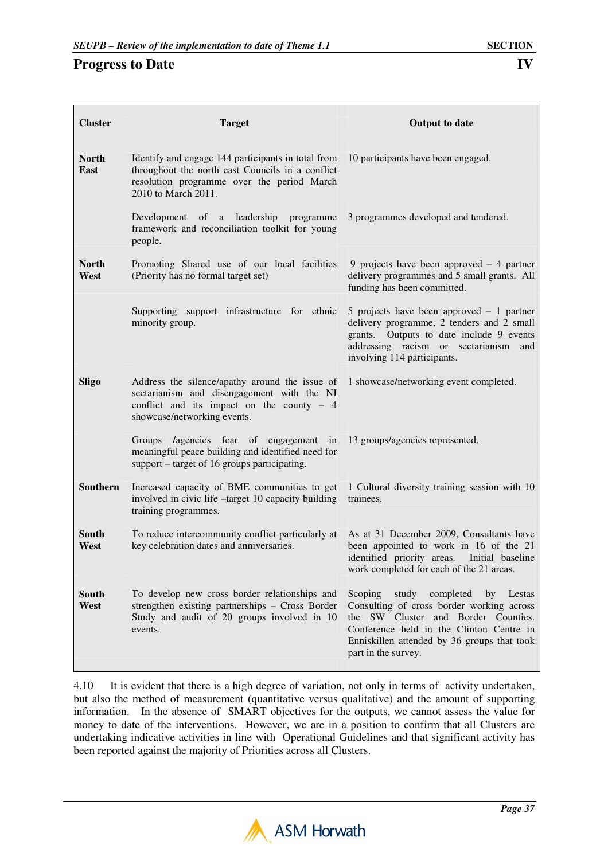| <b>Cluster</b>       | <b>Target</b>                                                                                                                                                               | <b>Output to date</b>                                                                                                                                                                                                                            |
|----------------------|-----------------------------------------------------------------------------------------------------------------------------------------------------------------------------|--------------------------------------------------------------------------------------------------------------------------------------------------------------------------------------------------------------------------------------------------|
| <b>North</b><br>East | Identify and engage 144 participants in total from<br>throughout the north east Councils in a conflict<br>resolution programme over the period March<br>2010 to March 2011. | 10 participants have been engaged.                                                                                                                                                                                                               |
|                      | Development of a leadership programme<br>framework and reconciliation toolkit for young<br>people.                                                                          | 3 programmes developed and tendered.                                                                                                                                                                                                             |
| <b>North</b><br>West | Promoting Shared use of our local facilities<br>(Priority has no formal target set)                                                                                         | 9 projects have been approved $-4$ partner<br>delivery programmes and 5 small grants. All<br>funding has been committed.                                                                                                                         |
|                      | Supporting support infrastructure for ethnic<br>minority group.                                                                                                             | 5 projects have been approved $-1$ partner<br>delivery programme, 2 tenders and 2 small<br>grants. Outputs to date include 9 events<br>addressing racism or sectarianism and<br>involving 114 participants.                                      |
| <b>Sligo</b>         | Address the silence/apathy around the issue of<br>sectarianism and disengagement with the NI<br>conflict and its impact on the county $-4$<br>showcase/networking events.   | 1 showcase/networking event completed.                                                                                                                                                                                                           |
|                      | Groups /agencies fear of engagement in<br>meaningful peace building and identified need for<br>support – target of 16 groups participating.                                 | 13 groups/agencies represented.                                                                                                                                                                                                                  |
| Southern             | Increased capacity of BME communities to get<br>involved in civic life -target 10 capacity building<br>training programmes.                                                 | 1 Cultural diversity training session with 10<br>trainees.                                                                                                                                                                                       |
| South<br>West        | To reduce intercommunity conflict particularly at<br>key celebration dates and anniversaries.                                                                               | As at 31 December 2009, Consultants have<br>been appointed to work in 16 of the 21<br>identified priority areas. Initial baseline<br>work completed for each of the 21 areas.                                                                    |
| South<br>West        | To develop new cross border relationships and<br>strengthen existing partnerships - Cross Border<br>Study and audit of 20 groups involved in 10<br>events.                  | Scoping<br>study<br>completed<br>by Lestas<br>Consulting of cross border working across<br>the SW Cluster and Border Counties.<br>Conference held in the Clinton Centre in<br>Enniskillen attended by 36 groups that took<br>part in the survey. |

4.10 It is evident that there is a high degree of variation, not only in terms of activity undertaken, but also the method of measurement (quantitative versus qualitative) and the amount of supporting information. In the absence of SMART objectives for the outputs, we cannot assess the value for money to date of the interventions. However, we are in a position to confirm that all Clusters are undertaking indicative activities in line with Operational Guidelines and that significant activity has been reported against the majority of Priorities across all Clusters.

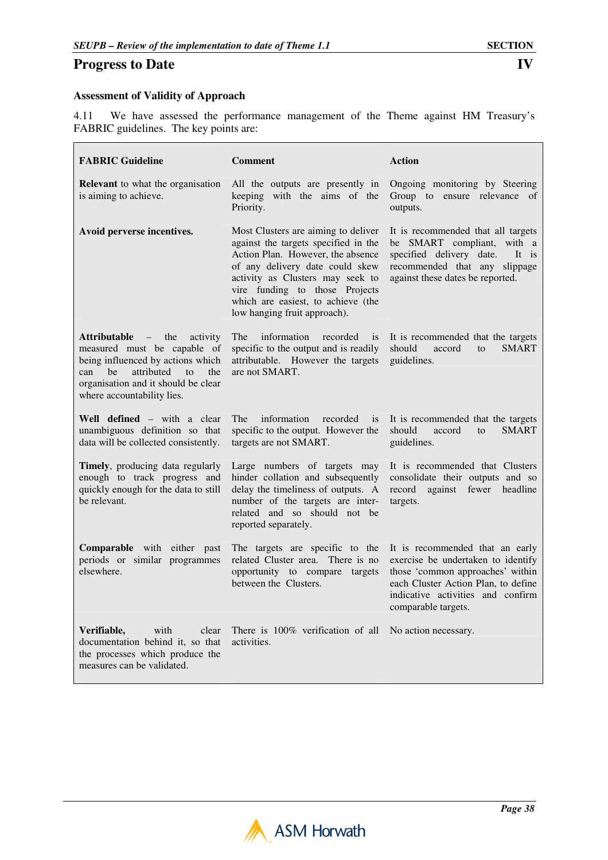#### **Assessment of Validity of Approach**

4.11 We have assessed the performance management of the Theme against HM Treasury's FABRIC guidelines. The key points are:

| <b>FABRIC Guideline</b>                                                                                                                                                                                                                    | <b>Comment</b>                                                                                                                                                                                                                                                                                  | <b>Action</b>                                                                                                                                                                                                |
|--------------------------------------------------------------------------------------------------------------------------------------------------------------------------------------------------------------------------------------------|-------------------------------------------------------------------------------------------------------------------------------------------------------------------------------------------------------------------------------------------------------------------------------------------------|--------------------------------------------------------------------------------------------------------------------------------------------------------------------------------------------------------------|
| <b>Relevant</b> to what the organisation<br>is aiming to achieve.                                                                                                                                                                          | All the outputs are presently in<br>keeping with the aims of the<br>Priority.                                                                                                                                                                                                                   | Ongoing monitoring by Steering<br>Group to ensure relevance of<br>outputs.                                                                                                                                   |
| Avoid perverse incentives.                                                                                                                                                                                                                 | Most Clusters are aiming to deliver<br>against the targets specified in the<br>Action Plan. However, the absence<br>of any delivery date could skew<br>activity as Clusters may seek to<br>vire funding to those Projects<br>which are easiest, to achieve (the<br>low hanging fruit approach). | It is recommended that all targets<br>be SMART compliant, with a<br>specified delivery date.<br>It is<br>recommended that any slippage<br>against these dates be reported.                                   |
| the<br>Attributable<br>$\sim$ $-$<br>activity<br>measured must be capable of<br>being influenced by actions which<br>he<br>attributed<br>can<br>f <sub>O</sub><br>the<br>organisation and it should be clear<br>where accountability lies. | <b>The</b><br>information<br>recorded<br>is<br>specific to the output and is readily<br>attributable. However the targets<br>are not SMART.                                                                                                                                                     | It is recommended that the targets<br>should<br><b>SMART</b><br>accord<br>$\mathbf{t}$<br>guidelines.                                                                                                        |
| <b>Well defined</b> – with a clear<br>unambiguous definition so that<br>data will be collected consistently.                                                                                                                               | information<br>The<br>recorded<br>is<br>specific to the output. However the<br>targets are not SMART.                                                                                                                                                                                           | It is recommended that the targets<br>should<br><b>SMART</b><br>accord<br>$\mathsf{to}$<br>guidelines.                                                                                                       |
| Timely, producing data regularly<br>enough to track progress and<br>quickly enough for the data to still<br>be relevant.                                                                                                                   | Large numbers of targets may<br>hinder collation and subsequently<br>delay the timeliness of outputs. A<br>number of the targets are inter-<br>related and so should not be<br>reported separately.                                                                                             | It is recommended that Clusters<br>consolidate their outputs and so<br>against<br>record<br>fewer<br>headline<br>targets.                                                                                    |
| Comparable with either<br>past<br>periods or similar programmes<br>elsewhere.                                                                                                                                                              | The targets are specific to the<br>related Cluster area.<br>There is no<br>opportunity to compare targets<br>between the Clusters.                                                                                                                                                              | It is recommended that an early<br>exercise be undertaken to identify<br>those 'common approaches' within<br>each Cluster Action Plan, to define<br>indicative activities and confirm<br>comparable targets. |
| with<br>Verifiable,<br>clear<br>documentation behind it, so that<br>the processes which produce the<br>measures can be validated.                                                                                                          | There is 100% verification of all<br>activities.                                                                                                                                                                                                                                                | No action necessary.                                                                                                                                                                                         |

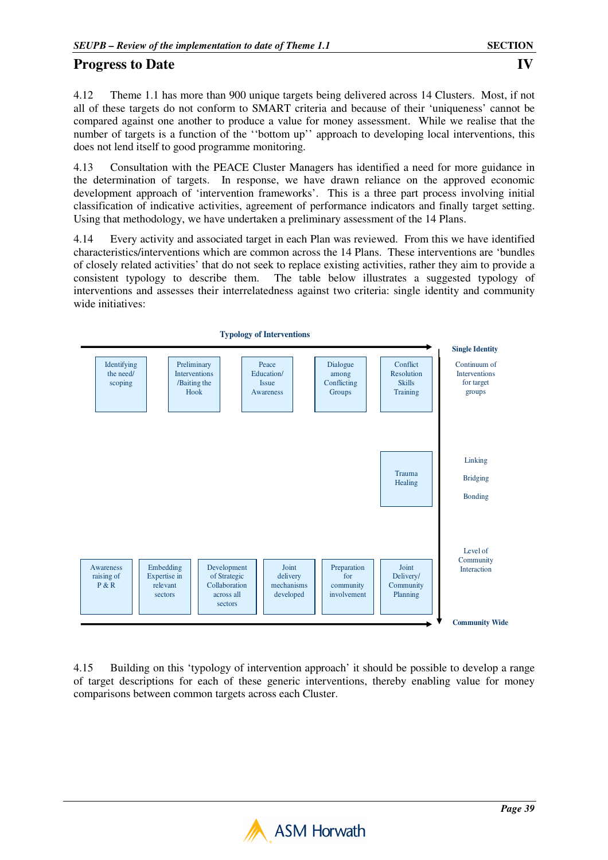4.12 Theme 1.1 has more than 900 unique targets being delivered across 14 Clusters. Most, if not all of these targets do not conform to SMART criteria and because of their 'uniqueness' cannot be compared against one another to produce a value for money assessment. While we realise that the number of targets is a function of the ''bottom up'' approach to developing local interventions, this does not lend itself to good programme monitoring.

4.13 Consultation with the PEACE Cluster Managers has identified a need for more guidance in the determination of targets. In response, we have drawn reliance on the approved economic development approach of 'intervention frameworks'. This is a three part process involving initial classification of indicative activities, agreement of performance indicators and finally target setting. Using that methodology, we have undertaken a preliminary assessment of the 14 Plans.

4.14 Every activity and associated target in each Plan was reviewed. From this we have identified characteristics/interventions which are common across the 14 Plans. These interventions are 'bundles of closely related activities' that do not seek to replace existing activities, rather they aim to provide a consistent typology to describe them. The table below illustrates a suggested typology of interventions and assesses their interrelatedness against two criteria: single identity and community wide initiatives:



4.15 Building on this 'typology of intervention approach' it should be possible to develop a range of target descriptions for each of these generic interventions, thereby enabling value for money comparisons between common targets across each Cluster.

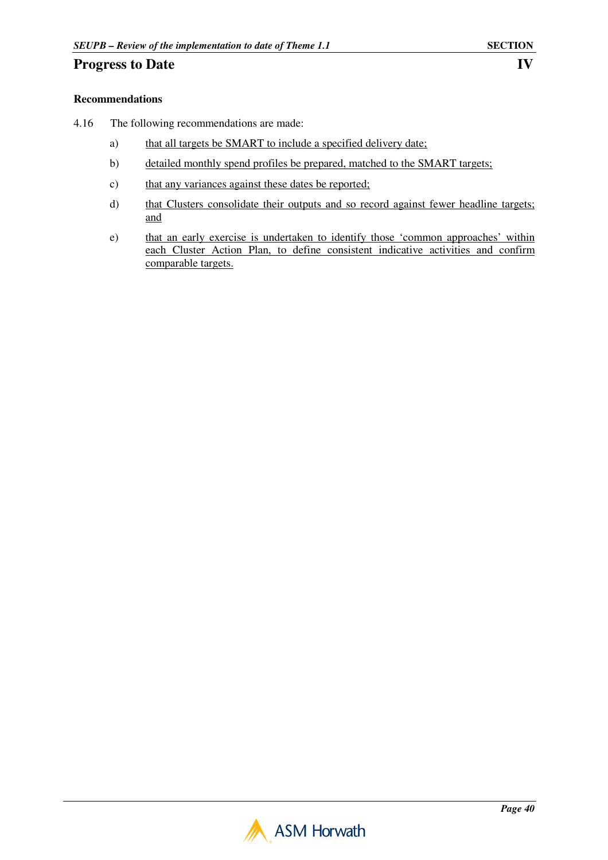### **Recommendations**

- 4.16 The following recommendations are made:
	- a) that all targets be SMART to include a specified delivery date;
	- b) detailed monthly spend profiles be prepared, matched to the SMART targets;
	- c) that any variances against these dates be reported;
	- d) that Clusters consolidate their outputs and so record against fewer headline targets; and
	- e) that an early exercise is undertaken to identify those 'common approaches' within each Cluster Action Plan, to define consistent indicative activities and confirm comparable targets.

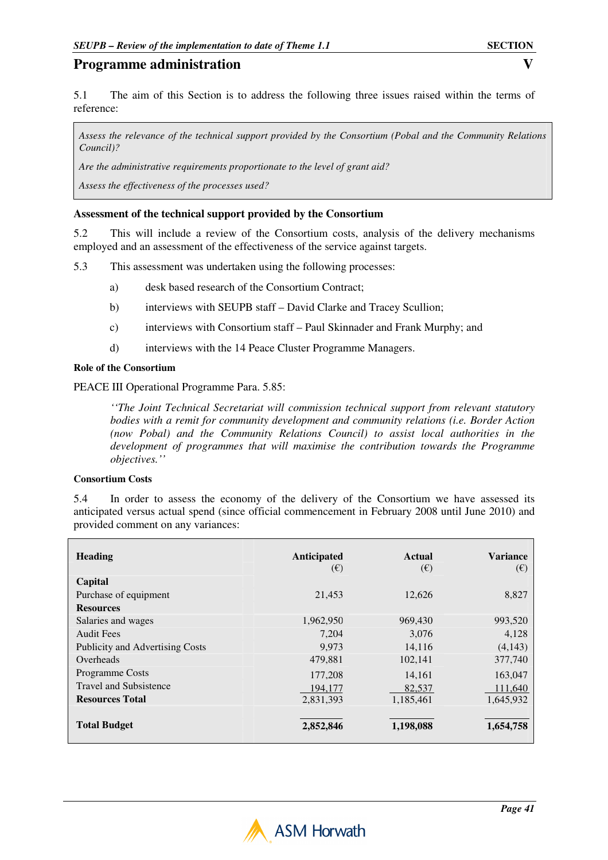5.1 The aim of this Section is to address the following three issues raised within the terms of reference:

*Assess the relevance of the technical support provided by the Consortium (Pobal and the Community Relations Council)?* 

*Are the administrative requirements proportionate to the level of grant aid?* 

*Assess the effectiveness of the processes used?*

#### **Assessment of the technical support provided by the Consortium**

5.2 This will include a review of the Consortium costs, analysis of the delivery mechanisms employed and an assessment of the effectiveness of the service against targets.

5.3 This assessment was undertaken using the following processes:

- a) desk based research of the Consortium Contract;
- b) interviews with SEUPB staff David Clarke and Tracey Scullion;
- c) interviews with Consortium staff Paul Skinnader and Frank Murphy; and
- d) interviews with the 14 Peace Cluster Programme Managers.

#### **Role of the Consortium**

PEACE III Operational Programme Para. 5.85:

*''The Joint Technical Secretariat will commission technical support from relevant statutory bodies with a remit for community development and community relations (i.e. Border Action (now Pobal) and the Community Relations Council) to assist local authorities in the development of programmes that will maximise the contribution towards the Programme objectives.''* 

#### **Consortium Costs**

5.4 In order to assess the economy of the delivery of the Consortium we have assessed its anticipated versus actual spend (since official commencement in February 2008 until June 2010) and provided comment on any variances:

| <b>Heading</b>                  | Anticipated<br>$(\epsilon)$ | Actual<br>$(\epsilon)$ | <b>Variance</b><br>$(\epsilon)$ |
|---------------------------------|-----------------------------|------------------------|---------------------------------|
| Capital                         |                             |                        |                                 |
| Purchase of equipment           | 21.453                      | 12.626                 | 8,827                           |
| <b>Resources</b>                |                             |                        |                                 |
| Salaries and wages              | 1,962,950                   | 969,430                | 993,520                         |
| <b>Audit Fees</b>               | 7,204                       | 3.076                  | 4,128                           |
| Publicity and Advertising Costs | 9,973                       | 14,116                 | (4,143)                         |
| Overheads                       | 479,881                     | 102,141                | 377,740                         |
| <b>Programme Costs</b>          | 177,208                     | 14.161                 | 163,047                         |
| <b>Travel and Subsistence</b>   | 194.177                     | 82.537                 | 111,640                         |
| <b>Resources Total</b>          | 2,831,393                   | 1,185,461              | 1,645,932                       |
|                                 |                             |                        |                                 |
| <b>Total Budget</b>             | 2,852,846                   | 1,198,088              | 1,654,758                       |

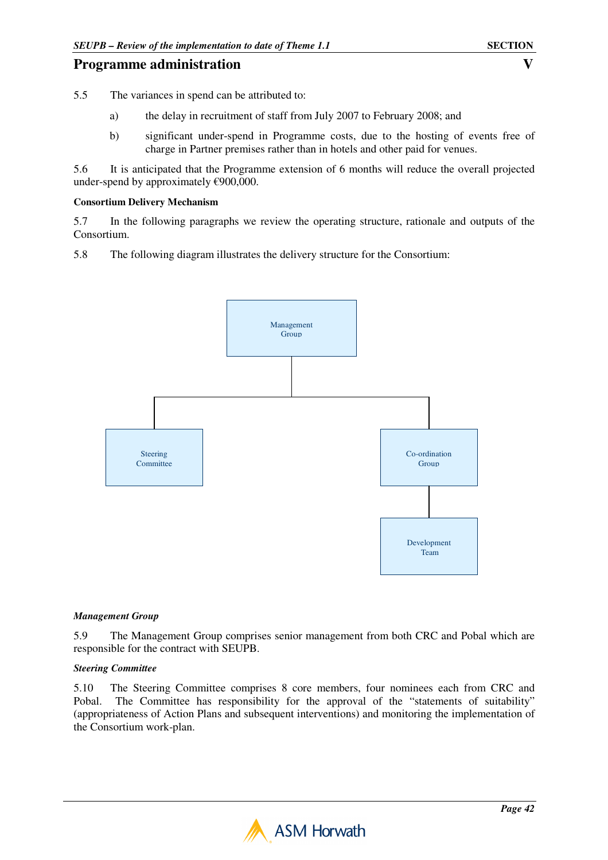5.5 The variances in spend can be attributed to:

- a) the delay in recruitment of staff from July 2007 to February 2008; and
- b) significant under-spend in Programme costs, due to the hosting of events free of charge in Partner premises rather than in hotels and other paid for venues.

5.6 It is anticipated that the Programme extension of 6 months will reduce the overall projected under-spend by approximately  $\epsilon$ 900,000.

#### **Consortium Delivery Mechanism**

5.7 In the following paragraphs we review the operating structure, rationale and outputs of the Consortium.

5.8 The following diagram illustrates the delivery structure for the Consortium:



#### *Management Group*

5.9 The Management Group comprises senior management from both CRC and Pobal which are responsible for the contract with SEUPB.

#### *Steering Committee*

5.10 The Steering Committee comprises 8 core members, four nominees each from CRC and Pobal. The Committee has responsibility for the approval of the "statements of suitability" (appropriateness of Action Plans and subsequent interventions) and monitoring the implementation of the Consortium work-plan.

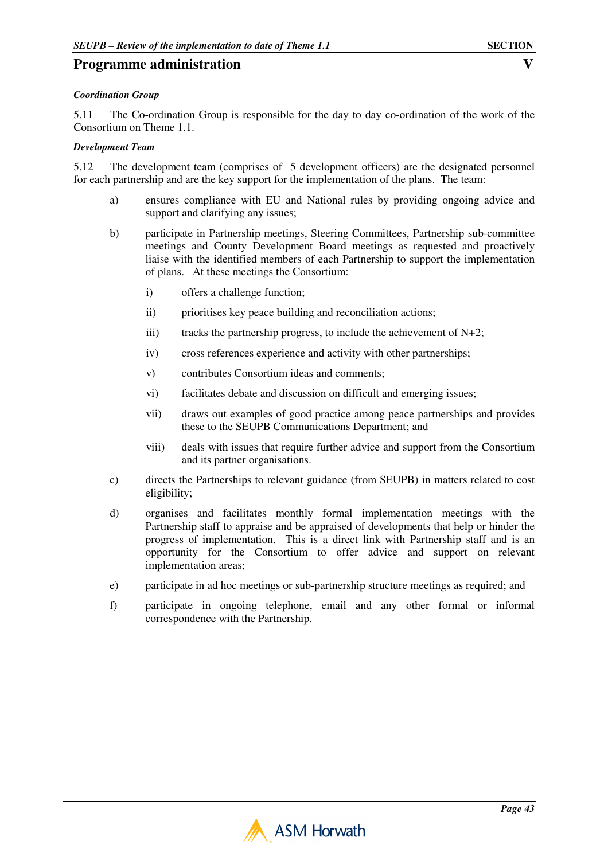#### *Coordination Group*

5.11 The Co-ordination Group is responsible for the day to day co-ordination of the work of the Consortium on Theme 1.1.

#### *Development Team*

5.12 The development team (comprises of 5 development officers) are the designated personnel for each partnership and are the key support for the implementation of the plans. The team:

- a) ensures compliance with EU and National rules by providing ongoing advice and support and clarifying any issues;
- b) participate in Partnership meetings, Steering Committees, Partnership sub-committee meetings and County Development Board meetings as requested and proactively liaise with the identified members of each Partnership to support the implementation of plans. At these meetings the Consortium:
	- i) offers a challenge function;
	- ii) prioritises key peace building and reconciliation actions;
	- iii) tracks the partnership progress, to include the achievement of  $N+2$ ;
	- iv) cross references experience and activity with other partnerships;
	- v) contributes Consortium ideas and comments;
	- vi) facilitates debate and discussion on difficult and emerging issues;
	- vii) draws out examples of good practice among peace partnerships and provides these to the SEUPB Communications Department; and
	- viii) deals with issues that require further advice and support from the Consortium and its partner organisations.
- c) directs the Partnerships to relevant guidance (from SEUPB) in matters related to cost eligibility;
- d) organises and facilitates monthly formal implementation meetings with the Partnership staff to appraise and be appraised of developments that help or hinder the progress of implementation. This is a direct link with Partnership staff and is an opportunity for the Consortium to offer advice and support on relevant implementation areas;
- e) participate in ad hoc meetings or sub-partnership structure meetings as required; and
- f) participate in ongoing telephone, email and any other formal or informal correspondence with the Partnership.

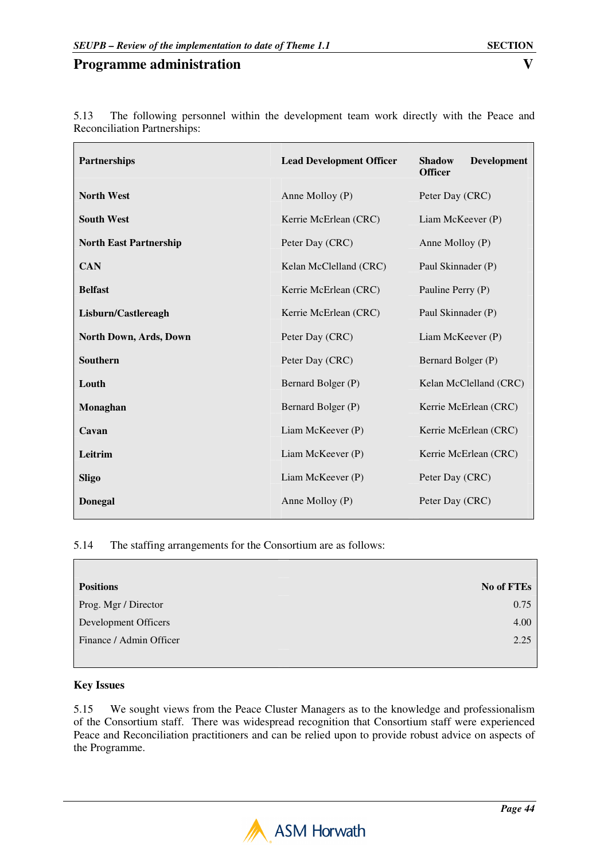| <b>Partnerships</b>           | <b>Lead Development Officer</b> | <b>Development</b><br><b>Shadow</b><br><b>Officer</b> |
|-------------------------------|---------------------------------|-------------------------------------------------------|
| <b>North West</b>             | Anne Molloy (P)                 | Peter Day (CRC)                                       |
| <b>South West</b>             | Kerrie McErlean (CRC)           | Liam McKeever (P)                                     |
| <b>North East Partnership</b> | Peter Day (CRC)                 | Anne Molloy (P)                                       |
| <b>CAN</b>                    | Kelan McClelland (CRC)          | Paul Skinnader (P)                                    |
| <b>Belfast</b>                | Kerrie McErlean (CRC)           | Pauline Perry (P)                                     |
| Lisburn/Castlereagh           | Kerrie McErlean (CRC)           | Paul Skinnader (P)                                    |
| North Down, Ards, Down        | Peter Day (CRC)                 | Liam McKeever (P)                                     |
| Southern                      | Peter Day (CRC)                 | Bernard Bolger (P)                                    |
| Louth                         | Bernard Bolger (P)              | Kelan McClelland (CRC)                                |
| Monaghan                      | Bernard Bolger (P)              | Kerrie McErlean (CRC)                                 |
| Cavan                         | Liam McKeever (P)               | Kerrie McErlean (CRC)                                 |
| Leitrim                       | Liam McKeever (P)               | Kerrie McErlean (CRC)                                 |
| <b>Sligo</b>                  | Liam McKeever (P)               | Peter Day (CRC)                                       |
| <b>Donegal</b>                | Anne Molloy $(P)$               | Peter Day (CRC)                                       |

5.13 The following personnel within the development team work directly with the Peace and Reconciliation Partnerships:

### 5.14 The staffing arrangements for the Consortium are as follows:

| <b>Positions</b>        | No of FTEs |
|-------------------------|------------|
| Prog. Mgr / Director    | 0.75       |
| Development Officers    | 4.00       |
| Finance / Admin Officer | 2.25       |
|                         |            |

### **Key Issues**

 $\overline{\Gamma}$ 

5.15 We sought views from the Peace Cluster Managers as to the knowledge and professionalism of the Consortium staff. There was widespread recognition that Consortium staff were experienced Peace and Reconciliation practitioners and can be relied upon to provide robust advice on aspects of the Programme.

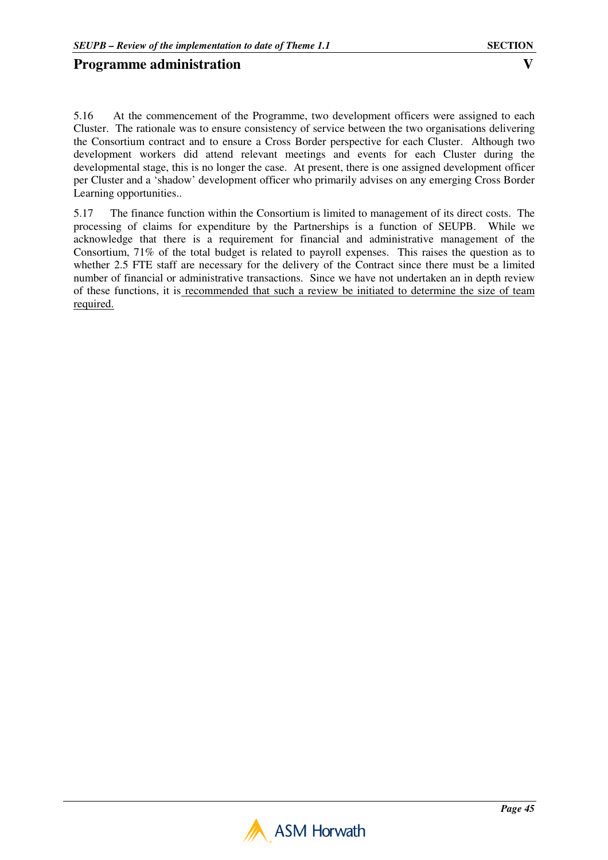5.16 At the commencement of the Programme, two development officers were assigned to each Cluster. The rationale was to ensure consistency of service between the two organisations delivering the Consortium contract and to ensure a Cross Border perspective for each Cluster. Although two development workers did attend relevant meetings and events for each Cluster during the developmental stage, this is no longer the case. At present, there is one assigned development officer per Cluster and a 'shadow' development officer who primarily advises on any emerging Cross Border Learning opportunities..

5.17 The finance function within the Consortium is limited to management of its direct costs. The processing of claims for expenditure by the Partnerships is a function of SEUPB. While we acknowledge that there is a requirement for financial and administrative management of the Consortium, 71% of the total budget is related to payroll expenses. This raises the question as to whether 2.5 FTE staff are necessary for the delivery of the Contract since there must be a limited number of financial or administrative transactions. Since we have not undertaken an in depth review of these functions, it is recommended that such a review be initiated to determine the size of team required.

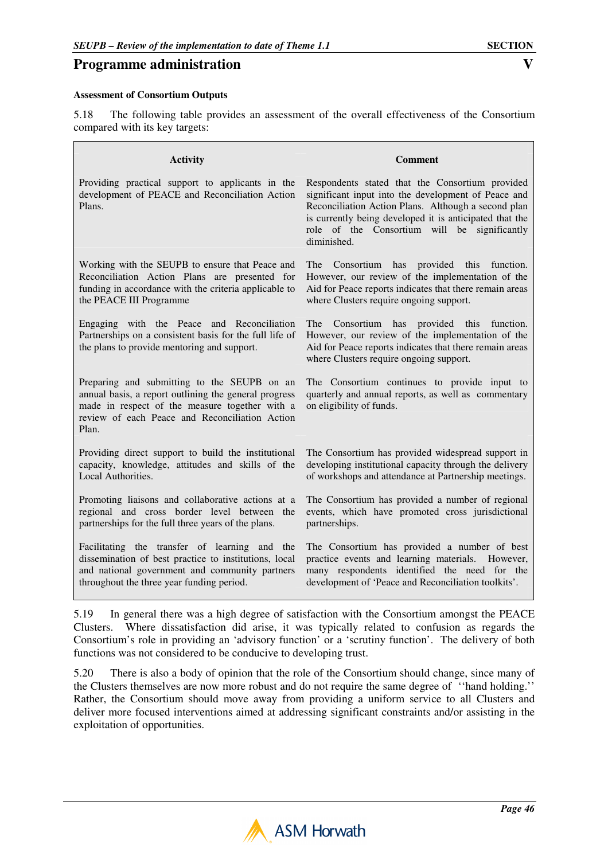5.18 The following table provides an assessment of the overall effectiveness of the Consortium compared with its key targets:

| <b>Activity</b>                                                                                                                                                                                                   | <b>Comment</b>                                                                                                                                                                                                                                                                          |
|-------------------------------------------------------------------------------------------------------------------------------------------------------------------------------------------------------------------|-----------------------------------------------------------------------------------------------------------------------------------------------------------------------------------------------------------------------------------------------------------------------------------------|
| Providing practical support to applicants in the<br>development of PEACE and Reconciliation Action<br>Plans.                                                                                                      | Respondents stated that the Consortium provided<br>significant input into the development of Peace and<br>Reconciliation Action Plans. Although a second plan<br>is currently being developed it is anticipated that the<br>role of the Consortium will be significantly<br>diminished. |
| Working with the SEUPB to ensure that Peace and                                                                                                                                                                   | The Consortium has provided this function.                                                                                                                                                                                                                                              |
| Reconciliation Action Plans are presented for                                                                                                                                                                     | However, our review of the implementation of the                                                                                                                                                                                                                                        |
| funding in accordance with the criteria applicable to                                                                                                                                                             | Aid for Peace reports indicates that there remain areas                                                                                                                                                                                                                                 |
| the PEACE III Programme                                                                                                                                                                                           | where Clusters require ongoing support.                                                                                                                                                                                                                                                 |
| Engaging with the Peace and Reconciliation<br>Partnerships on a consistent basis for the full life of<br>the plans to provide mentoring and support.                                                              | The Consortium has provided this<br>function.<br>However, our review of the implementation of the<br>Aid for Peace reports indicates that there remain areas<br>where Clusters require ongoing support.                                                                                 |
| Preparing and submitting to the SEUPB on an<br>annual basis, a report outlining the general progress<br>made in respect of the measure together with a<br>review of each Peace and Reconciliation Action<br>Plan. | The Consortium continues to provide input to<br>quarterly and annual reports, as well as commentary<br>on eligibility of funds.                                                                                                                                                         |
| Providing direct support to build the institutional                                                                                                                                                               | The Consortium has provided widespread support in                                                                                                                                                                                                                                       |
| capacity, knowledge, attitudes and skills of the                                                                                                                                                                  | developing institutional capacity through the delivery                                                                                                                                                                                                                                  |
| Local Authorities.                                                                                                                                                                                                | of workshops and attendance at Partnership meetings.                                                                                                                                                                                                                                    |
| Promoting liaisons and collaborative actions at a                                                                                                                                                                 | The Consortium has provided a number of regional                                                                                                                                                                                                                                        |
| regional and cross border level between the                                                                                                                                                                       | events, which have promoted cross jurisdictional                                                                                                                                                                                                                                        |
| partnerships for the full three years of the plans.                                                                                                                                                               | partnerships.                                                                                                                                                                                                                                                                           |
| Facilitating the transfer of learning and the                                                                                                                                                                     | The Consortium has provided a number of best                                                                                                                                                                                                                                            |
| dissemination of best practice to institutions, local                                                                                                                                                             | practice events and learning materials. However,                                                                                                                                                                                                                                        |
| and national government and community partners                                                                                                                                                                    | many respondents identified the need for the                                                                                                                                                                                                                                            |
| throughout the three year funding period.                                                                                                                                                                         | development of 'Peace and Reconciliation toolkits'.                                                                                                                                                                                                                                     |

5.19 In general there was a high degree of satisfaction with the Consortium amongst the PEACE Clusters. Where dissatisfaction did arise, it was typically related to confusion as regards the Consortium's role in providing an 'advisory function' or a 'scrutiny function'. The delivery of both functions was not considered to be conducive to developing trust.

5.20 There is also a body of opinion that the role of the Consortium should change, since many of the Clusters themselves are now more robust and do not require the same degree of ''hand holding.'' Rather, the Consortium should move away from providing a uniform service to all Clusters and deliver more focused interventions aimed at addressing significant constraints and/or assisting in the exploitation of opportunities.

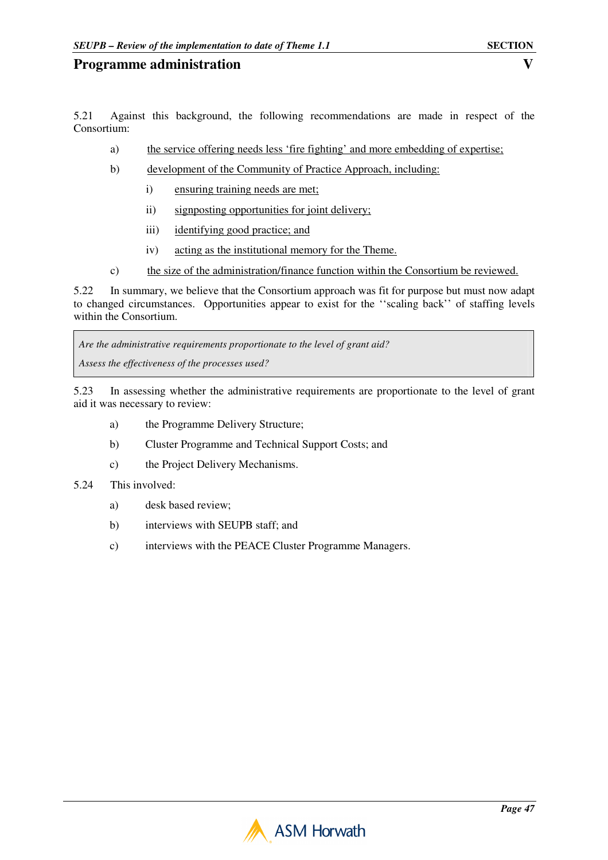- a) the service offering needs less 'fire fighting' and more embedding of expertise;
- b) development of the Community of Practice Approach, including:
	- i) ensuring training needs are met;
	- ii) signposting opportunities for joint delivery;
	- iii) identifying good practice; and
	- iv) acting as the institutional memory for the Theme.
- c) the size of the administration/finance function within the Consortium be reviewed.

5.22 In summary, we believe that the Consortium approach was fit for purpose but must now adapt to changed circumstances. Opportunities appear to exist for the ''scaling back'' of staffing levels within the Consortium.

*Are the administrative requirements proportionate to the level of grant aid? Assess the effectiveness of the processes used?*

5.23 In assessing whether the administrative requirements are proportionate to the level of grant aid it was necessary to review:

- a) the Programme Delivery Structure;
- b) Cluster Programme and Technical Support Costs; and
- c) the Project Delivery Mechanisms.
- 5.24 This involved:
	- a) desk based review;
	- b) interviews with SEUPB staff; and
	- c) interviews with the PEACE Cluster Programme Managers.

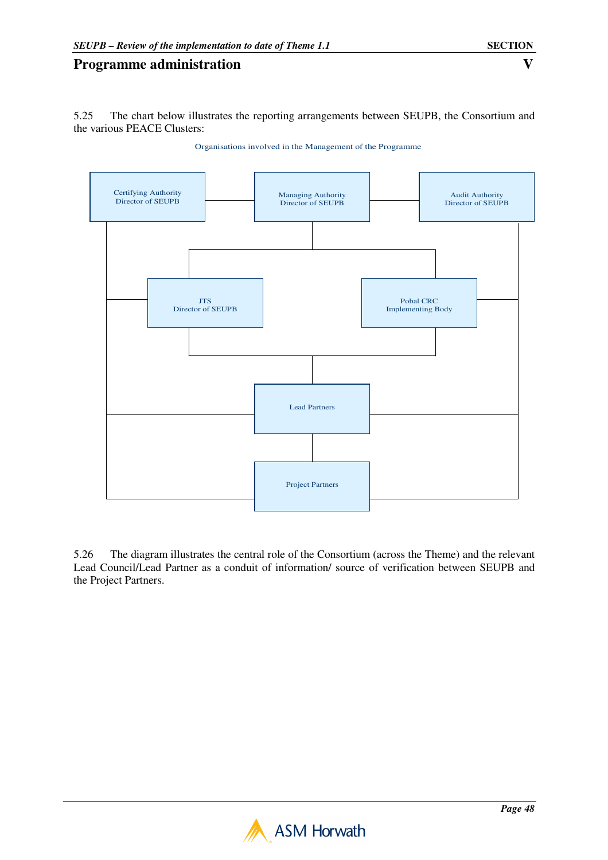5.25 The chart below illustrates the reporting arrangements between SEUPB, the Consortium and the various PEACE Clusters:



Organisations involved in the Management of the Programme

5.26 The diagram illustrates the central role of the Consortium (across the Theme) and the relevant Lead Council/Lead Partner as a conduit of information/ source of verification between SEUPB and the Project Partners.

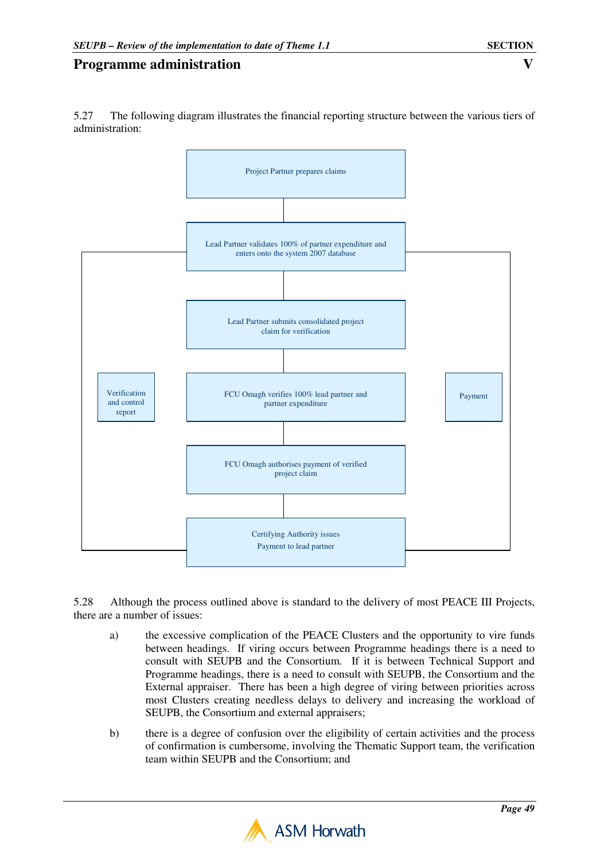5.27 The following diagram illustrates the financial reporting structure between the various tiers of administration:



5.28 Although the process outlined above is standard to the delivery of most PEACE III Projects, there are a number of issues:

- a) the excessive complication of the PEACE Clusters and the opportunity to vire funds between headings. If viring occurs between Programme headings there is a need to consult with SEUPB and the Consortium. If it is between Technical Support and Programme headings, there is a need to consult with SEUPB, the Consortium and the External appraiser. There has been a high degree of viring between priorities across most Clusters creating needless delays to delivery and increasing the workload of SEUPB, the Consortium and external appraisers;
- b) there is a degree of confusion over the eligibility of certain activities and the process of confirmation is cumbersome, involving the Thematic Support team, the verification team within SEUPB and the Consortium; and

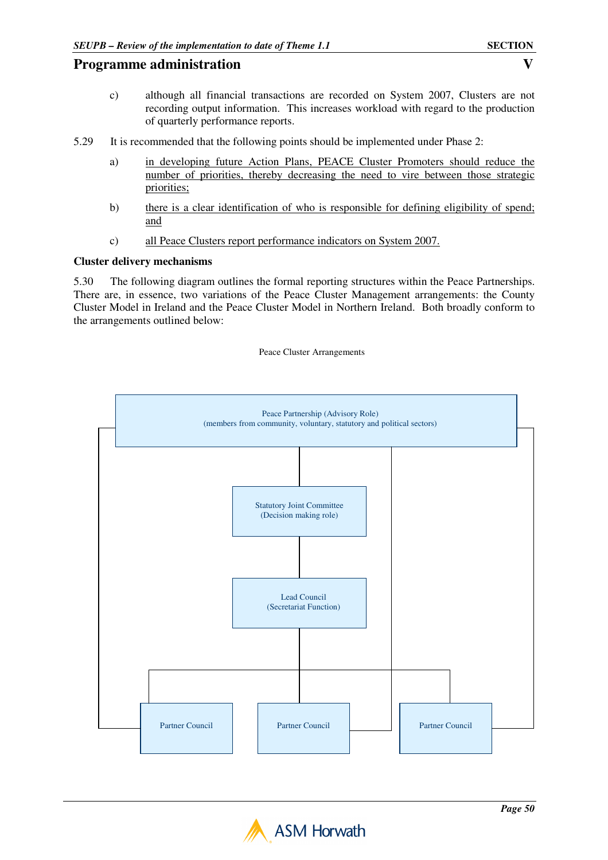- c) although all financial transactions are recorded on System 2007, Clusters are not recording output information. This increases workload with regard to the production of quarterly performance reports.
- 5.29 It is recommended that the following points should be implemented under Phase 2:
	- a) in developing future Action Plans, PEACE Cluster Promoters should reduce the number of priorities, thereby decreasing the need to vire between those strategic priorities;
	- b) there is a clear identification of who is responsible for defining eligibility of spend; and
	- c) all Peace Clusters report performance indicators on System 2007.

#### **Cluster delivery mechanisms**

5.30 The following diagram outlines the formal reporting structures within the Peace Partnerships. There are, in essence, two variations of the Peace Cluster Management arrangements: the County Cluster Model in Ireland and the Peace Cluster Model in Northern Ireland. Both broadly conform to the arrangements outlined below:

#### Peace Cluster Arrangements



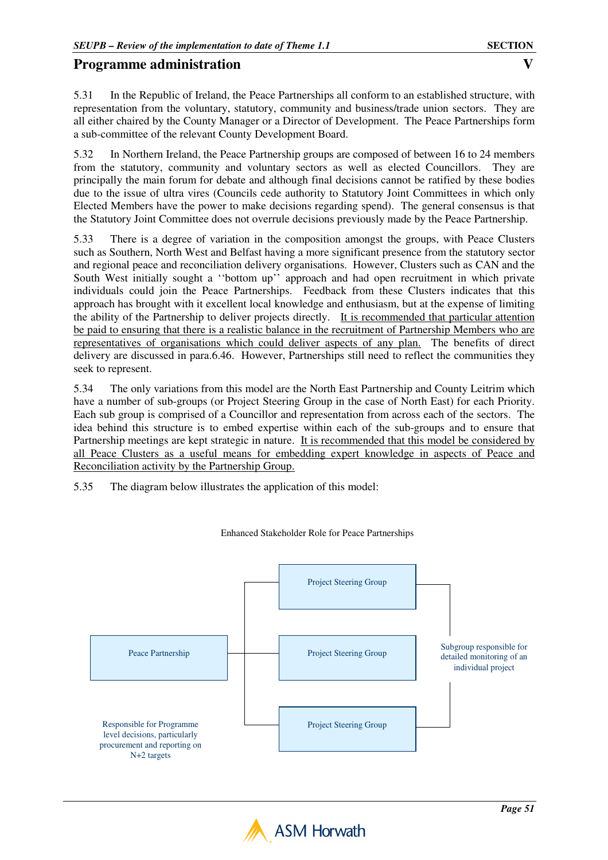5.31 In the Republic of Ireland, the Peace Partnerships all conform to an established structure, with representation from the voluntary, statutory, community and business/trade union sectors. They are all either chaired by the County Manager or a Director of Development. The Peace Partnerships form a sub-committee of the relevant County Development Board.

5.32 In Northern Ireland, the Peace Partnership groups are composed of between 16 to 24 members from the statutory, community and voluntary sectors as well as elected Councillors. They are principally the main forum for debate and although final decisions cannot be ratified by these bodies due to the issue of ultra vires (Councils cede authority to Statutory Joint Committees in which only Elected Members have the power to make decisions regarding spend). The general consensus is that the Statutory Joint Committee does not overrule decisions previously made by the Peace Partnership.

5.33 There is a degree of variation in the composition amongst the groups, with Peace Clusters such as Southern, North West and Belfast having a more significant presence from the statutory sector and regional peace and reconciliation delivery organisations. However, Clusters such as CAN and the South West initially sought a ''bottom up'' approach and had open recruitment in which private individuals could join the Peace Partnerships. Feedback from these Clusters indicates that this approach has brought with it excellent local knowledge and enthusiasm, but at the expense of limiting the ability of the Partnership to deliver projects directly. It is recommended that particular attention be paid to ensuring that there is a realistic balance in the recruitment of Partnership Members who are representatives of organisations which could deliver aspects of any plan. The benefits of direct delivery are discussed in para.6.46. However, Partnerships still need to reflect the communities they seek to represent.

5.34 The only variations from this model are the North East Partnership and County Leitrim which have a number of sub-groups (or Project Steering Group in the case of North East) for each Priority. Each sub group is comprised of a Councillor and representation from across each of the sectors. The idea behind this structure is to embed expertise within each of the sub-groups and to ensure that Partnership meetings are kept strategic in nature. It is recommended that this model be considered by all Peace Clusters as a useful means for embedding expert knowledge in aspects of Peace and Reconciliation activity by the Partnership Group.

5.35 The diagram below illustrates the application of this model:



Enhanced Stakeholder Role for Peace Partnerships

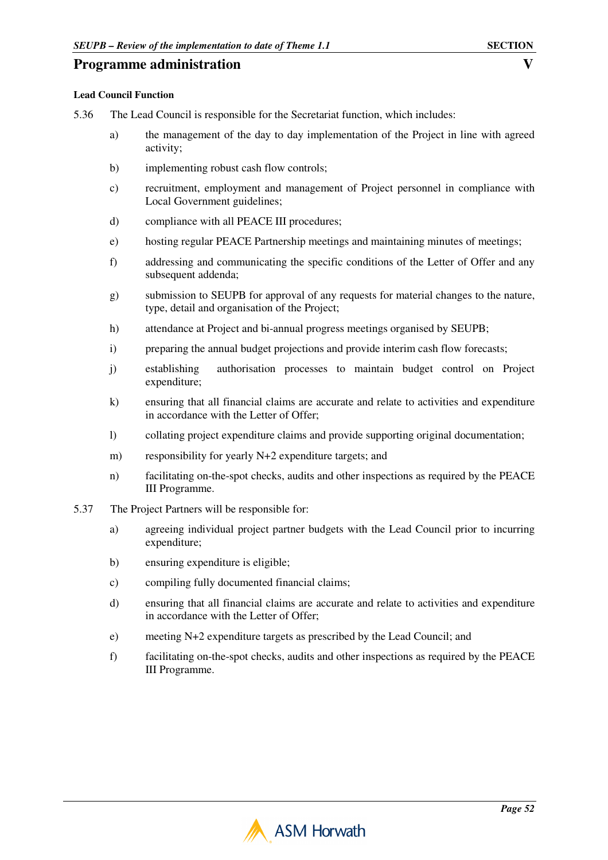#### **Lead Council Function**

- 5.36 The Lead Council is responsible for the Secretariat function, which includes:
	- a) the management of the day to day implementation of the Project in line with agreed activity;
	- b) implementing robust cash flow controls;
	- c) recruitment, employment and management of Project personnel in compliance with Local Government guidelines;
	- d) compliance with all PEACE III procedures;
	- e) hosting regular PEACE Partnership meetings and maintaining minutes of meetings;
	- f) addressing and communicating the specific conditions of the Letter of Offer and any subsequent addenda;
	- g) submission to SEUPB for approval of any requests for material changes to the nature, type, detail and organisation of the Project;
	- h) attendance at Project and bi-annual progress meetings organised by SEUPB;
	- i) preparing the annual budget projections and provide interim cash flow forecasts;
	- j) establishing authorisation processes to maintain budget control on Project expenditure;
	- k) ensuring that all financial claims are accurate and relate to activities and expenditure in accordance with the Letter of Offer;
	- l) collating project expenditure claims and provide supporting original documentation;
	- m) responsibility for yearly N+2 expenditure targets; and
	- n) facilitating on-the-spot checks, audits and other inspections as required by the PEACE III Programme.
- 5.37 The Project Partners will be responsible for:
	- a) agreeing individual project partner budgets with the Lead Council prior to incurring expenditure;
	- b) ensuring expenditure is eligible;
	- c) compiling fully documented financial claims;
	- d) ensuring that all financial claims are accurate and relate to activities and expenditure in accordance with the Letter of Offer;
	- e) meeting N+2 expenditure targets as prescribed by the Lead Council; and
	- f) facilitating on-the-spot checks, audits and other inspections as required by the PEACE III Programme.

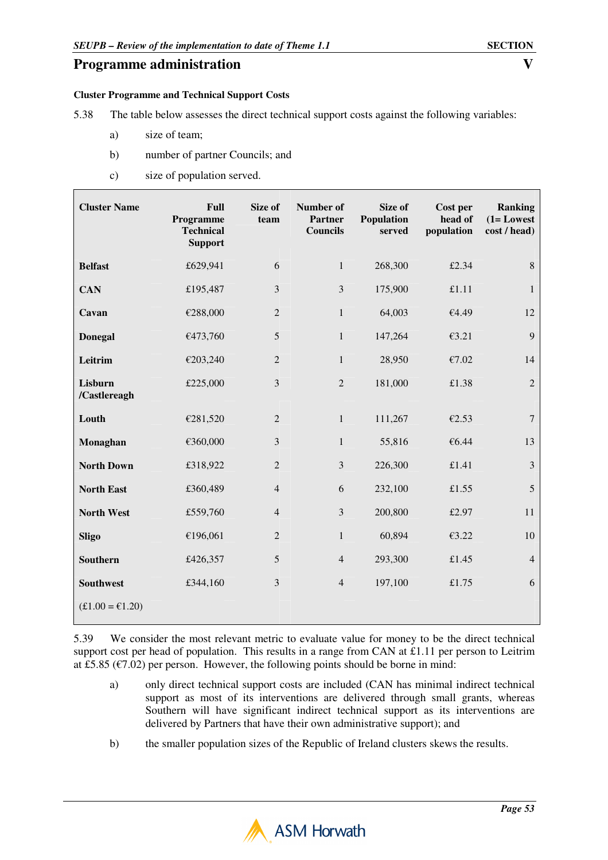#### **Cluster Programme and Technical Support Costs**

- 5.38 The table below assesses the direct technical support costs against the following variables:
	- a) size of team;
	- b) number of partner Councils; and
	- c) size of population served.

| <b>Cluster Name</b>     | Full<br>Programme<br><b>Technical</b><br><b>Support</b> | Size of<br>team | Number of<br><b>Partner</b><br><b>Councils</b> | Size of<br>Population<br>served | Cost per<br>head of<br>population | <b>Ranking</b><br>$(1 = Lowest$<br>cost / head) |
|-------------------------|---------------------------------------------------------|-----------------|------------------------------------------------|---------------------------------|-----------------------------------|-------------------------------------------------|
| <b>Belfast</b>          | £629,941                                                | 6               | $\mathbf{1}$                                   | 268,300                         | £2.34                             | $8\,$                                           |
| <b>CAN</b>              | £195,487                                                | $\mathfrak{Z}$  | 3                                              | 175,900                         | £1.11                             | $\mathbf{1}$                                    |
| Cavan                   | €288,000                                                | $\overline{2}$  | $\mathbf{1}$                                   | 64,003                          | €4.49                             | 12                                              |
| <b>Donegal</b>          | €473,760                                                | $\sqrt{5}$      | $\mathbf{1}$                                   | 147,264                         | £3.21                             | 9                                               |
| Leitrim                 | €203,240                                                | $\overline{2}$  | $\mathbf{1}$                                   | 28,950                          | €7.02                             | 14                                              |
| Lisburn<br>/Castlereagh | £225,000                                                | 3               | $\overline{c}$                                 | 181,000                         | £1.38                             | $\overline{2}$                                  |
| Louth                   | €281,520                                                | $\overline{2}$  | $\mathbf{1}$                                   | 111,267                         | €2.53                             | $\boldsymbol{7}$                                |
| Monaghan                | €360,000                                                | 3               | $\mathbf{1}$                                   | 55,816                          | €6.44                             | 13                                              |
| <b>North Down</b>       | £318,922                                                | $\overline{2}$  | 3                                              | 226,300                         | £1.41                             | $\mathfrak{Z}$                                  |
| <b>North East</b>       | £360,489                                                | $\overline{4}$  | 6                                              | 232,100                         | £1.55                             | 5                                               |
| <b>North West</b>       | £559,760                                                | $\overline{4}$  | 3                                              | 200,800                         | £2.97                             | 11                                              |
| <b>Sligo</b>            | €196,061                                                | $\overline{2}$  | $\mathbf{1}$                                   | 60,894                          | €3.22                             | 10                                              |
| <b>Southern</b>         | £426,357                                                | 5               | $\overline{4}$                                 | 293,300                         | £1.45                             | $\overline{4}$                                  |
| <b>Southwest</b>        | £344,160                                                | 3               | $\overline{4}$                                 | 197,100                         | £1.75                             | 6                                               |
| $£1.00 = £1.20$         |                                                         |                 |                                                |                                 |                                   |                                                 |

5.39 We consider the most relevant metric to evaluate value for money to be the direct technical support cost per head of population. This results in a range from CAN at £1.11 per person to Leitrim at £5.85 ( $\epsilon$ 7.02) per person. However, the following points should be borne in mind:

- a) only direct technical support costs are included (CAN has minimal indirect technical support as most of its interventions are delivered through small grants, whereas Southern will have significant indirect technical support as its interventions are delivered by Partners that have their own administrative support); and
- b) the smaller population sizes of the Republic of Ireland clusters skews the results.

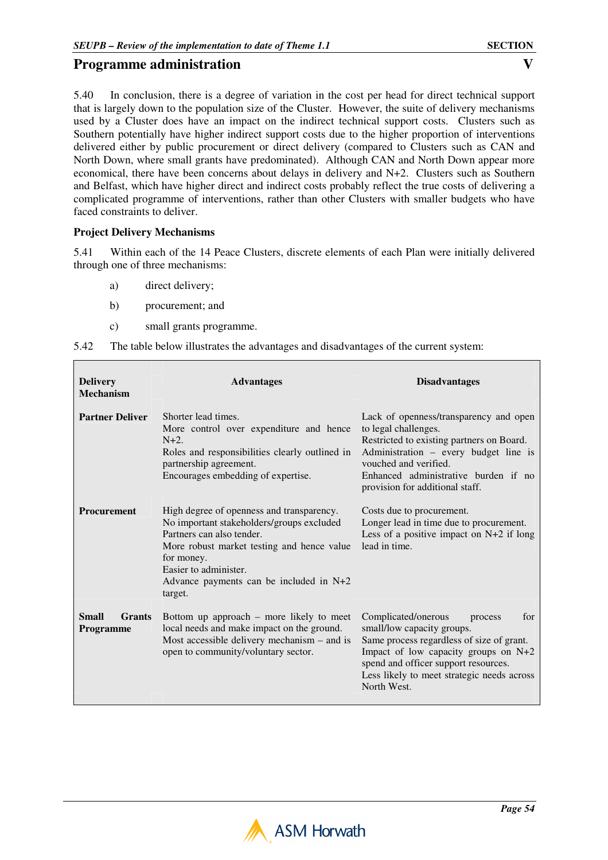5.40 In conclusion, there is a degree of variation in the cost per head for direct technical support that is largely down to the population size of the Cluster. However, the suite of delivery mechanisms used by a Cluster does have an impact on the indirect technical support costs. Clusters such as Southern potentially have higher indirect support costs due to the higher proportion of interventions delivered either by public procurement or direct delivery (compared to Clusters such as CAN and North Down, where small grants have predominated). Although CAN and North Down appear more economical, there have been concerns about delays in delivery and N+2. Clusters such as Southern and Belfast, which have higher direct and indirect costs probably reflect the true costs of delivering a complicated programme of interventions, rather than other Clusters with smaller budgets who have faced constraints to deliver.

#### **Project Delivery Mechanisms**

5.41 Within each of the 14 Peace Clusters, discrete elements of each Plan were initially delivered through one of three mechanisms:

- a) direct delivery;
- b) procurement; and
- c) small grants programme.

| <b>Delivery</b><br><b>Mechanism</b>                                                                                                                                                                                                                                           | <b>Advantages</b>                                                                                                                                                                           | <b>Disadvantages</b>                                                                                                                                                                                                                                          |  |
|-------------------------------------------------------------------------------------------------------------------------------------------------------------------------------------------------------------------------------------------------------------------------------|---------------------------------------------------------------------------------------------------------------------------------------------------------------------------------------------|---------------------------------------------------------------------------------------------------------------------------------------------------------------------------------------------------------------------------------------------------------------|--|
| <b>Partner Deliver</b>                                                                                                                                                                                                                                                        | Shorter lead times.<br>More control over expenditure and hence<br>$N+2$ .<br>Roles and responsibilities clearly outlined in<br>partnership agreement.<br>Encourages embedding of expertise. | Lack of openness/transparency and open<br>to legal challenges.<br>Restricted to existing partners on Board.<br>Administration – every budget line is<br>vouched and verified.<br>Enhanced administrative burden if no<br>provision for additional staff.      |  |
| Procurement<br>High degree of openness and transparency.<br>No important stakeholders/groups excluded<br>Partners can also tender.<br>More robust market testing and hence value<br>for money.<br>Easier to administer.<br>Advance payments can be included in N+2<br>target. |                                                                                                                                                                                             | Costs due to procurement.<br>Longer lead in time due to procurement.<br>Less of a positive impact on $N+2$ if long<br>lead in time.                                                                                                                           |  |
| <b>Small</b><br><b>Grants</b><br><b>Programme</b>                                                                                                                                                                                                                             | Bottom up approach – more likely to meet<br>local needs and make impact on the ground.<br>Most accessible delivery mechanism $-$ and is<br>open to community/voluntary sector.              | Complicated/onerous<br>for<br>process<br>small/low capacity groups.<br>Same process regardless of size of grant.<br>Impact of low capacity groups on N+2<br>spend and officer support resources.<br>Less likely to meet strategic needs across<br>North West. |  |

|  |  | 5.42 The table below illustrates the advantages and disadvantages of the current system: |
|--|--|------------------------------------------------------------------------------------------|
|  |  |                                                                                          |

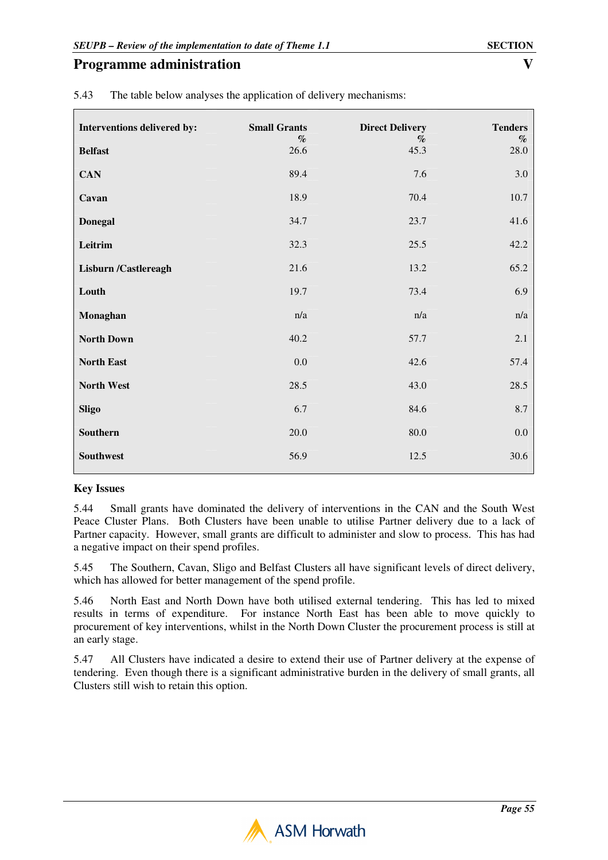| Interventions delivered by: | <b>Small Grants</b>     | <b>Direct Delivery</b> | <b>Tenders</b> |
|-----------------------------|-------------------------|------------------------|----------------|
| <b>Belfast</b>              | $\mathcal{O}_0$<br>26.6 | $\%$<br>45.3           | $\%$<br>28.0   |
| <b>CAN</b>                  | 89.4                    | 7.6                    | $3.0\,$        |
| Cavan                       | 18.9                    | 70.4                   | 10.7           |
| <b>Donegal</b>              | 34.7                    | 23.7                   | 41.6           |
| Leitrim                     | 32.3                    | 25.5                   | 42.2           |
| <b>Lisburn /Castlereagh</b> | 21.6                    | 13.2                   | 65.2           |
| Louth                       | 19.7                    | 73.4                   | 6.9            |
| Monaghan                    | n/a                     | n/a                    | n/a            |
| <b>North Down</b>           | 40.2                    | 57.7                   | 2.1            |
| <b>North East</b>           | $0.0\,$                 | 42.6                   | 57.4           |
| North West                  | 28.5                    | 43.0                   | 28.5           |
| <b>Sligo</b>                | 6.7                     | 84.6                   | $8.7\,$        |
| Southern                    | $20.0\,$                | $80.0\,$               | $0.0\,$        |
| Southwest                   | 56.9                    | 12.5                   | 30.6           |

5.43 The table below analyses the application of delivery mechanisms:

# **Key Issues**

5.44 Small grants have dominated the delivery of interventions in the CAN and the South West Peace Cluster Plans. Both Clusters have been unable to utilise Partner delivery due to a lack of Partner capacity. However, small grants are difficult to administer and slow to process. This has had a negative impact on their spend profiles.

5.45 The Southern, Cavan, Sligo and Belfast Clusters all have significant levels of direct delivery, which has allowed for better management of the spend profile.

5.46 North East and North Down have both utilised external tendering. This has led to mixed results in terms of expenditure. For instance North East has been able to move quickly to procurement of key interventions, whilst in the North Down Cluster the procurement process is still at an early stage.

5.47 All Clusters have indicated a desire to extend their use of Partner delivery at the expense of tendering. Even though there is a significant administrative burden in the delivery of small grants, all Clusters still wish to retain this option.

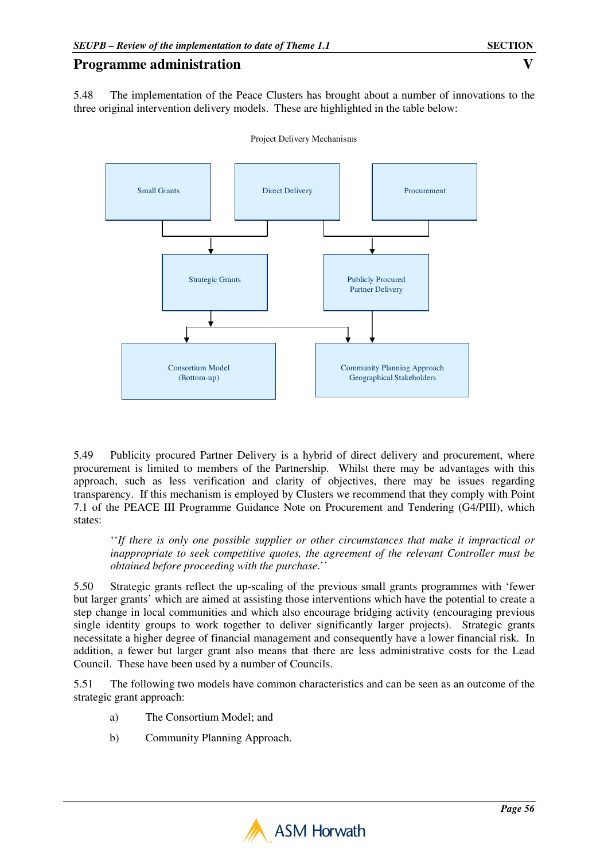5.48 The implementation of the Peace Clusters has brought about a number of innovations to the three original intervention delivery models. These are highlighted in the table below:



Project Delivery Mechanisms

5.49 Publicity procured Partner Delivery is a hybrid of direct delivery and procurement, where procurement is limited to members of the Partnership. Whilst there may be advantages with this approach, such as less verification and clarity of objectives, there may be issues regarding transparency. If this mechanism is employed by Clusters we recommend that they comply with Point 7.1 of the PEACE III Programme Guidance Note on Procurement and Tendering (G4/PIII), which states:

''*If there is only one possible supplier or other circumstances that make it impractical or inappropriate to seek competitive quotes, the agreement of the relevant Controller must be obtained before proceeding with the purchase*.''

5.50 Strategic grants reflect the up-scaling of the previous small grants programmes with 'fewer but larger grants' which are aimed at assisting those interventions which have the potential to create a step change in local communities and which also encourage bridging activity (encouraging previous single identity groups to work together to deliver significantly larger projects). Strategic grants necessitate a higher degree of financial management and consequently have a lower financial risk. In addition, a fewer but larger grant also means that there are less administrative costs for the Lead Council. These have been used by a number of Councils.

5.51 The following two models have common characteristics and can be seen as an outcome of the strategic grant approach:

- a) The Consortium Model; and
- b) Community Planning Approach.

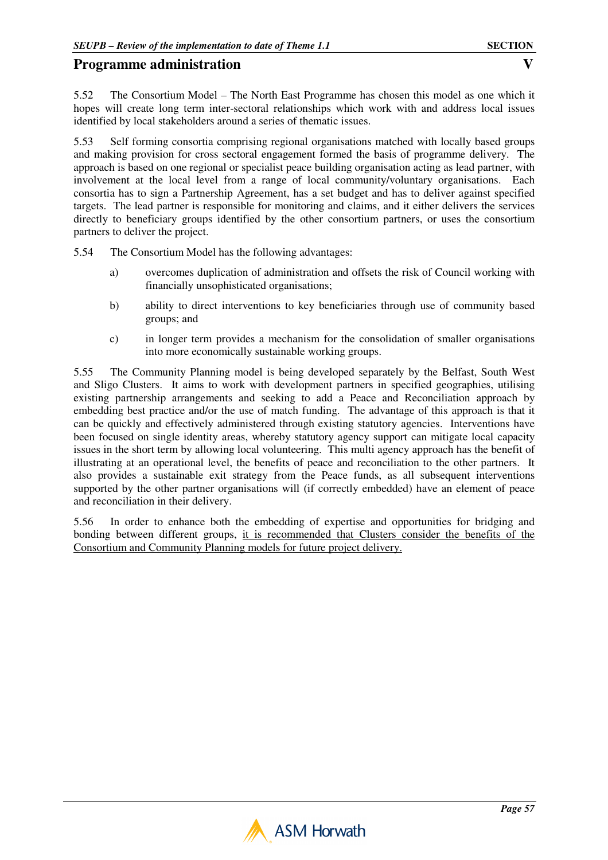5.52 The Consortium Model – The North East Programme has chosen this model as one which it hopes will create long term inter-sectoral relationships which work with and address local issues identified by local stakeholders around a series of thematic issues.

5.53 Self forming consortia comprising regional organisations matched with locally based groups and making provision for cross sectoral engagement formed the basis of programme delivery. The approach is based on one regional or specialist peace building organisation acting as lead partner, with involvement at the local level from a range of local community/voluntary organisations. Each consortia has to sign a Partnership Agreement, has a set budget and has to deliver against specified targets. The lead partner is responsible for monitoring and claims, and it either delivers the services directly to beneficiary groups identified by the other consortium partners, or uses the consortium partners to deliver the project.

5.54 The Consortium Model has the following advantages:

- a) overcomes duplication of administration and offsets the risk of Council working with financially unsophisticated organisations;
- b) ability to direct interventions to key beneficiaries through use of community based groups; and
- c) in longer term provides a mechanism for the consolidation of smaller organisations into more economically sustainable working groups.

5.55 The Community Planning model is being developed separately by the Belfast, South West and Sligo Clusters. It aims to work with development partners in specified geographies, utilising existing partnership arrangements and seeking to add a Peace and Reconciliation approach by embedding best practice and/or the use of match funding. The advantage of this approach is that it can be quickly and effectively administered through existing statutory agencies. Interventions have been focused on single identity areas, whereby statutory agency support can mitigate local capacity issues in the short term by allowing local volunteering. This multi agency approach has the benefit of illustrating at an operational level, the benefits of peace and reconciliation to the other partners. It also provides a sustainable exit strategy from the Peace funds, as all subsequent interventions supported by the other partner organisations will (if correctly embedded) have an element of peace and reconciliation in their delivery.

5.56 In order to enhance both the embedding of expertise and opportunities for bridging and bonding between different groups, it is recommended that Clusters consider the benefits of the Consortium and Community Planning models for future project delivery.

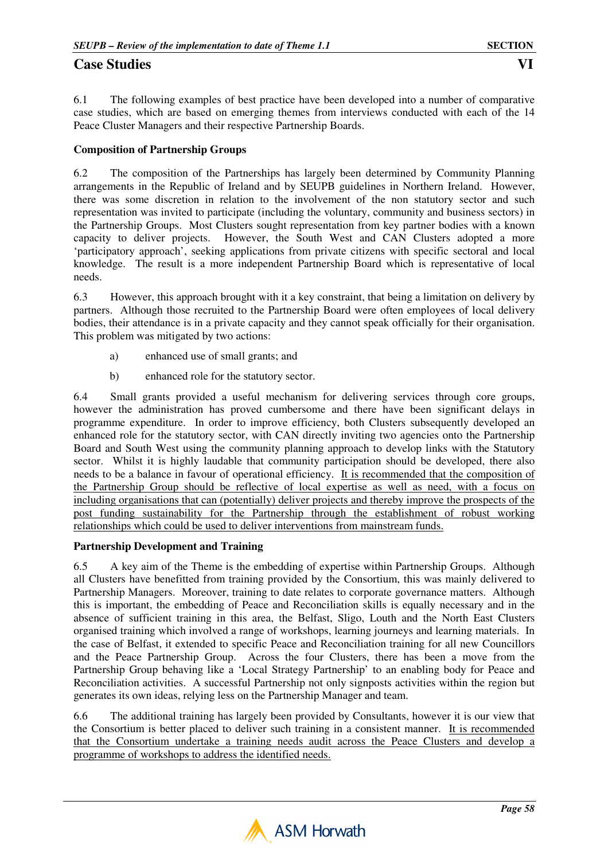# **Case Studies** VI **VI**

6.1 The following examples of best practice have been developed into a number of comparative case studies, which are based on emerging themes from interviews conducted with each of the 14 Peace Cluster Managers and their respective Partnership Boards.

### **Composition of Partnership Groups**

6.2 The composition of the Partnerships has largely been determined by Community Planning arrangements in the Republic of Ireland and by SEUPB guidelines in Northern Ireland. However, there was some discretion in relation to the involvement of the non statutory sector and such representation was invited to participate (including the voluntary, community and business sectors) in the Partnership Groups. Most Clusters sought representation from key partner bodies with a known capacity to deliver projects. However, the South West and CAN Clusters adopted a more 'participatory approach', seeking applications from private citizens with specific sectoral and local knowledge. The result is a more independent Partnership Board which is representative of local needs.

6.3 However, this approach brought with it a key constraint, that being a limitation on delivery by partners. Although those recruited to the Partnership Board were often employees of local delivery bodies, their attendance is in a private capacity and they cannot speak officially for their organisation. This problem was mitigated by two actions:

- a) enhanced use of small grants; and
- b) enhanced role for the statutory sector.

6.4 Small grants provided a useful mechanism for delivering services through core groups, however the administration has proved cumbersome and there have been significant delays in programme expenditure. In order to improve efficiency, both Clusters subsequently developed an enhanced role for the statutory sector, with CAN directly inviting two agencies onto the Partnership Board and South West using the community planning approach to develop links with the Statutory sector. Whilst it is highly laudable that community participation should be developed, there also needs to be a balance in favour of operational efficiency. It is recommended that the composition of the Partnership Group should be reflective of local expertise as well as need, with a focus on including organisations that can (potentially) deliver projects and thereby improve the prospects of the post funding sustainability for the Partnership through the establishment of robust working relationships which could be used to deliver interventions from mainstream funds.

### **Partnership Development and Training**

6.5 A key aim of the Theme is the embedding of expertise within Partnership Groups. Although all Clusters have benefitted from training provided by the Consortium, this was mainly delivered to Partnership Managers. Moreover, training to date relates to corporate governance matters. Although this is important, the embedding of Peace and Reconciliation skills is equally necessary and in the absence of sufficient training in this area, the Belfast, Sligo, Louth and the North East Clusters organised training which involved a range of workshops, learning journeys and learning materials. In the case of Belfast, it extended to specific Peace and Reconciliation training for all new Councillors and the Peace Partnership Group. Across the four Clusters, there has been a move from the Partnership Group behaving like a 'Local Strategy Partnership' to an enabling body for Peace and Reconciliation activities. A successful Partnership not only signposts activities within the region but generates its own ideas, relying less on the Partnership Manager and team.

6.6 The additional training has largely been provided by Consultants, however it is our view that the Consortium is better placed to deliver such training in a consistent manner. It is recommended that the Consortium undertake a training needs audit across the Peace Clusters and develop a programme of workshops to address the identified needs.

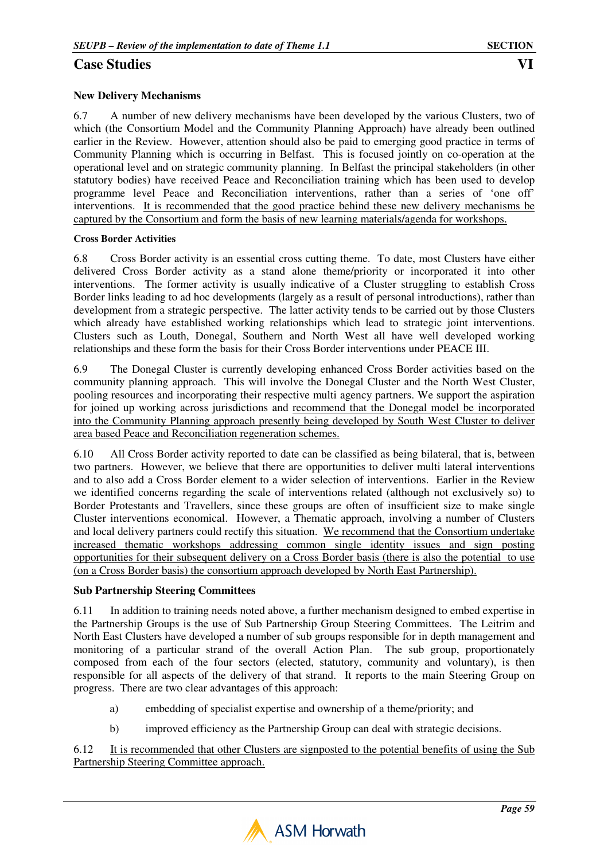# **Case Studies**

## **New Delivery Mechanisms**

6.7 A number of new delivery mechanisms have been developed by the various Clusters, two of which (the Consortium Model and the Community Planning Approach) have already been outlined earlier in the Review. However, attention should also be paid to emerging good practice in terms of Community Planning which is occurring in Belfast. This is focused jointly on co-operation at the operational level and on strategic community planning. In Belfast the principal stakeholders (in other statutory bodies) have received Peace and Reconciliation training which has been used to develop programme level Peace and Reconciliation interventions, rather than a series of 'one off' interventions. It is recommended that the good practice behind these new delivery mechanisms be captured by the Consortium and form the basis of new learning materials/agenda for workshops.

### **Cross Border Activities**

6.8 Cross Border activity is an essential cross cutting theme. To date, most Clusters have either delivered Cross Border activity as a stand alone theme/priority or incorporated it into other interventions. The former activity is usually indicative of a Cluster struggling to establish Cross Border links leading to ad hoc developments (largely as a result of personal introductions), rather than development from a strategic perspective. The latter activity tends to be carried out by those Clusters which already have established working relationships which lead to strategic joint interventions. Clusters such as Louth, Donegal, Southern and North West all have well developed working relationships and these form the basis for their Cross Border interventions under PEACE III.

6.9 The Donegal Cluster is currently developing enhanced Cross Border activities based on the community planning approach. This will involve the Donegal Cluster and the North West Cluster, pooling resources and incorporating their respective multi agency partners. We support the aspiration for joined up working across jurisdictions and recommend that the Donegal model be incorporated into the Community Planning approach presently being developed by South West Cluster to deliver area based Peace and Reconciliation regeneration schemes.

6.10 All Cross Border activity reported to date can be classified as being bilateral, that is, between two partners. However, we believe that there are opportunities to deliver multi lateral interventions and to also add a Cross Border element to a wider selection of interventions. Earlier in the Review we identified concerns regarding the scale of interventions related (although not exclusively so) to Border Protestants and Travellers, since these groups are often of insufficient size to make single Cluster interventions economical. However, a Thematic approach, involving a number of Clusters and local delivery partners could rectify this situation. We recommend that the Consortium undertake increased thematic workshops addressing common single identity issues and sign posting opportunities for their subsequent delivery on a Cross Border basis (there is also the potential to use (on a Cross Border basis) the consortium approach developed by North East Partnership).

### **Sub Partnership Steering Committees**

6.11 In addition to training needs noted above, a further mechanism designed to embed expertise in the Partnership Groups is the use of Sub Partnership Group Steering Committees. The Leitrim and North East Clusters have developed a number of sub groups responsible for in depth management and monitoring of a particular strand of the overall Action Plan. The sub group, proportionately composed from each of the four sectors (elected, statutory, community and voluntary), is then responsible for all aspects of the delivery of that strand. It reports to the main Steering Group on progress. There are two clear advantages of this approach:

- a) embedding of specialist expertise and ownership of a theme/priority; and
- b) improved efficiency as the Partnership Group can deal with strategic decisions.

6.12 It is recommended that other Clusters are signposted to the potential benefits of using the Sub Partnership Steering Committee approach.

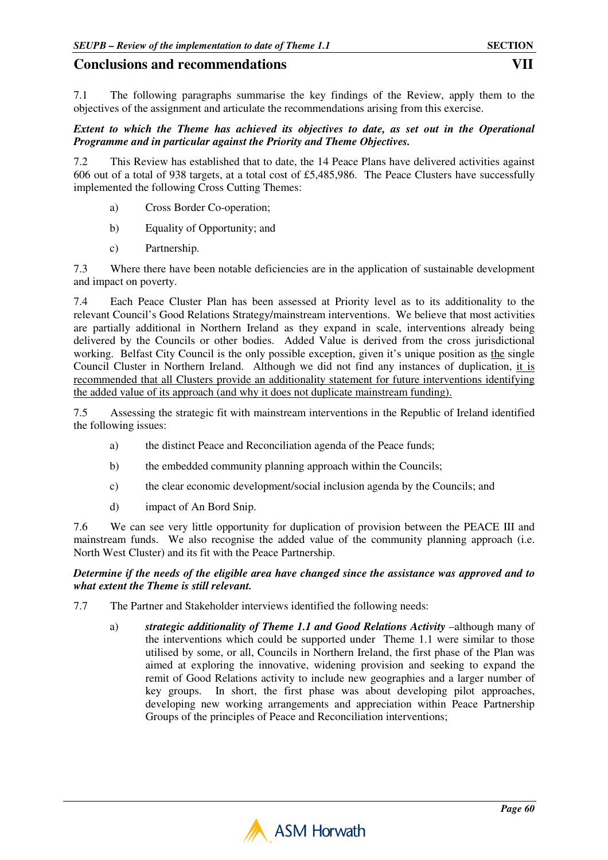7.1 The following paragraphs summarise the key findings of the Review, apply them to the objectives of the assignment and articulate the recommendations arising from this exercise.

#### *Extent to which the Theme has achieved its objectives to date, as set out in the Operational Programme and in particular against the Priority and Theme Objectives.*

7.2 This Review has established that to date, the 14 Peace Plans have delivered activities against 606 out of a total of 938 targets, at a total cost of £5,485,986. The Peace Clusters have successfully implemented the following Cross Cutting Themes:

- a) Cross Border Co-operation;
- b) Equality of Opportunity; and
- c) Partnership.

7.3 Where there have been notable deficiencies are in the application of sustainable development and impact on poverty.

7.4 Each Peace Cluster Plan has been assessed at Priority level as to its additionality to the relevant Council's Good Relations Strategy/mainstream interventions. We believe that most activities are partially additional in Northern Ireland as they expand in scale, interventions already being delivered by the Councils or other bodies. Added Value is derived from the cross jurisdictional working. Belfast City Council is the only possible exception, given it's unique position as the single Council Cluster in Northern Ireland. Although we did not find any instances of duplication, it is recommended that all Clusters provide an additionality statement for future interventions identifying the added value of its approach (and why it does not duplicate mainstream funding).

7.5 Assessing the strategic fit with mainstream interventions in the Republic of Ireland identified the following issues:

- a) the distinct Peace and Reconciliation agenda of the Peace funds;
- b) the embedded community planning approach within the Councils;
- c) the clear economic development/social inclusion agenda by the Councils; and
- d) impact of An Bord Snip.

7.6 We can see very little opportunity for duplication of provision between the PEACE III and mainstream funds. We also recognise the added value of the community planning approach (i.e. North West Cluster) and its fit with the Peace Partnership.

#### *Determine if the needs of the eligible area have changed since the assistance was approved and to what extent the Theme is still relevant.*

- 7.7 The Partner and Stakeholder interviews identified the following needs:
	- a) *strategic additionality of Theme 1.1 and Good Relations Activity* –although many of the interventions which could be supported under Theme 1.1 were similar to those utilised by some, or all, Councils in Northern Ireland, the first phase of the Plan was aimed at exploring the innovative, widening provision and seeking to expand the remit of Good Relations activity to include new geographies and a larger number of key groups. In short, the first phase was about developing pilot approaches, developing new working arrangements and appreciation within Peace Partnership Groups of the principles of Peace and Reconciliation interventions;

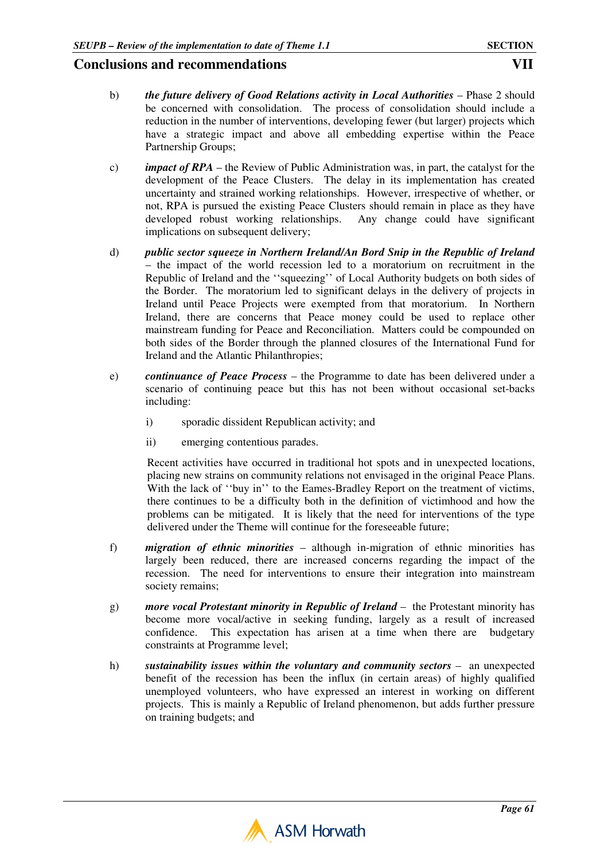- b) *the future delivery of Good Relations activity in Local Authorities* Phase 2 should be concerned with consolidation. The process of consolidation should include a reduction in the number of interventions, developing fewer (but larger) projects which have a strategic impact and above all embedding expertise within the Peace Partnership Groups;
- c) *impact of RPA*  the Review of Public Administration was, in part, the catalyst for the development of the Peace Clusters. The delay in its implementation has created uncertainty and strained working relationships. However, irrespective of whether, or not, RPA is pursued the existing Peace Clusters should remain in place as they have developed robust working relationships. Any change could have significant implications on subsequent delivery;
- d) *public sector squeeze in Northern Ireland/An Bord Snip in the Republic of Ireland* – the impact of the world recession led to a moratorium on recruitment in the Republic of Ireland and the ''squeezing'' of Local Authority budgets on both sides of the Border. The moratorium led to significant delays in the delivery of projects in Ireland until Peace Projects were exempted from that moratorium. In Northern Ireland, there are concerns that Peace money could be used to replace other mainstream funding for Peace and Reconciliation. Matters could be compounded on both sides of the Border through the planned closures of the International Fund for Ireland and the Atlantic Philanthropies;
- e) *continuance of Peace Process* the Programme to date has been delivered under a scenario of continuing peace but this has not been without occasional set-backs including:
	- i) sporadic dissident Republican activity; and
	- ii) emerging contentious parades.

Recent activities have occurred in traditional hot spots and in unexpected locations, placing new strains on community relations not envisaged in the original Peace Plans. With the lack of "buy in" to the Eames-Bradley Report on the treatment of victims, there continues to be a difficulty both in the definition of victimhood and how the problems can be mitigated. It is likely that the need for interventions of the type delivered under the Theme will continue for the foreseeable future;

- f) *migration of ethnic minorities* although in-migration of ethnic minorities has largely been reduced, there are increased concerns regarding the impact of the recession. The need for interventions to ensure their integration into mainstream society remains;
- g) *more vocal Protestant minority in Republic of Ireland* the Protestant minority has become more vocal/active in seeking funding, largely as a result of increased confidence. This expectation has arisen at a time when there are budgetary constraints at Programme level;
- h) *sustainability issues within the voluntary and community sectors –* **an unexpected** benefit of the recession has been the influx (in certain areas) of highly qualified unemployed volunteers, who have expressed an interest in working on different projects. This is mainly a Republic of Ireland phenomenon, but adds further pressure on training budgets; and

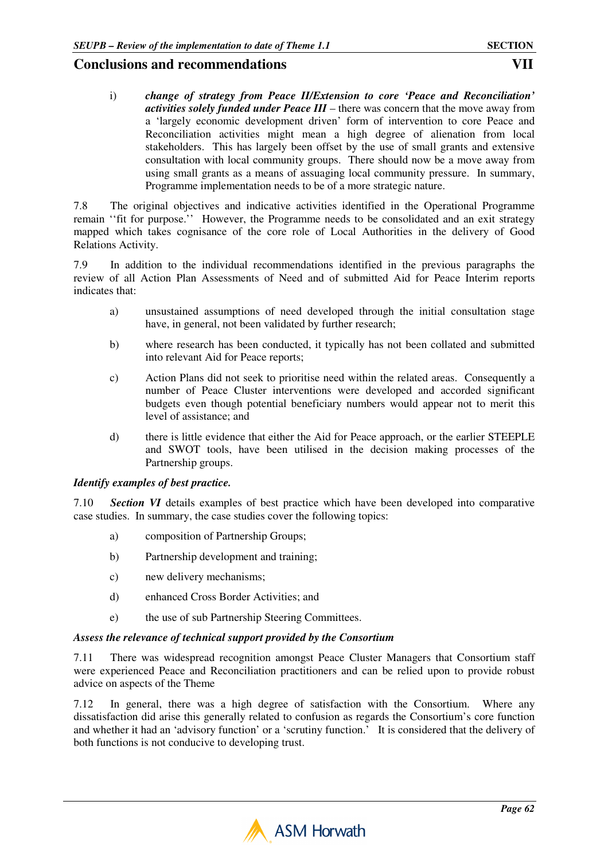i) *change of strategy from Peace II/Extension to core 'Peace and Reconciliation' activities solely funded under Peace III* – there was concern that the move away from a 'largely economic development driven' form of intervention to core Peace and Reconciliation activities might mean a high degree of alienation from local stakeholders. This has largely been offset by the use of small grants and extensive consultation with local community groups. There should now be a move away from using small grants as a means of assuaging local community pressure. In summary, Programme implementation needs to be of a more strategic nature.

7.8 The original objectives and indicative activities identified in the Operational Programme remain ''fit for purpose.'' However, the Programme needs to be consolidated and an exit strategy mapped which takes cognisance of the core role of Local Authorities in the delivery of Good Relations Activity.

7.9 In addition to the individual recommendations identified in the previous paragraphs the review of all Action Plan Assessments of Need and of submitted Aid for Peace Interim reports indicates that:

- a) unsustained assumptions of need developed through the initial consultation stage have, in general, not been validated by further research;
- b) where research has been conducted, it typically has not been collated and submitted into relevant Aid for Peace reports;
- c) Action Plans did not seek to prioritise need within the related areas. Consequently a number of Peace Cluster interventions were developed and accorded significant budgets even though potential beneficiary numbers would appear not to merit this level of assistance; and
- d) there is little evidence that either the Aid for Peace approach, or the earlier STEEPLE and SWOT tools, have been utilised in the decision making processes of the Partnership groups.

### *Identify examples of best practice.*

7.10 *Section VI* details examples of best practice which have been developed into comparative case studies. In summary, the case studies cover the following topics:

- a) composition of Partnership Groups;
- b) Partnership development and training;
- c) new delivery mechanisms;
- d) enhanced Cross Border Activities; and
- e) the use of sub Partnership Steering Committees.

### *Assess the relevance of technical support provided by the Consortium*

7.11 There was widespread recognition amongst Peace Cluster Managers that Consortium staff were experienced Peace and Reconciliation practitioners and can be relied upon to provide robust advice on aspects of the Theme

7.12 In general, there was a high degree of satisfaction with the Consortium. Where any dissatisfaction did arise this generally related to confusion as regards the Consortium's core function and whether it had an 'advisory function' or a 'scrutiny function.' It is considered that the delivery of both functions is not conducive to developing trust.

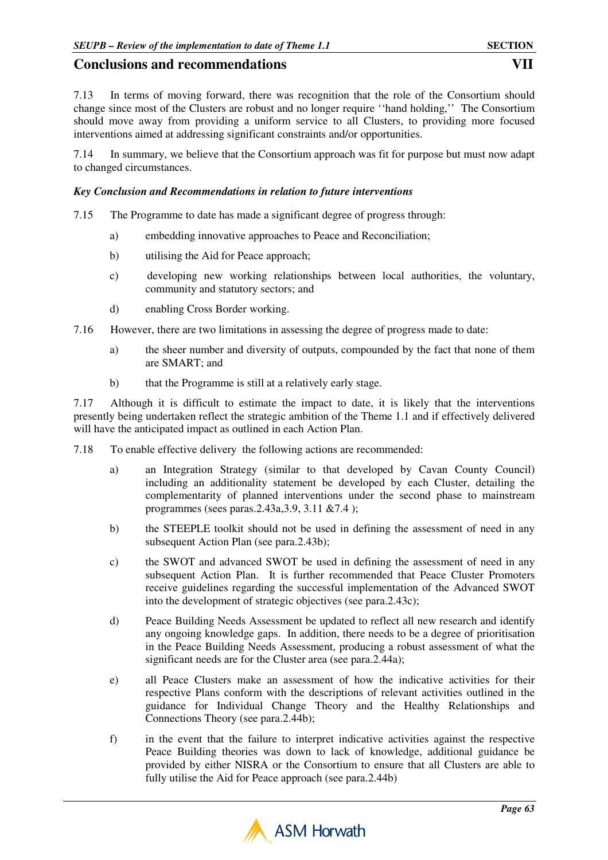7.13 In terms of moving forward, there was recognition that the role of the Consortium should change since most of the Clusters are robust and no longer require ''hand holding,'' The Consortium should move away from providing a uniform service to all Clusters, to providing more focused interventions aimed at addressing significant constraints and/or opportunities.

7.14 In summary, we believe that the Consortium approach was fit for purpose but must now adapt to changed circumstances.

#### *Key Conclusion and Recommendations in relation to future interventions*

- 7.15 The Programme to date has made a significant degree of progress through:
	- a) embedding innovative approaches to Peace and Reconciliation;
	- b) utilising the Aid for Peace approach;
	- c) developing new working relationships between local authorities, the voluntary, community and statutory sectors; and
	- d) enabling Cross Border working.
- 7.16 However, there are two limitations in assessing the degree of progress made to date:
	- a) the sheer number and diversity of outputs, compounded by the fact that none of them are SMART; and
	- b) that the Programme is still at a relatively early stage.

7.17 Although it is difficult to estimate the impact to date, it is likely that the interventions presently being undertaken reflect the strategic ambition of the Theme 1.1 and if effectively delivered will have the anticipated impact as outlined in each Action Plan.

- 7.18 To enable effective delivery the following actions are recommended:
	- a) an Integration Strategy (similar to that developed by Cavan County Council) including an additionality statement be developed by each Cluster, detailing the complementarity of planned interventions under the second phase to mainstream programmes (sees paras.2.43a,3.9, 3.11 &7.4 );
	- b) the STEEPLE toolkit should not be used in defining the assessment of need in any subsequent Action Plan (see para.2.43b);
	- c) the SWOT and advanced SWOT be used in defining the assessment of need in any subsequent Action Plan. It is further recommended that Peace Cluster Promoters receive guidelines regarding the successful implementation of the Advanced SWOT into the development of strategic objectives (see para.2.43c);
	- d) Peace Building Needs Assessment be updated to reflect all new research and identify any ongoing knowledge gaps. In addition, there needs to be a degree of prioritisation in the Peace Building Needs Assessment, producing a robust assessment of what the significant needs are for the Cluster area (see para.2.44a);
	- e) all Peace Clusters make an assessment of how the indicative activities for their respective Plans conform with the descriptions of relevant activities outlined in the guidance for Individual Change Theory and the Healthy Relationships and Connections Theory (see para.2.44b);
	- f) in the event that the failure to interpret indicative activities against the respective Peace Building theories was down to lack of knowledge, additional guidance be provided by either NISRA or the Consortium to ensure that all Clusters are able to fully utilise the Aid for Peace approach (see para.2.44b)

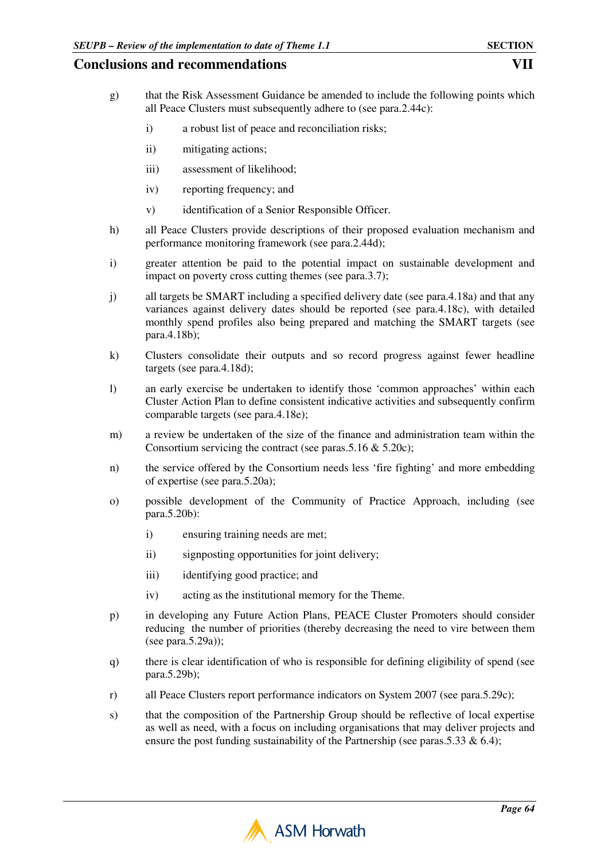- g) that the Risk Assessment Guidance be amended to include the following points which all Peace Clusters must subsequently adhere to (see para.2.44c):
	- i) a robust list of peace and reconciliation risks;
	- ii) mitigating actions;
	- iii) assessment of likelihood;
	- iv) reporting frequency; and
	- v) identification of a Senior Responsible Officer.
- h) all Peace Clusters provide descriptions of their proposed evaluation mechanism and performance monitoring framework (see para.2.44d);
- i) greater attention be paid to the potential impact on sustainable development and impact on poverty cross cutting themes (see para.3.7);
- j) all targets be SMART including a specified delivery date (see para.4.18a) and that any variances against delivery dates should be reported (see para.4.18c), with detailed monthly spend profiles also being prepared and matching the SMART targets (see para.4.18b);
- k) Clusters consolidate their outputs and so record progress against fewer headline targets (see para.4.18d);
- l) an early exercise be undertaken to identify those 'common approaches' within each Cluster Action Plan to define consistent indicative activities and subsequently confirm comparable targets (see para.4.18e);
- m) a review be undertaken of the size of the finance and administration team within the Consortium servicing the contract (see paras.5.16 & 5.20c);
- n) the service offered by the Consortium needs less 'fire fighting' and more embedding of expertise (see para.5.20a);
- o) possible development of the Community of Practice Approach, including (see para.5.20b):
	- i) ensuring training needs are met;
	- ii) signposting opportunities for joint delivery;
	- iii) identifying good practice; and
	- iv) acting as the institutional memory for the Theme.
- p) in developing any Future Action Plans, PEACE Cluster Promoters should consider reducing the number of priorities (thereby decreasing the need to vire between them (see para.5.29a));
- q) there is clear identification of who is responsible for defining eligibility of spend (see para.5.29b);
- r) all Peace Clusters report performance indicators on System 2007 (see para.5.29c);
- s) that the composition of the Partnership Group should be reflective of local expertise as well as need, with a focus on including organisations that may deliver projects and ensure the post funding sustainability of the Partnership (see paras.5.33  $\&$  6.4);

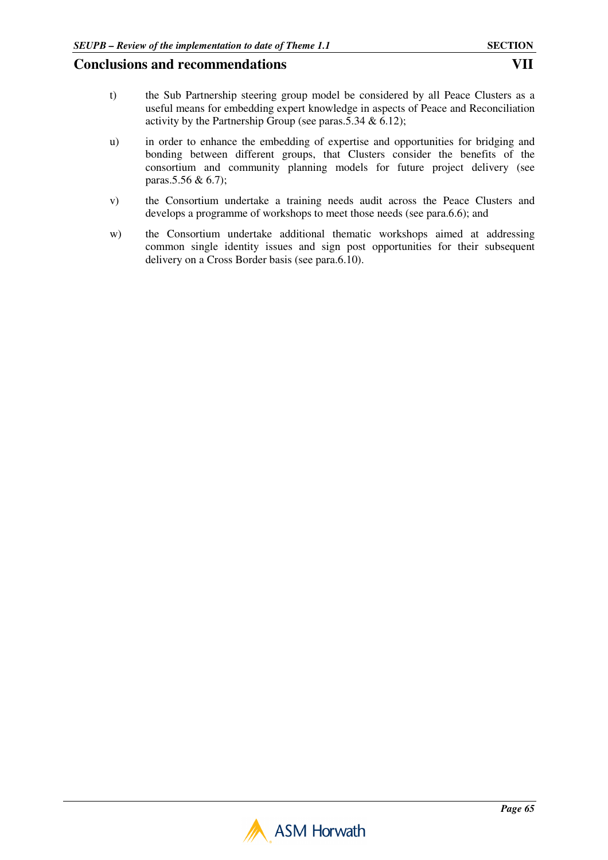- t) the Sub Partnership steering group model be considered by all Peace Clusters as a useful means for embedding expert knowledge in aspects of Peace and Reconciliation activity by the Partnership Group (see paras.5.34  $& 6.12$ );
- u) in order to enhance the embedding of expertise and opportunities for bridging and bonding between different groups, that Clusters consider the benefits of the consortium and community planning models for future project delivery (see paras.5.56 & 6.7);
- v) the Consortium undertake a training needs audit across the Peace Clusters and develops a programme of workshops to meet those needs (see para.6.6); and
- w) the Consortium undertake additional thematic workshops aimed at addressing common single identity issues and sign post opportunities for their subsequent delivery on a Cross Border basis (see para.6.10).

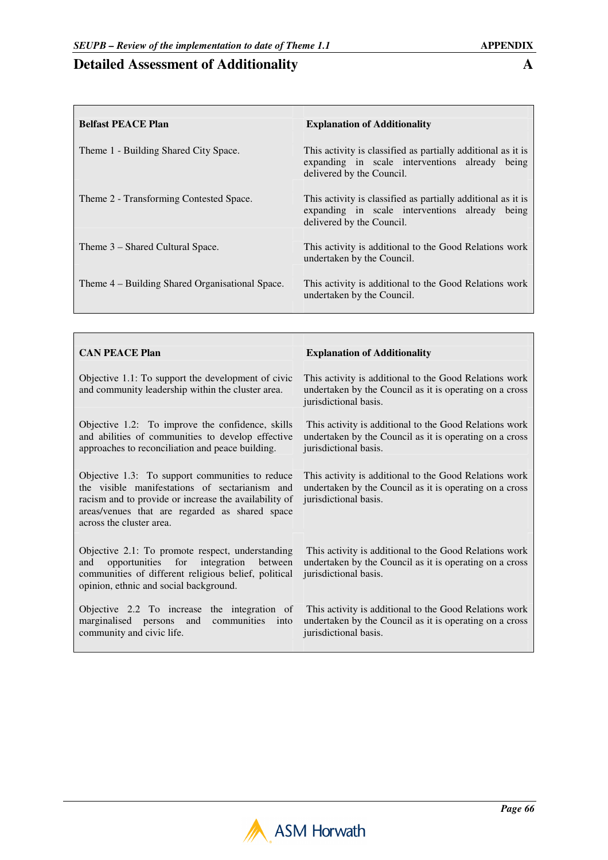# **Detailed Assessment of Additionality A**

<u> Tanzania (h. 1878).</u>

 $\mathbf{I}$ 

| <b>Belfast PEACE Plan</b>                       | <b>Explanation of Additionality</b>                                                                                                         |
|-------------------------------------------------|---------------------------------------------------------------------------------------------------------------------------------------------|
| Theme 1 - Building Shared City Space.           | This activity is classified as partially additional as it is<br>expanding in scale interventions already being<br>delivered by the Council. |
| Theme 2 - Transforming Contested Space.         | This activity is classified as partially additional as it is<br>expanding in scale interventions already being<br>delivered by the Council. |
| Theme 3 – Shared Cultural Space.                | This activity is additional to the Good Relations work<br>undertaken by the Council.                                                        |
| Theme 4 – Building Shared Organisational Space. | This activity is additional to the Good Relations work<br>undertaken by the Council.                                                        |

| <b>CAN PEACE Plan</b>                                                                                                                                                                                                                    | <b>Explanation of Additionality</b>                                                                                                        |
|------------------------------------------------------------------------------------------------------------------------------------------------------------------------------------------------------------------------------------------|--------------------------------------------------------------------------------------------------------------------------------------------|
| Objective 1.1: To support the development of civic<br>and community leadership within the cluster area.                                                                                                                                  | This activity is additional to the Good Relations work<br>undertaken by the Council as it is operating on a cross<br>jurisdictional basis. |
| Objective 1.2: To improve the confidence, skills<br>and abilities of communities to develop effective<br>approaches to reconciliation and peace building.                                                                                | This activity is additional to the Good Relations work<br>undertaken by the Council as it is operating on a cross<br>jurisdictional basis. |
| Objective 1.3: To support communities to reduce<br>the visible manifestations of sectarianism and<br>racism and to provide or increase the availability of<br>areas/venues that are regarded as shared space<br>across the cluster area. | This activity is additional to the Good Relations work<br>undertaken by the Council as it is operating on a cross<br>jurisdictional basis. |
| Objective 2.1: To promote respect, understanding<br>opportunities for integration between<br>and<br>communities of different religious belief, political<br>opinion, ethnic and social background.                                       | This activity is additional to the Good Relations work<br>undertaken by the Council as it is operating on a cross<br>jurisdictional basis. |
| Objective 2.2 To increase the integration of<br>marginalised persons and<br>communities<br>into<br>community and civic life.                                                                                                             | This activity is additional to the Good Relations work<br>undertaken by the Council as it is operating on a cross<br>jurisdictional basis. |

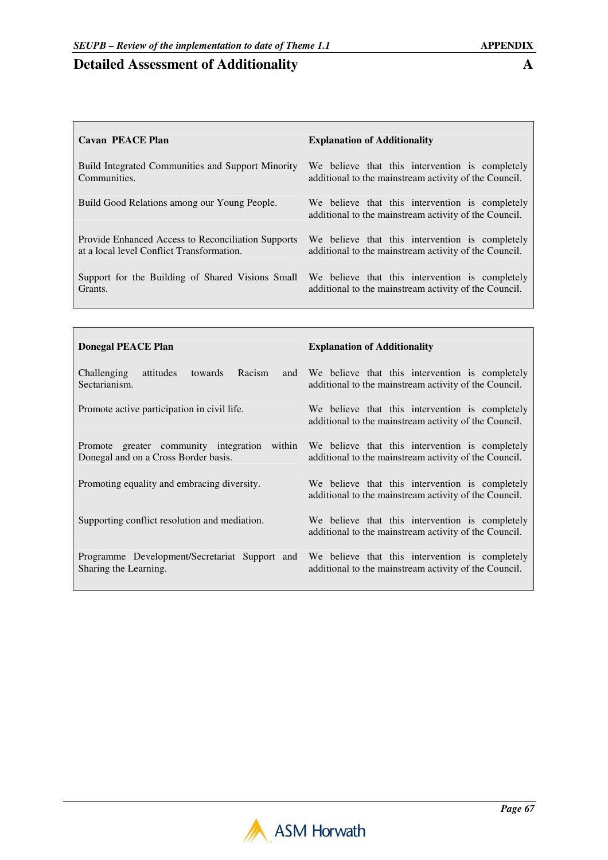# **Detailed Assessment of Additionality A**

| <b>Cavan PEACE Plan</b>                                                                         | <b>Explanation of Additionality</b>                                                                      |
|-------------------------------------------------------------------------------------------------|----------------------------------------------------------------------------------------------------------|
| Build Integrated Communities and Support Minority<br>Communities.                               | We believe that this intervention is completely<br>additional to the mainstream activity of the Council. |
| Build Good Relations among our Young People.                                                    | We believe that this intervention is completely<br>additional to the mainstream activity of the Council. |
| Provide Enhanced Access to Reconciliation Supports<br>at a local level Conflict Transformation. | We believe that this intervention is completely<br>additional to the mainstream activity of the Council. |
| Support for the Building of Shared Visions Small<br>Grants.                                     | We believe that this intervention is completely<br>additional to the mainstream activity of the Council. |
|                                                                                                 |                                                                                                          |
| Donegal PFACE Plan                                                                              | <b>Fynlanation of Additionality</b>                                                                      |

| DONEGAL PEACE PIAN                                                                      | Explanation of Additionality                                                                             |
|-----------------------------------------------------------------------------------------|----------------------------------------------------------------------------------------------------------|
| Challenging<br>Racism<br>attitudes<br>towards<br>and<br>Sectarianism.                   | We believe that this intervention is completely<br>additional to the mainstream activity of the Council. |
| Promote active participation in civil life.                                             | We believe that this intervention is completely<br>additional to the mainstream activity of the Council. |
| Promote greater community integration<br>within<br>Donegal and on a Cross Border basis. | We believe that this intervention is completely<br>additional to the mainstream activity of the Council. |
| Promoting equality and embracing diversity.                                             | We believe that this intervention is completely<br>additional to the mainstream activity of the Council. |
| Supporting conflict resolution and mediation.                                           | We believe that this intervention is completely<br>additional to the mainstream activity of the Council. |
| Programme Development/Secretariat Support and<br>Sharing the Learning.                  | We believe that this intervention is completely<br>additional to the mainstream activity of the Council. |

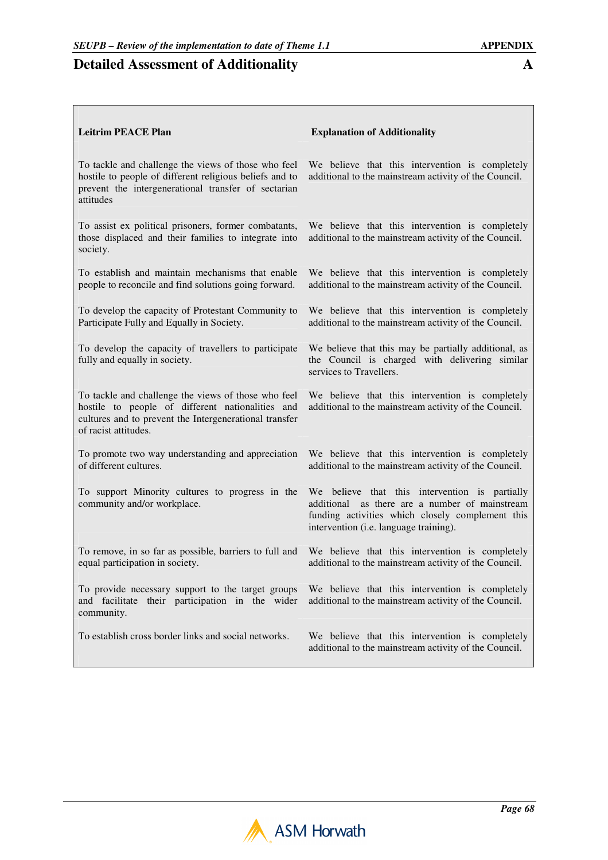# **Detailed Assessment of Additionality A**

 $\overline{\phantom{a}}$ 

| <b>Leitrim PEACE Plan</b>                                                                                                                                                                 | <b>Explanation of Additionality</b>                                                                                                                                                               |
|-------------------------------------------------------------------------------------------------------------------------------------------------------------------------------------------|---------------------------------------------------------------------------------------------------------------------------------------------------------------------------------------------------|
| To tackle and challenge the views of those who feel<br>hostile to people of different religious beliefs and to<br>prevent the intergenerational transfer of sectarian<br>attitudes        | We believe that this intervention is completely<br>additional to the mainstream activity of the Council.                                                                                          |
| To assist ex political prisoners, former combatants,<br>those displaced and their families to integrate into<br>society.                                                                  | We believe that this intervention is completely<br>additional to the mainstream activity of the Council.                                                                                          |
| To establish and maintain mechanisms that enable<br>people to reconcile and find solutions going forward.                                                                                 | We believe that this intervention is completely<br>additional to the mainstream activity of the Council.                                                                                          |
| To develop the capacity of Protestant Community to<br>Participate Fully and Equally in Society.                                                                                           | We believe that this intervention is completely<br>additional to the mainstream activity of the Council.                                                                                          |
| To develop the capacity of travellers to participate<br>fully and equally in society.                                                                                                     | We believe that this may be partially additional, as<br>the Council is charged with delivering similar<br>services to Travellers.                                                                 |
| To tackle and challenge the views of those who feel<br>hostile to people of different nationalities and<br>cultures and to prevent the Intergenerational transfer<br>of racist attitudes. | We believe that this intervention is completely<br>additional to the mainstream activity of the Council.                                                                                          |
| To promote two way understanding and appreciation<br>of different cultures.                                                                                                               | We believe that this intervention is completely<br>additional to the mainstream activity of the Council.                                                                                          |
| To support Minority cultures to progress in the<br>community and/or workplace.                                                                                                            | We believe that this intervention is partially<br>as there are a number of mainstream<br>additional<br>funding activities which closely complement this<br>intervention (i.e. language training). |
| To remove, in so far as possible, barriers to full and<br>equal participation in society.                                                                                                 | We believe that this intervention is completely<br>additional to the mainstream activity of the Council.                                                                                          |
| To provide necessary support to the target groups<br>and facilitate their participation in the wider<br>community.                                                                        | We believe that this intervention is completely<br>additional to the mainstream activity of the Council.                                                                                          |
| To establish cross border links and social networks.                                                                                                                                      | We believe that this intervention is completely<br>additional to the mainstream activity of the Council.                                                                                          |

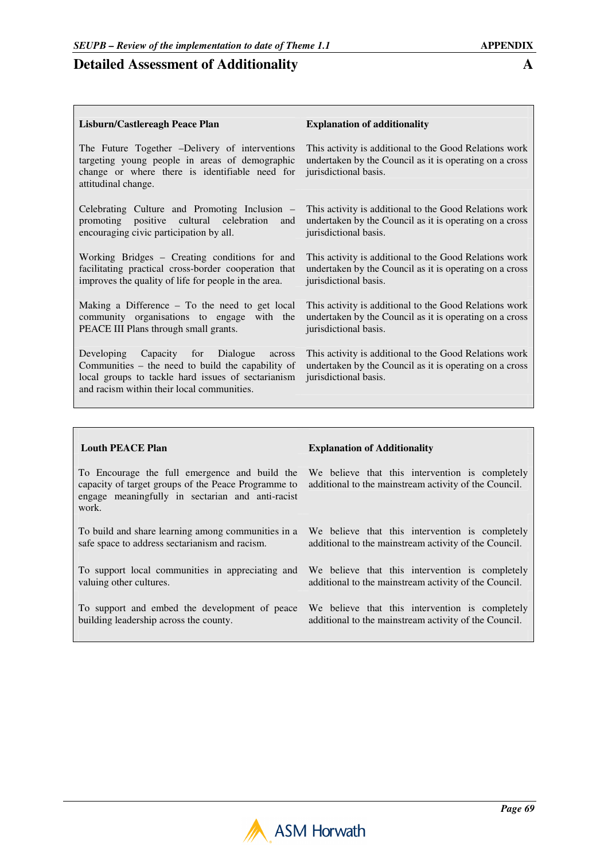# **Detailed Assessment of Additionality**

| <b>Explanation of additionality</b>                                                                                                                                                                                                        |  |
|--------------------------------------------------------------------------------------------------------------------------------------------------------------------------------------------------------------------------------------------|--|
| This activity is additional to the Good Relations work<br>undertaken by the Council as it is operating on a cross<br>jurisdictional basis.                                                                                                 |  |
| Celebrating Culture and Promoting Inclusion –<br>This activity is additional to the Good Relations work<br>promoting positive cultural celebration and<br>undertaken by the Council as it is operating on a cross<br>jurisdictional basis. |  |
| This activity is additional to the Good Relations work<br>undertaken by the Council as it is operating on a cross<br>jurisdictional basis.                                                                                                 |  |
| This activity is additional to the Good Relations work<br>undertaken by the Council as it is operating on a cross<br>jurisdictional basis.                                                                                                 |  |
| This activity is additional to the Good Relations work<br>undertaken by the Council as it is operating on a cross<br>jurisdictional basis.                                                                                                 |  |
|                                                                                                                                                                                                                                            |  |

To Encourage the full emergence and build the capacity of target groups of the Peace Programme to engage meaningfully in sectarian and anti-racist work.

To build and share learning among communities in a safe space to address sectarianism and racism.

To support local communities in appreciating and valuing other cultures.

To support and embed the development of peace building leadership across the county.

#### **Louth PEACE Plan Explanation of Additionality**

We believe that this intervention is completely additional to the mainstream activity of the Council.

We believe that this intervention is completely additional to the mainstream activity of the Council.

We believe that this intervention is completely additional to the mainstream activity of the Council.

We believe that this intervention is completely additional to the mainstream activity of the Council.

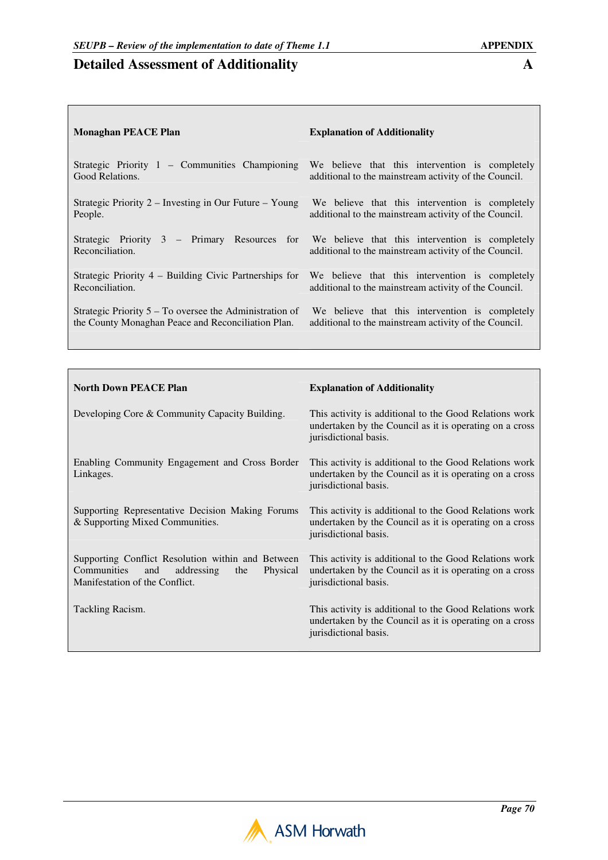| Monaghan PEACE Plan                                                                                             | <b>Explanation of Additionality</b>                   |
|-----------------------------------------------------------------------------------------------------------------|-------------------------------------------------------|
| Strategic Priority $1$ – Communities Championing                                                                | We believe that this intervention is completely       |
| Good Relations.                                                                                                 | additional to the mainstream activity of the Council. |
| Strategic Priority $2 -$ Investing in Our Future $-$ Young                                                      | We believe that this intervention is completely       |
| People.                                                                                                         | additional to the mainstream activity of the Council. |
| Strategic Priority 3 – Primary Resources for We believe that this intervention is completely<br>Reconciliation. | additional to the mainstream activity of the Council. |
| Strategic Priority $4$ – Building Civic Partnerships for                                                        | We believe that this intervention is completely       |
| Reconciliation.                                                                                                 | additional to the mainstream activity of the Council. |
| Strategic Priority $5 - To$ oversee the Administration of                                                       | We believe that this intervention is completely       |
| the County Monaghan Peace and Reconciliation Plan.                                                              | additional to the mainstream activity of the Council. |
|                                                                                                                 |                                                       |

| <b>North Down PEACE Plan</b>                                                                                                               | <b>Explanation of Additionality</b>                                                                                                        |
|--------------------------------------------------------------------------------------------------------------------------------------------|--------------------------------------------------------------------------------------------------------------------------------------------|
| Developing Core & Community Capacity Building.                                                                                             | This activity is additional to the Good Relations work<br>undertaken by the Council as it is operating on a cross<br>jurisdictional basis. |
| Enabling Community Engagement and Cross Border<br>Linkages.                                                                                | This activity is additional to the Good Relations work<br>undertaken by the Council as it is operating on a cross<br>jurisdictional basis. |
| Supporting Representative Decision Making Forums<br>& Supporting Mixed Communities.                                                        | This activity is additional to the Good Relations work<br>undertaken by the Council as it is operating on a cross<br>jurisdictional basis. |
| Supporting Conflict Resolution within and Between<br>Communities<br>and<br>addressing<br>Physical<br>the<br>Manifestation of the Conflict. | This activity is additional to the Good Relations work<br>undertaken by the Council as it is operating on a cross<br>jurisdictional basis. |
| Tackling Racism.                                                                                                                           | This activity is additional to the Good Relations work<br>undertaken by the Council as it is operating on a cross<br>jurisdictional basis. |

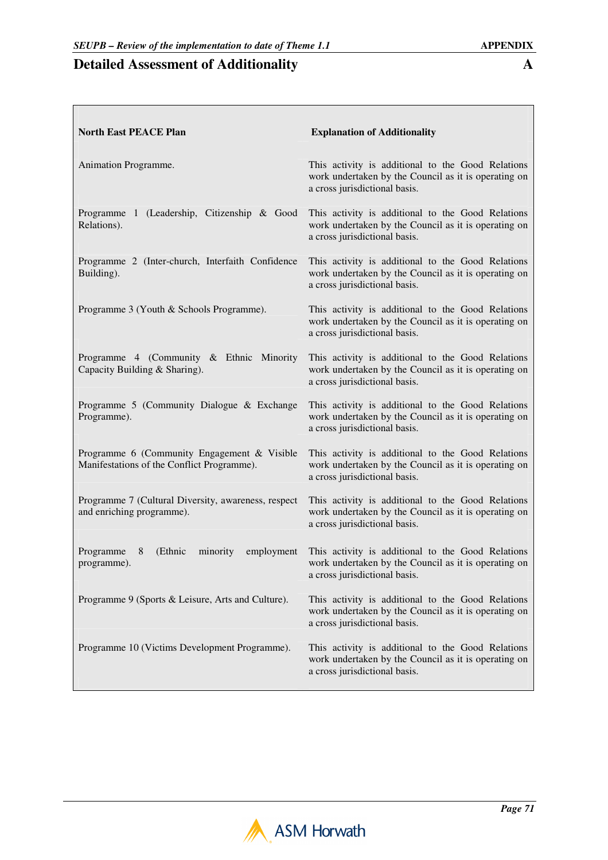$\Box$ 

┑

| <b>North East PEACE Plan</b>                                                              | <b>Explanation of Additionality</b>                                                                                                        |
|-------------------------------------------------------------------------------------------|--------------------------------------------------------------------------------------------------------------------------------------------|
| Animation Programme.                                                                      | This activity is additional to the Good Relations<br>work undertaken by the Council as it is operating on<br>a cross jurisdictional basis. |
| Programme 1 (Leadership, Citizenship & Good<br>Relations).                                | This activity is additional to the Good Relations<br>work undertaken by the Council as it is operating on<br>a cross jurisdictional basis. |
| Programme 2 (Inter-church, Interfaith Confidence<br>Building).                            | This activity is additional to the Good Relations<br>work undertaken by the Council as it is operating on<br>a cross jurisdictional basis. |
| Programme 3 (Youth & Schools Programme).                                                  | This activity is additional to the Good Relations<br>work undertaken by the Council as it is operating on<br>a cross jurisdictional basis. |
| Programme 4 (Community & Ethnic Minority<br>Capacity Building & Sharing).                 | This activity is additional to the Good Relations<br>work undertaken by the Council as it is operating on<br>a cross jurisdictional basis. |
| Programme 5 (Community Dialogue & Exchange<br>Programme).                                 | This activity is additional to the Good Relations<br>work undertaken by the Council as it is operating on<br>a cross jurisdictional basis. |
| Programme 6 (Community Engagement & Visible<br>Manifestations of the Conflict Programme). | This activity is additional to the Good Relations<br>work undertaken by the Council as it is operating on<br>a cross jurisdictional basis. |
| Programme 7 (Cultural Diversity, awareness, respect<br>and enriching programme).          | This activity is additional to the Good Relations<br>work undertaken by the Council as it is operating on<br>a cross jurisdictional basis. |
| (Ethnic<br>Programme<br>8<br>minority<br>employment<br>programme).                        | This activity is additional to the Good Relations<br>work undertaken by the Council as it is operating on<br>a cross jurisdictional basis. |
| Programme 9 (Sports & Leisure, Arts and Culture).                                         | This activity is additional to the Good Relations<br>work undertaken by the Council as it is operating on<br>a cross jurisdictional basis. |
| Programme 10 (Victims Development Programme).                                             | This activity is additional to the Good Relations<br>work undertaken by the Council as it is operating on<br>a cross jurisdictional basis. |

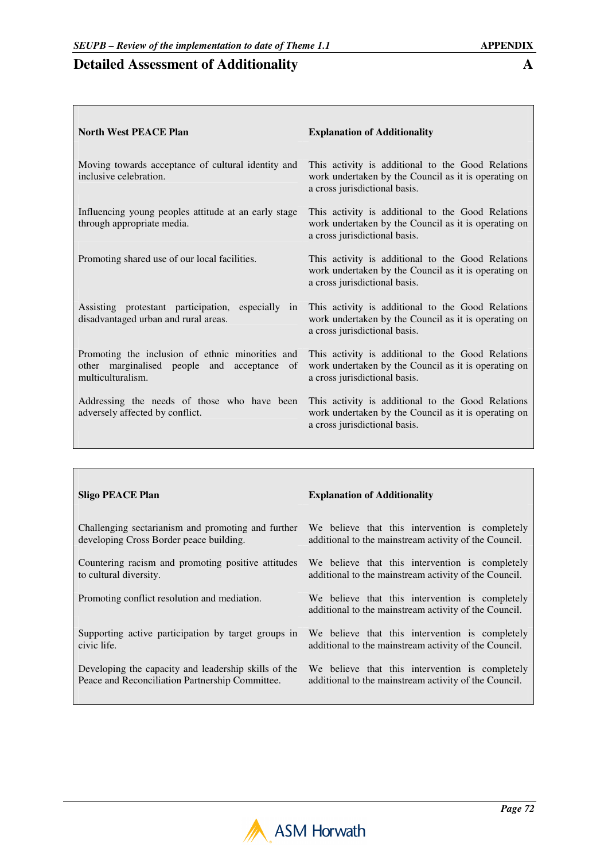$\Box$ 

┑

 $\overline{\phantom{a}}$ 

| <b>North West PEACE Plan</b>                                                                                         | <b>Explanation of Additionality</b>                                                                                                        |
|----------------------------------------------------------------------------------------------------------------------|--------------------------------------------------------------------------------------------------------------------------------------------|
| Moving towards acceptance of cultural identity and<br>inclusive celebration.                                         | This activity is additional to the Good Relations<br>work undertaken by the Council as it is operating on<br>a cross jurisdictional basis. |
| Influencing young peoples attitude at an early stage<br>through appropriate media.                                   | This activity is additional to the Good Relations<br>work undertaken by the Council as it is operating on<br>a cross jurisdictional basis. |
| Promoting shared use of our local facilities.                                                                        | This activity is additional to the Good Relations<br>work undertaken by the Council as it is operating on<br>a cross jurisdictional basis. |
| Assisting protestant participation, especially in<br>disadvantaged urban and rural areas.                            | This activity is additional to the Good Relations<br>work undertaken by the Council as it is operating on<br>a cross jurisdictional basis. |
| Promoting the inclusion of ethnic minorities and<br>other marginalised people and acceptance of<br>multiculturalism. | This activity is additional to the Good Relations<br>work undertaken by the Council as it is operating on<br>a cross jurisdictional basis. |
| Addressing the needs of those who have been<br>adversely affected by conflict.                                       | This activity is additional to the Good Relations<br>work undertaken by the Council as it is operating on<br>a cross jurisdictional basis. |

| <b>Sligo PEACE Plan</b>                              | <b>Explanation of Additionality</b>                                                                      |
|------------------------------------------------------|----------------------------------------------------------------------------------------------------------|
| Challenging sectarianism and promoting and further   | We believe that this intervention is completely                                                          |
| developing Cross Border peace building.              | additional to the mainstream activity of the Council.                                                    |
| Countering racism and promoting positive attitudes   | We believe that this intervention is completely                                                          |
| to cultural diversity.                               | additional to the mainstream activity of the Council.                                                    |
| Promoting conflict resolution and mediation.         | We believe that this intervention is completely<br>additional to the mainstream activity of the Council. |
| Supporting active participation by target groups in  | We believe that this intervention is completely                                                          |
| civic life.                                          | additional to the mainstream activity of the Council.                                                    |
| Developing the capacity and leadership skills of the | We believe that this intervention is completely                                                          |
| Peace and Reconciliation Partnership Committee.      | additional to the mainstream activity of the Council.                                                    |

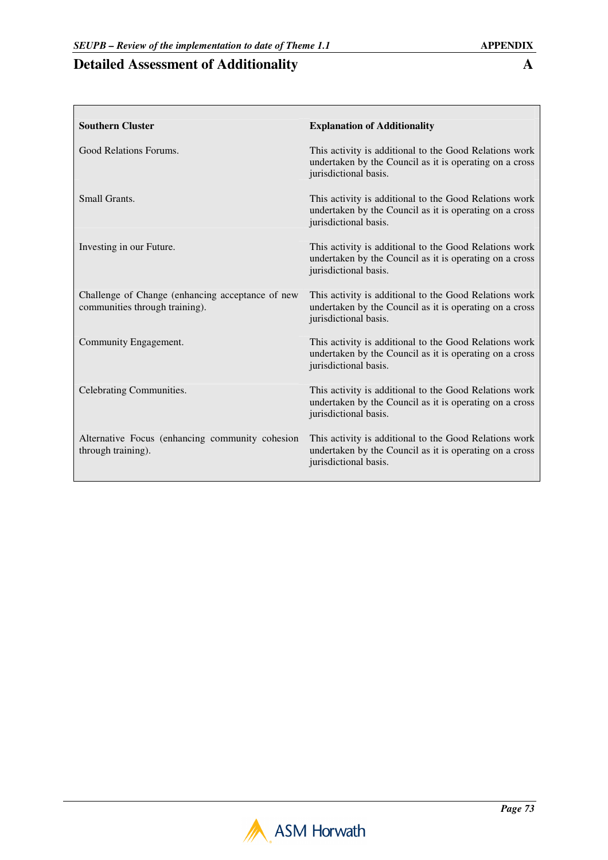| <b>Southern Cluster</b>                                                            | <b>Explanation of Additionality</b>                                                                                                        |
|------------------------------------------------------------------------------------|--------------------------------------------------------------------------------------------------------------------------------------------|
| Good Relations Forums.                                                             | This activity is additional to the Good Relations work<br>undertaken by the Council as it is operating on a cross<br>jurisdictional basis. |
| Small Grants.                                                                      | This activity is additional to the Good Relations work<br>undertaken by the Council as it is operating on a cross<br>jurisdictional basis. |
| Investing in our Future.                                                           | This activity is additional to the Good Relations work<br>undertaken by the Council as it is operating on a cross<br>jurisdictional basis. |
| Challenge of Change (enhancing acceptance of new<br>communities through training). | This activity is additional to the Good Relations work<br>undertaken by the Council as it is operating on a cross<br>jurisdictional basis. |
| Community Engagement.                                                              | This activity is additional to the Good Relations work<br>undertaken by the Council as it is operating on a cross<br>jurisdictional basis. |
| Celebrating Communities.                                                           | This activity is additional to the Good Relations work<br>undertaken by the Council as it is operating on a cross<br>jurisdictional basis. |
| Alternative Focus (enhancing community cohesion<br>through training).              | This activity is additional to the Good Relations work<br>undertaken by the Council as it is operating on a cross<br>jurisdictional basis. |

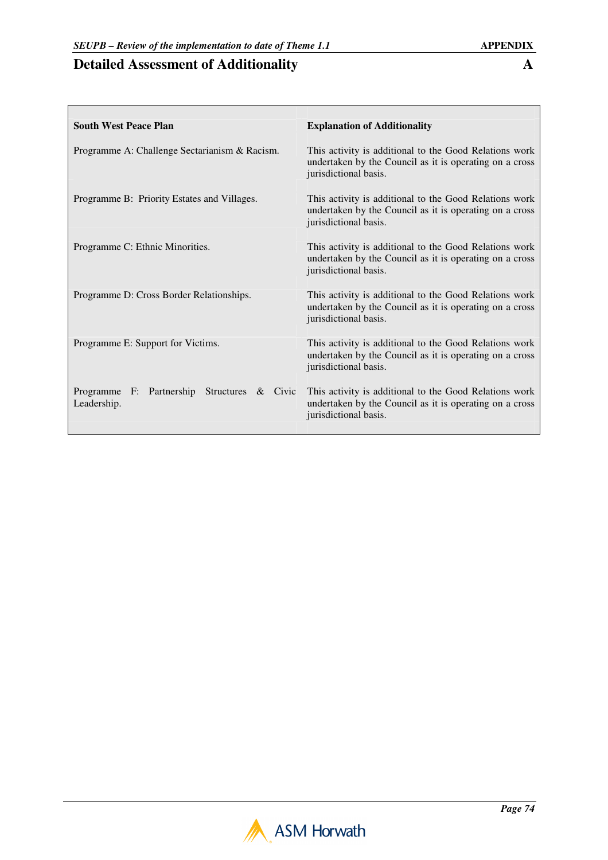$\Gamma$ 

| <b>South West Peace Plan</b>                               | <b>Explanation of Additionality</b>                                                                                                        |
|------------------------------------------------------------|--------------------------------------------------------------------------------------------------------------------------------------------|
| Programme A: Challenge Sectarianism & Racism.              | This activity is additional to the Good Relations work<br>undertaken by the Council as it is operating on a cross<br>jurisdictional basis. |
| Programme B: Priority Estates and Villages.                | This activity is additional to the Good Relations work<br>undertaken by the Council as it is operating on a cross<br>jurisdictional basis. |
| Programme C: Ethnic Minorities.                            | This activity is additional to the Good Relations work<br>undertaken by the Council as it is operating on a cross<br>jurisdictional basis. |
| Programme D: Cross Border Relationships.                   | This activity is additional to the Good Relations work<br>undertaken by the Council as it is operating on a cross<br>jurisdictional basis. |
| Programme E: Support for Victims.                          | This activity is additional to the Good Relations work<br>undertaken by the Council as it is operating on a cross<br>jurisdictional basis. |
| Programme F: Partnership Structures & Civic<br>Leadership. | This activity is additional to the Good Relations work<br>undertaken by the Council as it is operating on a cross<br>jurisdictional basis. |

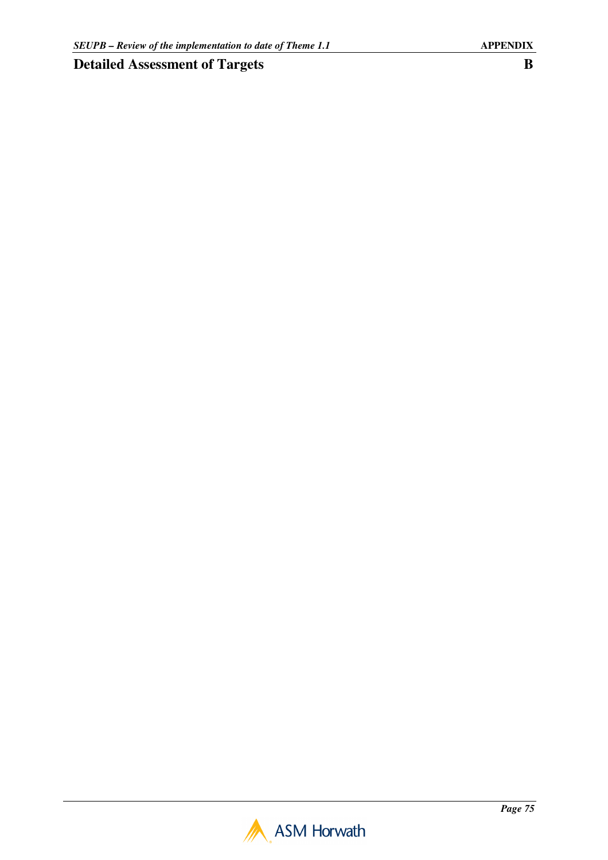## **Detailed Assessment of Targets B**

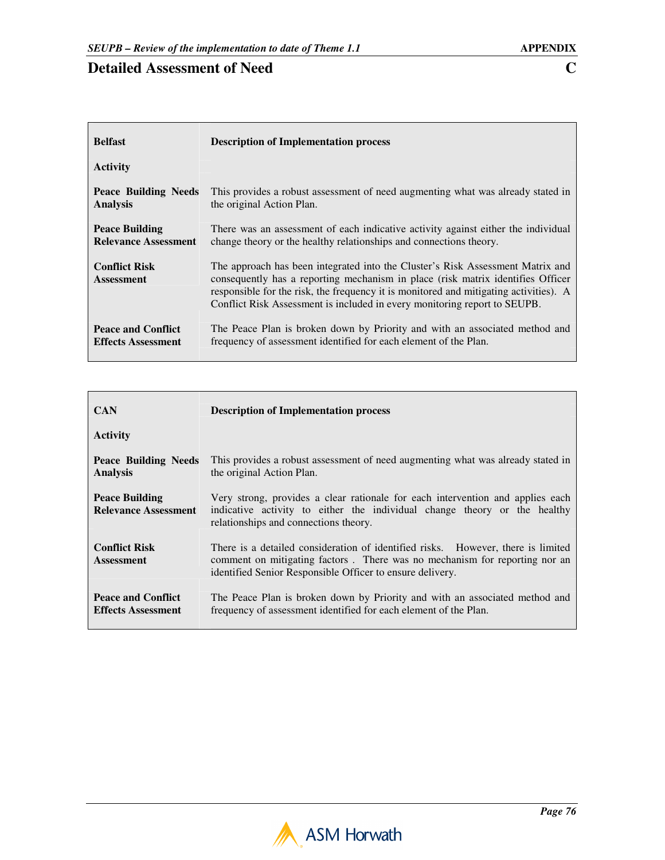| <b>Belfast</b>                            | <b>Description of Implementation process</b>                                                                                                                                                                                                                                                                                            |
|-------------------------------------------|-----------------------------------------------------------------------------------------------------------------------------------------------------------------------------------------------------------------------------------------------------------------------------------------------------------------------------------------|
| <b>Activity</b>                           |                                                                                                                                                                                                                                                                                                                                         |
| Peace Building Needs                      | This provides a robust assessment of need augmenting what was already stated in                                                                                                                                                                                                                                                         |
| <b>Analysis</b>                           | the original Action Plan.                                                                                                                                                                                                                                                                                                               |
| <b>Peace Building</b>                     | There was an assessment of each indicative activity against either the individual                                                                                                                                                                                                                                                       |
| <b>Relevance Assessment</b>               | change theory or the healthy relationships and connections theory.                                                                                                                                                                                                                                                                      |
| <b>Conflict Risk</b><br><b>Assessment</b> | The approach has been integrated into the Cluster's Risk Assessment Matrix and<br>consequently has a reporting mechanism in place (risk matrix identifies Officer<br>responsible for the risk, the frequency it is monitored and mitigating activities). A<br>Conflict Risk Assessment is included in every monitoring report to SEUPB. |
| <b>Peace and Conflict</b>                 | The Peace Plan is broken down by Priority and with an associated method and                                                                                                                                                                                                                                                             |
| <b>Effects Assessment</b>                 | frequency of assessment identified for each element of the Plan.                                                                                                                                                                                                                                                                        |

| <b>CAN</b>                                             | <b>Description of Implementation process</b>                                                                                                                                                                                |
|--------------------------------------------------------|-----------------------------------------------------------------------------------------------------------------------------------------------------------------------------------------------------------------------------|
| <b>Activity</b>                                        |                                                                                                                                                                                                                             |
| Peace Building Needs<br><b>Analysis</b>                | This provides a robust assessment of need augmenting what was already stated in<br>the original Action Plan.                                                                                                                |
| <b>Peace Building</b><br><b>Relevance Assessment</b>   | Very strong, provides a clear rationale for each intervention and applies each<br>indicative activity to either the individual change theory or the healthy<br>relationships and connections theory.                        |
| <b>Conflict Risk</b><br><b>Assessment</b>              | There is a detailed consideration of identified risks. However, there is limited<br>comment on mitigating factors. There was no mechanism for reporting nor an<br>identified Senior Responsible Officer to ensure delivery. |
| <b>Peace and Conflict</b><br><b>Effects Assessment</b> | The Peace Plan is broken down by Priority and with an associated method and<br>frequency of assessment identified for each element of the Plan.                                                                             |

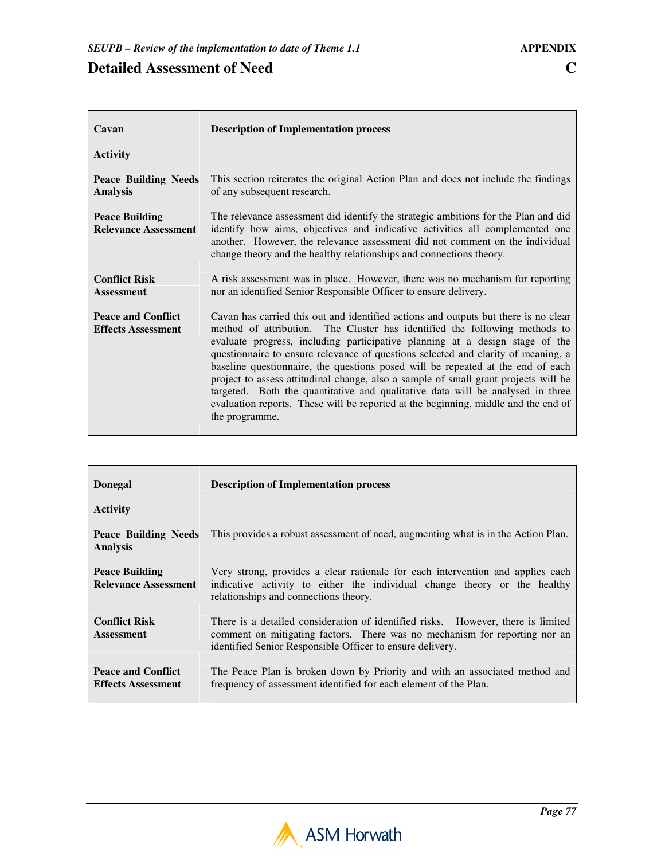| Cavan                                                  | <b>Description of Implementation process</b>                                                                                                                                                                                                                                                                                                                                                                                                                                                                                                                                                                                                                                                               |
|--------------------------------------------------------|------------------------------------------------------------------------------------------------------------------------------------------------------------------------------------------------------------------------------------------------------------------------------------------------------------------------------------------------------------------------------------------------------------------------------------------------------------------------------------------------------------------------------------------------------------------------------------------------------------------------------------------------------------------------------------------------------------|
| <b>Activity</b>                                        |                                                                                                                                                                                                                                                                                                                                                                                                                                                                                                                                                                                                                                                                                                            |
| <b>Peace Building Needs</b><br><b>Analysis</b>         | This section reiterates the original Action Plan and does not include the findings<br>of any subsequent research.                                                                                                                                                                                                                                                                                                                                                                                                                                                                                                                                                                                          |
| <b>Peace Building</b><br><b>Relevance Assessment</b>   | The relevance assessment did identify the strategic ambitions for the Plan and did<br>identify how aims, objectives and indicative activities all complemented one<br>another. However, the relevance assessment did not comment on the individual<br>change theory and the healthy relationships and connections theory.                                                                                                                                                                                                                                                                                                                                                                                  |
| <b>Conflict Risk</b><br><b>Assessment</b>              | A risk assessment was in place. However, there was no mechanism for reporting<br>nor an identified Senior Responsible Officer to ensure delivery.                                                                                                                                                                                                                                                                                                                                                                                                                                                                                                                                                          |
| <b>Peace and Conflict</b><br><b>Effects Assessment</b> | Cavan has carried this out and identified actions and outputs but there is no clear<br>method of attribution. The Cluster has identified the following methods to<br>evaluate progress, including participative planning at a design stage of the<br>questionnaire to ensure relevance of questions selected and clarity of meaning, a<br>baseline questionnaire, the questions posed will be repeated at the end of each<br>project to assess attitudinal change, also a sample of small grant projects will be<br>targeted. Both the quantitative and qualitative data will be analysed in three<br>evaluation reports. These will be reported at the beginning, middle and the end of<br>the programme. |

| <b>Donegal</b>                                       | <b>Description of Implementation process</b>                                                                                                                                                                                |
|------------------------------------------------------|-----------------------------------------------------------------------------------------------------------------------------------------------------------------------------------------------------------------------------|
| <b>Activity</b>                                      |                                                                                                                                                                                                                             |
| Peace Building Needs<br><b>Analysis</b>              | This provides a robust assessment of need, augmenting what is in the Action Plan.                                                                                                                                           |
| <b>Peace Building</b><br><b>Relevance Assessment</b> | Very strong, provides a clear rationale for each intervention and applies each<br>indicative activity to either the individual change theory or the healthy<br>relationships and connections theory.                        |
| <b>Conflict Risk</b><br><b>Assessment</b>            | There is a detailed consideration of identified risks. However, there is limited<br>comment on mitigating factors. There was no mechanism for reporting nor an<br>identified Senior Responsible Officer to ensure delivery. |
| Peace and Conflict<br><b>Effects Assessment</b>      | The Peace Plan is broken down by Priority and with an associated method and<br>frequency of assessment identified for each element of the Plan.                                                                             |

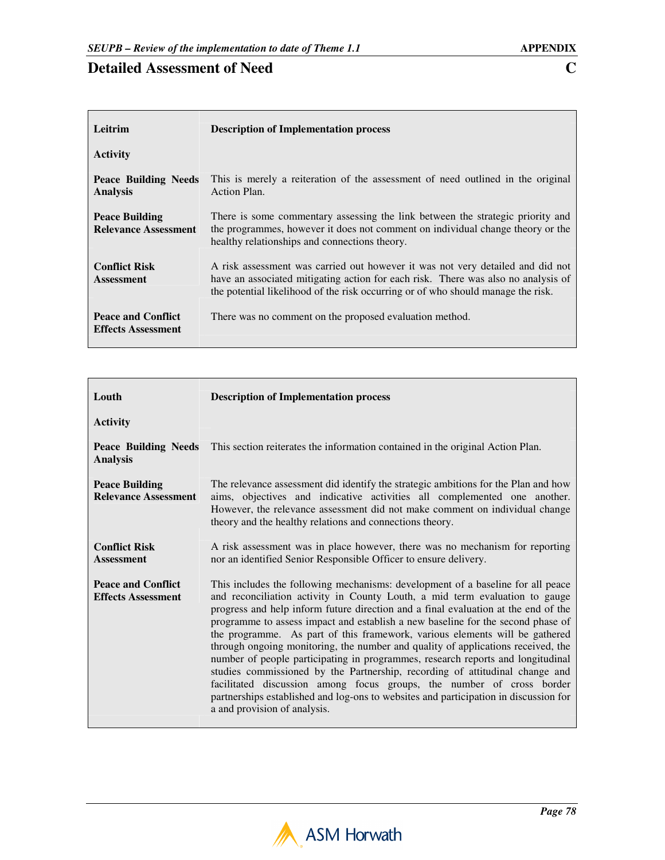| Leitrim                                                | <b>Description of Implementation process</b>                                                                                                                                                                                                            |
|--------------------------------------------------------|---------------------------------------------------------------------------------------------------------------------------------------------------------------------------------------------------------------------------------------------------------|
| <b>Activity</b>                                        |                                                                                                                                                                                                                                                         |
| Peace Building Needs<br><b>Analysis</b>                | This is merely a reiteration of the assessment of need outlined in the original<br>Action Plan.                                                                                                                                                         |
| <b>Peace Building</b><br><b>Relevance Assessment</b>   | There is some commentary assessing the link between the strategic priority and<br>the programmes, however it does not comment on individual change theory or the<br>healthy relationships and connections theory.                                       |
| <b>Conflict Risk</b><br><b>Assessment</b>              | A risk assessment was carried out however it was not very detailed and did not<br>have an associated mitigating action for each risk. There was also no analysis of<br>the potential likelihood of the risk occurring or of who should manage the risk. |
| <b>Peace and Conflict</b><br><b>Effects Assessment</b> | There was no comment on the proposed evaluation method.                                                                                                                                                                                                 |

| Louth                                                  | <b>Description of Implementation process</b>                                                                                                                                                                                                                                                                                                                                                                                                                                                                                                                                                                                                                                                                                                                                                                                                                                   |
|--------------------------------------------------------|--------------------------------------------------------------------------------------------------------------------------------------------------------------------------------------------------------------------------------------------------------------------------------------------------------------------------------------------------------------------------------------------------------------------------------------------------------------------------------------------------------------------------------------------------------------------------------------------------------------------------------------------------------------------------------------------------------------------------------------------------------------------------------------------------------------------------------------------------------------------------------|
| <b>Activity</b>                                        |                                                                                                                                                                                                                                                                                                                                                                                                                                                                                                                                                                                                                                                                                                                                                                                                                                                                                |
| <b>Peace Building Needs</b><br><b>Analysis</b>         | This section reiterates the information contained in the original Action Plan.                                                                                                                                                                                                                                                                                                                                                                                                                                                                                                                                                                                                                                                                                                                                                                                                 |
| <b>Peace Building</b><br><b>Relevance Assessment</b>   | The relevance assessment did identify the strategic ambitions for the Plan and how<br>aims, objectives and indicative activities all complemented one another.<br>However, the relevance assessment did not make comment on individual change<br>theory and the healthy relations and connections theory.                                                                                                                                                                                                                                                                                                                                                                                                                                                                                                                                                                      |
| <b>Conflict Risk</b><br><b>Assessment</b>              | A risk assessment was in place however, there was no mechanism for reporting<br>nor an identified Senior Responsible Officer to ensure delivery.                                                                                                                                                                                                                                                                                                                                                                                                                                                                                                                                                                                                                                                                                                                               |
| <b>Peace and Conflict</b><br><b>Effects Assessment</b> | This includes the following mechanisms: development of a baseline for all peace<br>and reconciliation activity in County Louth, a mid term evaluation to gauge<br>progress and help inform future direction and a final evaluation at the end of the<br>programme to assess impact and establish a new baseline for the second phase of<br>the programme. As part of this framework, various elements will be gathered<br>through ongoing monitoring, the number and quality of applications received, the<br>number of people participating in programmes, research reports and longitudinal<br>studies commissioned by the Partnership, recording of attitudinal change and<br>facilitated discussion among focus groups, the number of cross border<br>partnerships established and log-ons to websites and participation in discussion for<br>a and provision of analysis. |

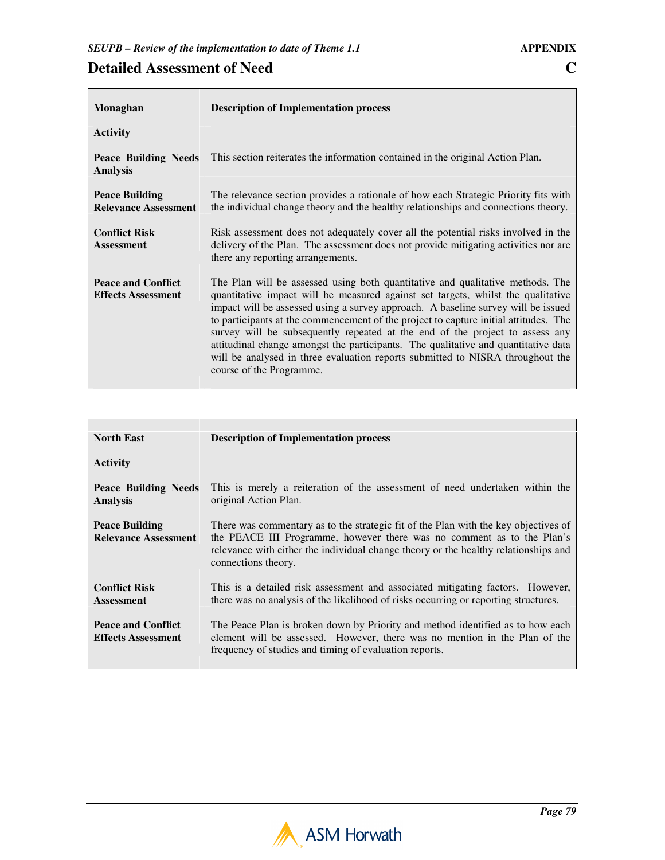| Monaghan                                               | <b>Description of Implementation process</b>                                                                                                                                                                                                                                                                                                                                                                                                                                                                                                                                                                                        |
|--------------------------------------------------------|-------------------------------------------------------------------------------------------------------------------------------------------------------------------------------------------------------------------------------------------------------------------------------------------------------------------------------------------------------------------------------------------------------------------------------------------------------------------------------------------------------------------------------------------------------------------------------------------------------------------------------------|
| <b>Activity</b>                                        |                                                                                                                                                                                                                                                                                                                                                                                                                                                                                                                                                                                                                                     |
| <b>Peace Building Needs</b><br><b>Analysis</b>         | This section reiterates the information contained in the original Action Plan.                                                                                                                                                                                                                                                                                                                                                                                                                                                                                                                                                      |
| <b>Peace Building</b><br><b>Relevance Assessment</b>   | The relevance section provides a rationale of how each Strategic Priority fits with<br>the individual change theory and the healthy relationships and connections theory.                                                                                                                                                                                                                                                                                                                                                                                                                                                           |
| <b>Conflict Risk</b><br><b>Assessment</b>              | Risk assessment does not adequately cover all the potential risks involved in the<br>delivery of the Plan. The assessment does not provide mitigating activities nor are<br>there any reporting arrangements.                                                                                                                                                                                                                                                                                                                                                                                                                       |
| <b>Peace and Conflict</b><br><b>Effects Assessment</b> | The Plan will be assessed using both quantitative and qualitative methods. The<br>quantitative impact will be measured against set targets, whilst the qualitative<br>impact will be assessed using a survey approach. A baseline survey will be issued<br>to participants at the commencement of the project to capture initial attitudes. The<br>survey will be subsequently repeated at the end of the project to assess any<br>attitudinal change amongst the participants. The qualitative and quantitative data<br>will be analysed in three evaluation reports submitted to NISRA throughout the<br>course of the Programme. |

| <b>North East</b>                                      | <b>Description of Implementation process</b>                                                                                                                                                                                                                                |
|--------------------------------------------------------|-----------------------------------------------------------------------------------------------------------------------------------------------------------------------------------------------------------------------------------------------------------------------------|
| <b>Activity</b>                                        |                                                                                                                                                                                                                                                                             |
| Peace Building Needs<br><b>Analysis</b>                | This is merely a reiteration of the assessment of need undertaken within the<br>original Action Plan.                                                                                                                                                                       |
| <b>Peace Building</b><br><b>Relevance Assessment</b>   | There was commentary as to the strategic fit of the Plan with the key objectives of<br>the PEACE III Programme, however there was no comment as to the Plan's<br>relevance with either the individual change theory or the healthy relationships and<br>connections theory. |
| <b>Conflict Risk</b><br><b>Assessment</b>              | This is a detailed risk assessment and associated mitigating factors. However,<br>there was no analysis of the likelihood of risks occurring or reporting structures.                                                                                                       |
| <b>Peace and Conflict</b><br><b>Effects Assessment</b> | The Peace Plan is broken down by Priority and method identified as to how each<br>element will be assessed. However, there was no mention in the Plan of the<br>frequency of studies and timing of evaluation reports.                                                      |

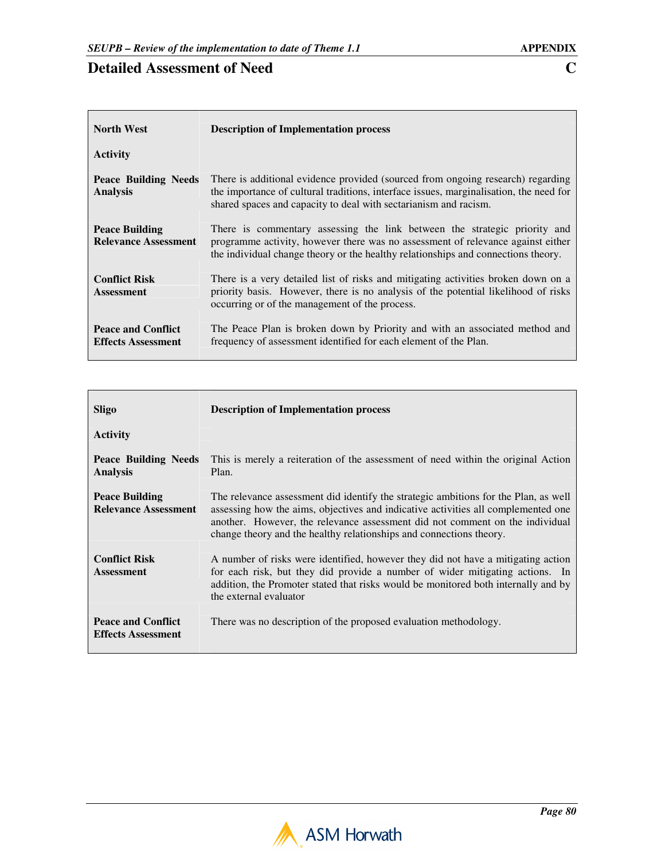| <b>North West</b>                                      | <b>Description of Implementation process</b>                                                                                                                                                                                                      |
|--------------------------------------------------------|---------------------------------------------------------------------------------------------------------------------------------------------------------------------------------------------------------------------------------------------------|
| <b>Activity</b>                                        |                                                                                                                                                                                                                                                   |
| Peace Building Needs<br><b>Analysis</b>                | There is additional evidence provided (sourced from ongoing research) regarding<br>the importance of cultural traditions, interface issues, marginalisation, the need for<br>shared spaces and capacity to deal with sectarianism and racism.     |
| <b>Peace Building</b><br><b>Relevance Assessment</b>   | There is commentary assessing the link between the strategic priority and<br>programme activity, however there was no assessment of relevance against either<br>the individual change theory or the healthy relationships and connections theory. |
| <b>Conflict Risk</b><br><b>Assessment</b>              | There is a very detailed list of risks and mitigating activities broken down on a<br>priority basis. However, there is no analysis of the potential likelihood of risks<br>occurring or of the management of the process.                         |
| <b>Peace and Conflict</b><br><b>Effects Assessment</b> | The Peace Plan is broken down by Priority and with an associated method and<br>frequency of assessment identified for each element of the Plan.                                                                                                   |

| Sligo                                                  | <b>Description of Implementation process</b>                                                                                                                                                                                                                                                                                    |
|--------------------------------------------------------|---------------------------------------------------------------------------------------------------------------------------------------------------------------------------------------------------------------------------------------------------------------------------------------------------------------------------------|
| <b>Activity</b>                                        |                                                                                                                                                                                                                                                                                                                                 |
| Peace Building Needs<br><b>Analysis</b>                | This is merely a reiteration of the assessment of need within the original Action<br>Plan.                                                                                                                                                                                                                                      |
| <b>Peace Building</b><br><b>Relevance Assessment</b>   | The relevance assessment did identify the strategic ambitions for the Plan, as well<br>assessing how the aims, objectives and indicative activities all complemented one<br>another. However, the relevance assessment did not comment on the individual<br>change theory and the healthy relationships and connections theory. |
| <b>Conflict Risk</b><br><b>Assessment</b>              | A number of risks were identified, however they did not have a mitigating action<br>for each risk, but they did provide a number of wider mitigating actions. In<br>addition, the Promoter stated that risks would be monitored both internally and by<br>the external evaluator                                                |
| <b>Peace and Conflict</b><br><b>Effects Assessment</b> | There was no description of the proposed evaluation methodology.                                                                                                                                                                                                                                                                |